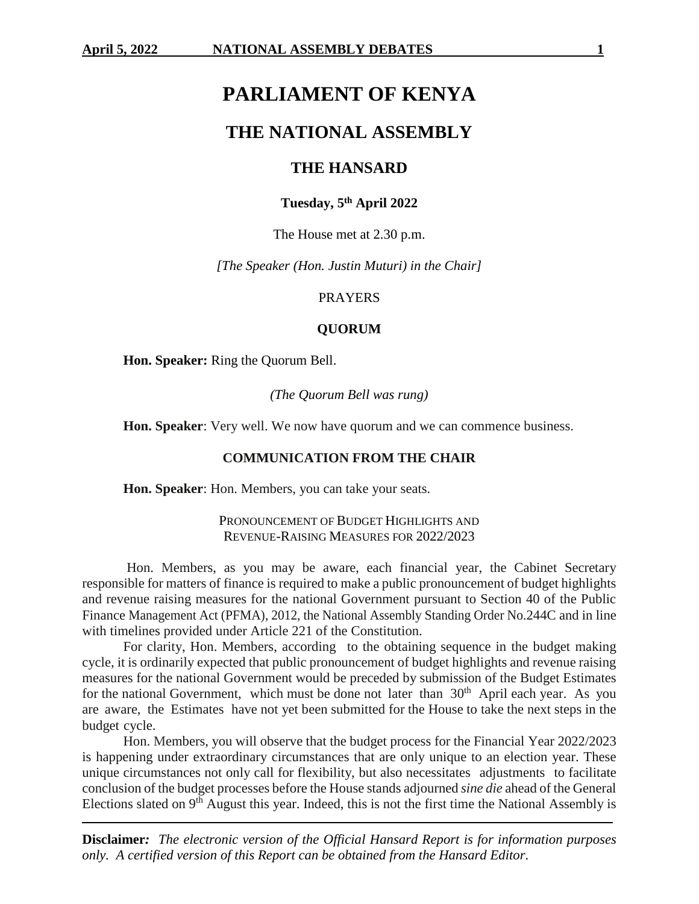# **PARLIAMENT OF KENYA**

# **THE NATIONAL ASSEMBLY**

# **THE HANSARD**

# **Tuesday, 5th April 2022**

The House met at 2.30 p.m.

*[The Speaker (Hon. Justin Muturi) in the Chair]*

#### PRAYERS

#### **QUORUM**

**Hon. Speaker:** Ring the Quorum Bell.

*(The Quorum Bell was rung)*

**Hon. Speaker**: Very well. We now have quorum and we can commence business.

## **COMMUNICATION FROM THE CHAIR**

**Hon. Speaker**: Hon. Members, you can take your seats.

## PRONOUNCEMENT OF BUDGET HIGHLIGHTS AND REVENUE-RAISING MEASURES FOR 2022/2023

Hon. Members, as you may be aware, each financial year, the Cabinet Secretary responsible for matters of finance is required to make a public pronouncement of budget highlights and revenue raising measures for the national Government pursuant to Section 40 of the Public Finance Management Act (PFMA), 2012, the National Assembly Standing Order No.244C and in line with timelines provided under Article 221 of the Constitution.

For clarity, Hon. Members, according to the obtaining sequence in the budget making cycle, it is ordinarily expected that public pronouncement of budget highlights and revenue raising measures for the national Government would be preceded by submission of the Budget Estimates for the national Government, which must be done not later than  $30<sup>th</sup>$  April each year. As you are aware, the Estimates have not yet been submitted for the House to take the next steps in the budget cycle.

Hon. Members, you will observe that the budget process for the Financial Year 2022/2023 is happening under extraordinary circumstances that are only unique to an election year. These unique circumstances not only call for flexibility, but also necessitates adjustments to facilitate conclusion of the budget processes before the House stands adjourned *sine die* ahead of the General Elections slated on  $9<sup>th</sup>$  August this year. Indeed, this is not the first time the National Assembly is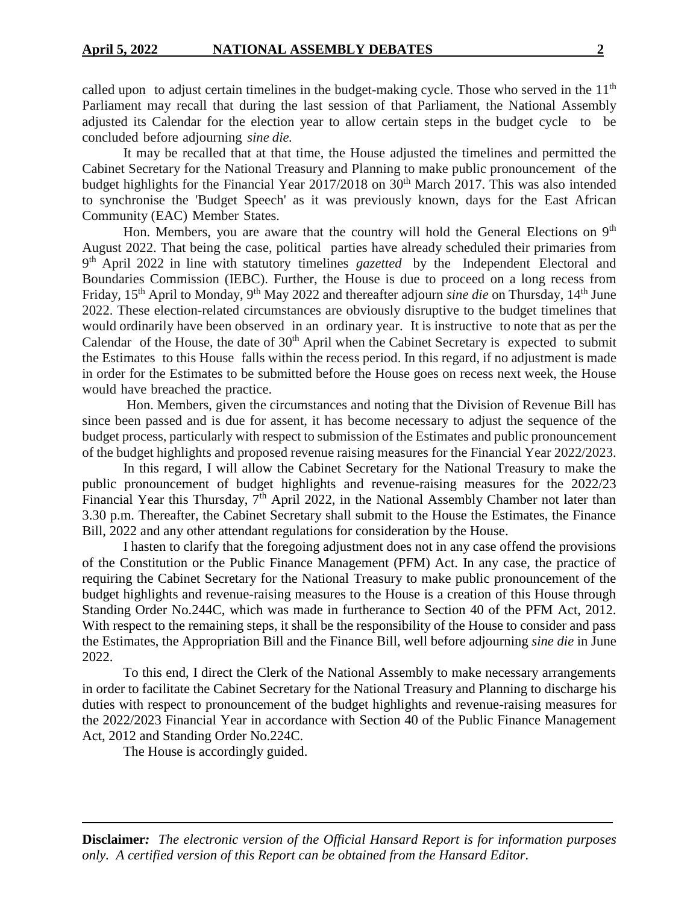called upon to adjust certain timelines in the budget-making cycle. Those who served in the 11<sup>th</sup> Parliament may recall that during the last session of that Parliament, the National Assembly adjusted its Calendar for the election year to allow certain steps in the budget cycle to be concluded before adjourning *sine die.*

It may be recalled that at that time, the House adjusted the timelines and permitted the Cabinet Secretary for the National Treasury and Planning to make public pronouncement of the budget highlights for the Financial Year  $2017/2018$  on  $30<sup>th</sup>$  March 2017. This was also intended to synchronise the 'Budget Speech' as it was previously known, days for the East African Community (EAC) Member States.

Hon. Members, you are aware that the country will hold the General Elections on 9<sup>th</sup> August 2022. That being the case, political parties have already scheduled their primaries from 9<sup>th</sup> April 2022 in line with statutory timelines *gazetted* by the Independent Electoral and Boundaries Commission (IEBC). Further, the House is due to proceed on a long recess from Friday, 15<sup>th</sup> April to Monday, 9<sup>th</sup> May 2022 and thereafter adjourn *sine die* on Thursday, 14<sup>th</sup> June 2022. These election-related circumstances are obviously disruptive to the budget timelines that would ordinarily have been observed in an ordinary year. It is instructive to note that as per the Calendar of the House, the date of  $30<sup>th</sup>$  April when the Cabinet Secretary is expected to submit the Estimates to this House falls within the recess period. In this regard, if no adjustment is made in order for the Estimates to be submitted before the House goes on recess next week, the House would have breached the practice.

Hon. Members, given the circumstances and noting that the Division of Revenue Bill has since been passed and is due for assent, it has become necessary to adjust the sequence of the budget process, particularly with respect to submission of the Estimates and public pronouncement of the budget highlights and proposed revenue raising measures for the Financial Year 2022/2023.

In this regard, I will allow the Cabinet Secretary for the National Treasury to make the public pronouncement of budget highlights and revenue-raising measures for the 2022/23 Financial Year this Thursday, 7<sup>th</sup> April 2022, in the National Assembly Chamber not later than 3.30 p.m. Thereafter, the Cabinet Secretary shall submit to the House the Estimates, the Finance Bill, 2022 and any other attendant regulations for consideration by the House.

I hasten to clarify that the foregoing adjustment does not in any case offend the provisions of the Constitution or the Public Finance Management (PFM) Act. In any case, the practice of requiring the Cabinet Secretary for the National Treasury to make public pronouncement of the budget highlights and revenue-raising measures to the House is a creation of this House through Standing Order No.244C, which was made in furtherance to Section 40 of the PFM Act, 2012. With respect to the remaining steps, it shall be the responsibility of the House to consider and pass the Estimates, the Appropriation Bill and the Finance Bill, well before adjourning *sine die* in June 2022.

To this end, I direct the Clerk of the National Assembly to make necessary arrangements in order to facilitate the Cabinet Secretary for the National Treasury and Planning to discharge his duties with respect to pronouncement of the budget highlights and revenue-raising measures for the 2022/2023 Financial Year in accordance with Section 40 of the Public Finance Management Act, 2012 and Standing Order No.224C.

The House is accordingly guided.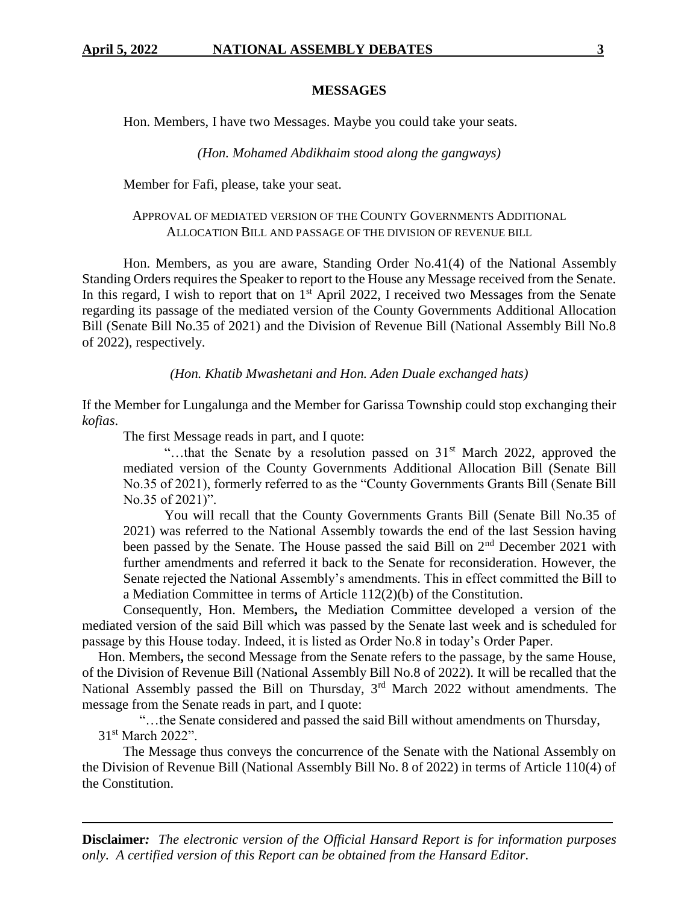### **MESSAGES**

Hon. Members, I have two Messages. Maybe you could take your seats.

*(Hon. Mohamed Abdikhaim stood along the gangways)*

Member for Fafi, please, take your seat.

### APPROVAL OF MEDIATED VERSION OF THE COUNTY GOVERNMENTS ADDITIONAL ALLOCATION BILL AND PASSAGE OF THE DIVISION OF REVENUE BILL

Hon. Members, as you are aware, Standing Order No.41(4) of the National Assembly Standing Orders requires the Speaker to report to the House any Message received from the Senate. In this regard, I wish to report that on  $1<sup>st</sup>$  April 2022, I received two Messages from the Senate regarding its passage of the mediated version of the County Governments Additional Allocation Bill (Senate Bill No.35 of 2021) and the Division of Revenue Bill (National Assembly Bill No.8 of 2022), respectively.

*(Hon. Khatib Mwashetani and Hon. Aden Duale exchanged hats)*

If the Member for Lungalunga and the Member for Garissa Township could stop exchanging their *kofias*.

The first Message reads in part, and I quote:

"...that the Senate by a resolution passed on  $31<sup>st</sup>$  March 2022, approved the mediated version of the County Governments Additional Allocation Bill (Senate Bill No.35 of 2021), formerly referred to as the "County Governments Grants Bill (Senate Bill No.35 of 2021)".

You will recall that the County Governments Grants Bill (Senate Bill No.35 of 2021) was referred to the National Assembly towards the end of the last Session having been passed by the Senate. The House passed the said Bill on 2<sup>nd</sup> December 2021 with further amendments and referred it back to the Senate for reconsideration. However, the Senate rejected the National Assembly's amendments. This in effect committed the Bill to a Mediation Committee in terms of Article 112(2)(b) of the Constitution.

Consequently, Hon. Members**,** the Mediation Committee developed a version of the mediated version of the said Bill which was passed by the Senate last week and is scheduled for passage by this House today. Indeed, it is listed as Order No.8 in today's Order Paper.

Hon. Members**,** the second Message from the Senate refers to the passage, by the same House, of the Division of Revenue Bill (National Assembly Bill No.8 of 2022). It will be recalled that the National Assembly passed the Bill on Thursday,  $3<sup>rd</sup>$  March 2022 without amendments. The message from the Senate reads in part, and I quote:

"…the Senate considered and passed the said Bill without amendments on Thursday, 31st March 2022".

The Message thus conveys the concurrence of the Senate with the National Assembly on the Division of Revenue Bill (National Assembly Bill No. 8 of 2022) in terms of Article 110(4) of the Constitution.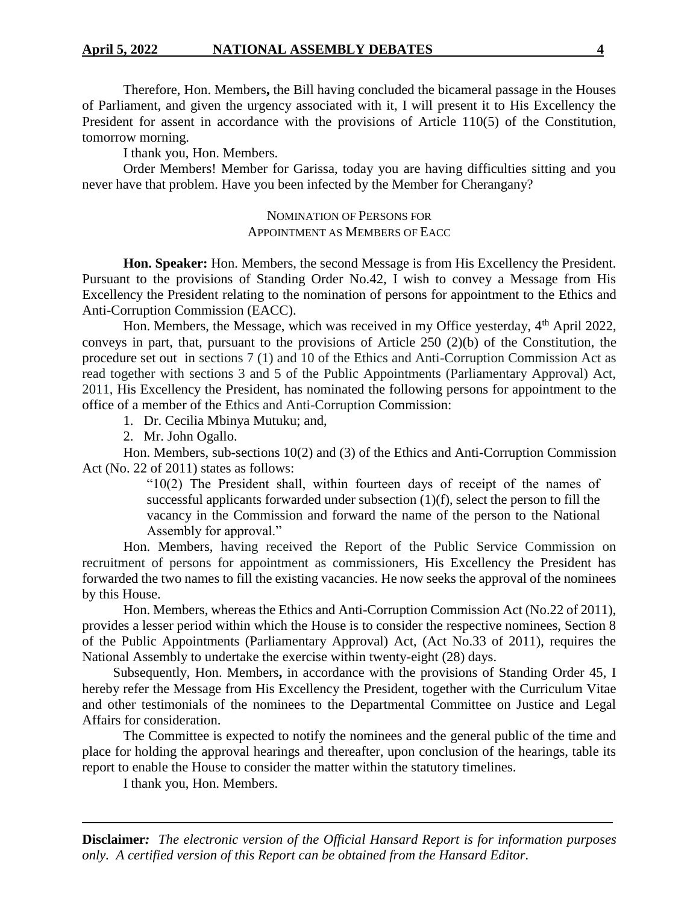Therefore, Hon. Members**,** the Bill having concluded the bicameral passage in the Houses of Parliament, and given the urgency associated with it, I will present it to His Excellency the President for assent in accordance with the provisions of Article 110(5) of the Constitution, tomorrow morning.

I thank you, Hon. Members.

Order Members! Member for Garissa, today you are having difficulties sitting and you never have that problem. Have you been infected by the Member for Cherangany?

### NOMINATION OF PERSONS FOR APPOINTMENT AS MEMBERS OF EACC

**Hon. Speaker:** Hon. Members, the second Message is from His Excellency the President. Pursuant to the provisions of Standing Order No.42, I wish to convey a Message from His Excellency the President relating to the nomination of persons for appointment to the Ethics and Anti-Corruption Commission (EACC).

Hon. Members, the Message, which was received in my Office yesterday, 4<sup>th</sup> April 2022, conveys in part, that, pursuant to the provisions of Article 250 (2)(b) of the Constitution, the procedure set out in sections 7 (1) and 10 of the Ethics and Anti-Corruption Commission Act as read together with sections 3 and 5 of the Public Appointments (Parliamentary Approval) Act, 2011, His Excellency the President, has nominated the following persons for appointment to the office of a member of the Ethics and Anti-Corruption Commission:

1. Dr. Cecilia Mbinya Mutuku; and,

2. Mr. John Ogallo.

Hon. Members, sub**-**sections 10(2) and (3) of the Ethics and Anti-Corruption Commission Act (No. 22 of 2011) states as follows:

> " $10(2)$  The President shall, within fourteen days of receipt of the names of successful applicants forwarded under subsection (1)(f), select the person to fill the vacancy in the Commission and forward the name of the person to the National Assembly for approval."

Hon. Members, having received the Report of the Public Service Commission on recruitment of persons for appointment as commissioners, His Excellency the President has forwarded the two names to fill the existing vacancies. He now seeks the approval of the nominees by this House.

Hon. Members, whereas the Ethics and Anti-Corruption Commission Act (No.22 of 2011), provides a lesser period within which the House is to consider the respective nominees, Section 8 of the Public Appointments (Parliamentary Approval) Act, (Act No.33 of 2011), requires the National Assembly to undertake the exercise within twenty-eight (28) days.

Subsequently, Hon. Members**,** in accordance with the provisions of Standing Order 45, I hereby refer the Message from His Excellency the President, together with the Curriculum Vitae and other testimonials of the nominees to the Departmental Committee on Justice and Legal Affairs for consideration.

The Committee is expected to notify the nominees and the general public of the time and place for holding the approval hearings and thereafter, upon conclusion of the hearings, table its report to enable the House to consider the matter within the statutory timelines.

I thank you, Hon. Members.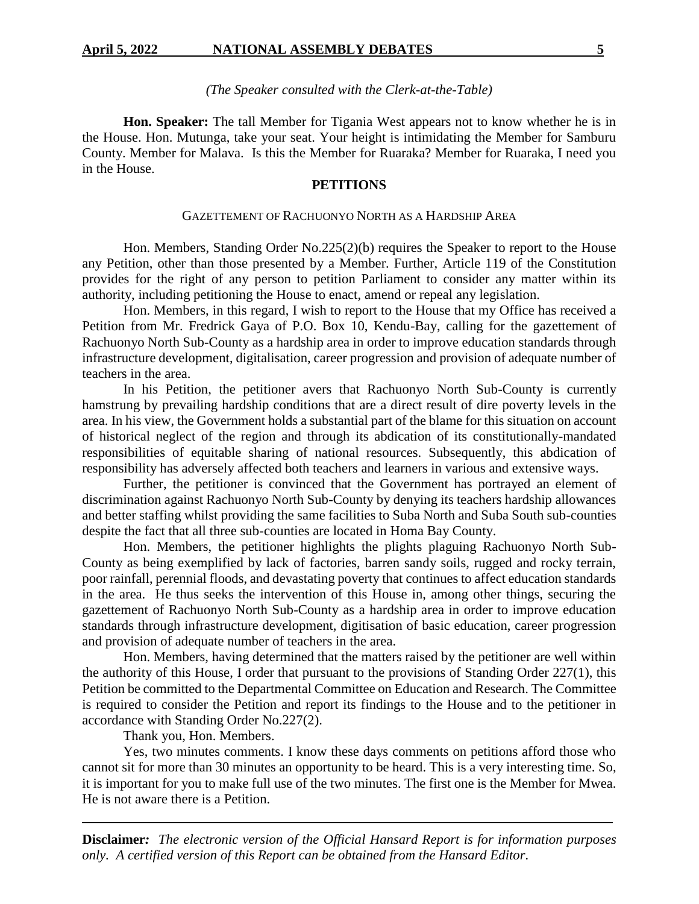#### *(The Speaker consulted with the Clerk-at-the-Table)*

**Hon. Speaker:** The tall Member for Tigania West appears not to know whether he is in the House. Hon. Mutunga, take your seat. Your height is intimidating the Member for Samburu County. Member for Malava. Is this the Member for Ruaraka? Member for Ruaraka, I need you in the House.

### **PETITIONS**

#### GAZETTEMENT OF RACHUONYO NORTH AS A HARDSHIP AREA

Hon. Members, Standing Order No.225(2)(b) requires the Speaker to report to the House any Petition, other than those presented by a Member. Further, Article 119 of the Constitution provides for the right of any person to petition Parliament to consider any matter within its authority, including petitioning the House to enact, amend or repeal any legislation.

Hon. Members, in this regard, I wish to report to the House that my Office has received a Petition from Mr. Fredrick Gaya of P.O. Box 10, Kendu-Bay, calling for the gazettement of Rachuonyo North Sub-County as a hardship area in order to improve education standards through infrastructure development, digitalisation, career progression and provision of adequate number of teachers in the area.

In his Petition, the petitioner avers that Rachuonyo North Sub-County is currently hamstrung by prevailing hardship conditions that are a direct result of dire poverty levels in the area. In his view, the Government holds a substantial part of the blame for this situation on account of historical neglect of the region and through its abdication of its constitutionally-mandated responsibilities of equitable sharing of national resources. Subsequently, this abdication of responsibility has adversely affected both teachers and learners in various and extensive ways.

Further, the petitioner is convinced that the Government has portrayed an element of discrimination against Rachuonyo North Sub-County by denying its teachers hardship allowances and better staffing whilst providing the same facilities to Suba North and Suba South sub-counties despite the fact that all three sub-counties are located in Homa Bay County.

Hon. Members, the petitioner highlights the plights plaguing Rachuonyo North Sub-County as being exemplified by lack of factories, barren sandy soils, rugged and rocky terrain, poor rainfall, perennial floods, and devastating poverty that continues to affect education standards in the area. He thus seeks the intervention of this House in, among other things, securing the gazettement of Rachuonyo North Sub-County as a hardship area in order to improve education standards through infrastructure development, digitisation of basic education, career progression and provision of adequate number of teachers in the area.

Hon. Members, having determined that the matters raised by the petitioner are well within the authority of this House, I order that pursuant to the provisions of Standing Order 227(1), this Petition be committed to the Departmental Committee on Education and Research. The Committee is required to consider the Petition and report its findings to the House and to the petitioner in accordance with Standing Order No.227(2).

Thank you, Hon. Members.

Yes, two minutes comments. I know these days comments on petitions afford those who cannot sit for more than 30 minutes an opportunity to be heard. This is a very interesting time. So, it is important for you to make full use of the two minutes. The first one is the Member for Mwea. He is not aware there is a Petition.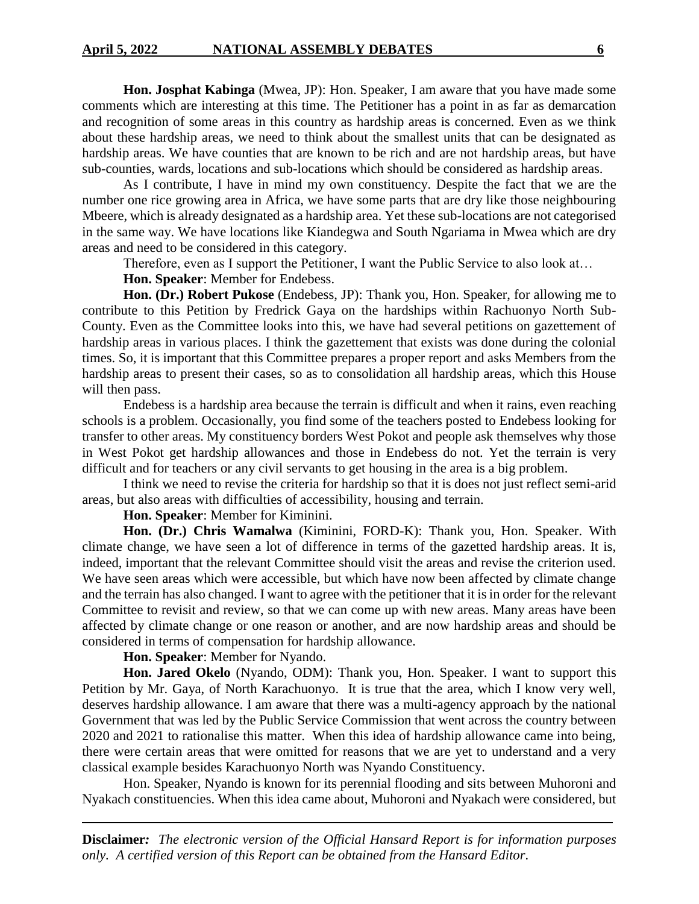**Hon. Josphat Kabinga** (Mwea, JP): Hon. Speaker, I am aware that you have made some comments which are interesting at this time. The Petitioner has a point in as far as demarcation and recognition of some areas in this country as hardship areas is concerned. Even as we think about these hardship areas, we need to think about the smallest units that can be designated as hardship areas. We have counties that are known to be rich and are not hardship areas, but have sub-counties, wards, locations and sub-locations which should be considered as hardship areas.

As I contribute, I have in mind my own constituency. Despite the fact that we are the number one rice growing area in Africa, we have some parts that are dry like those neighbouring Mbeere, which is already designated as a hardship area. Yet these sub-locations are not categorised in the same way. We have locations like Kiandegwa and South Ngariama in Mwea which are dry areas and need to be considered in this category.

Therefore, even as I support the Petitioner, I want the Public Service to also look at...

**Hon. Speaker**: Member for Endebess.

**Hon. (Dr.) Robert Pukose** (Endebess, JP): Thank you, Hon. Speaker, for allowing me to contribute to this Petition by Fredrick Gaya on the hardships within Rachuonyo North Sub-County. Even as the Committee looks into this, we have had several petitions on gazettement of hardship areas in various places. I think the gazettement that exists was done during the colonial times. So, it is important that this Committee prepares a proper report and asks Members from the hardship areas to present their cases, so as to consolidation all hardship areas, which this House will then pass.

Endebess is a hardship area because the terrain is difficult and when it rains, even reaching schools is a problem. Occasionally, you find some of the teachers posted to Endebess looking for transfer to other areas. My constituency borders West Pokot and people ask themselves why those in West Pokot get hardship allowances and those in Endebess do not. Yet the terrain is very difficult and for teachers or any civil servants to get housing in the area is a big problem.

I think we need to revise the criteria for hardship so that it is does not just reflect semi-arid areas, but also areas with difficulties of accessibility, housing and terrain.

**Hon. Speaker**: Member for Kiminini.

**Hon. (Dr.) Chris Wamalwa** (Kiminini, FORD-K): Thank you, Hon. Speaker. With climate change, we have seen a lot of difference in terms of the gazetted hardship areas. It is, indeed, important that the relevant Committee should visit the areas and revise the criterion used. We have seen areas which were accessible, but which have now been affected by climate change and the terrain has also changed. I want to agree with the petitioner that it is in order for the relevant Committee to revisit and review, so that we can come up with new areas. Many areas have been affected by climate change or one reason or another, and are now hardship areas and should be considered in terms of compensation for hardship allowance.

# **Hon. Speaker**: Member for Nyando.

**Hon. Jared Okelo** (Nyando, ODM): Thank you, Hon. Speaker. I want to support this Petition by Mr. Gaya, of North Karachuonyo. It is true that the area, which I know very well, deserves hardship allowance. I am aware that there was a multi-agency approach by the national Government that was led by the Public Service Commission that went across the country between 2020 and 2021 to rationalise this matter. When this idea of hardship allowance came into being, there were certain areas that were omitted for reasons that we are yet to understand and a very classical example besides Karachuonyo North was Nyando Constituency.

Hon. Speaker, Nyando is known for its perennial flooding and sits between Muhoroni and Nyakach constituencies. When this idea came about, Muhoroni and Nyakach were considered, but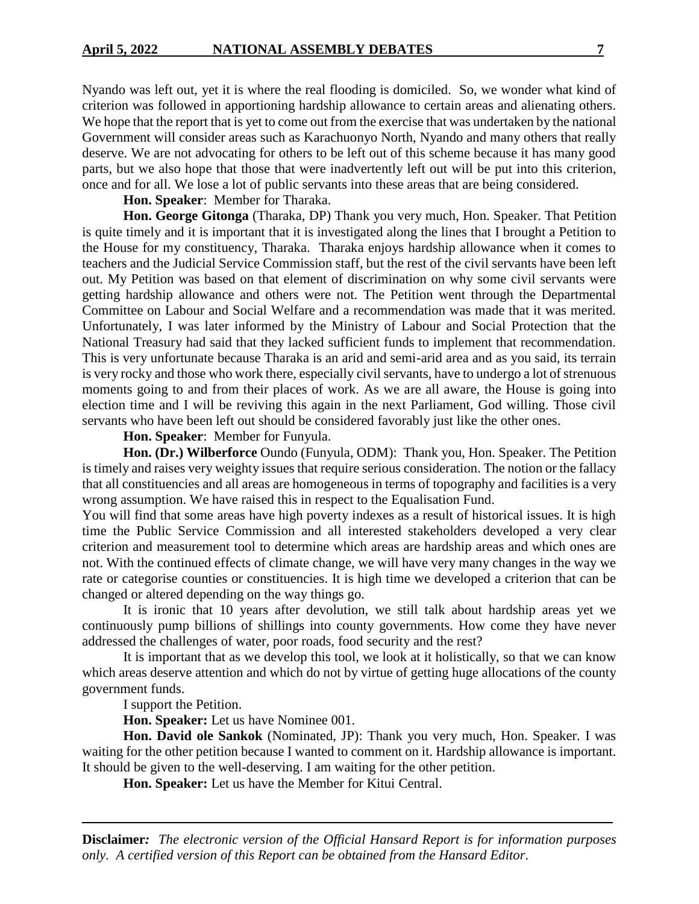Nyando was left out, yet it is where the real flooding is domiciled. So, we wonder what kind of criterion was followed in apportioning hardship allowance to certain areas and alienating others. We hope that the report that is yet to come out from the exercise that was undertaken by the national Government will consider areas such as Karachuonyo North, Nyando and many others that really deserve. We are not advocating for others to be left out of this scheme because it has many good parts, but we also hope that those that were inadvertently left out will be put into this criterion, once and for all. We lose a lot of public servants into these areas that are being considered.

**Hon. Speaker**: Member for Tharaka.

**Hon. George Gitonga** (Tharaka, DP) Thank you very much, Hon. Speaker. That Petition is quite timely and it is important that it is investigated along the lines that I brought a Petition to the House for my constituency, Tharaka. Tharaka enjoys hardship allowance when it comes to teachers and the Judicial Service Commission staff, but the rest of the civil servants have been left out. My Petition was based on that element of discrimination on why some civil servants were getting hardship allowance and others were not. The Petition went through the Departmental Committee on Labour and Social Welfare and a recommendation was made that it was merited. Unfortunately, I was later informed by the Ministry of Labour and Social Protection that the National Treasury had said that they lacked sufficient funds to implement that recommendation. This is very unfortunate because Tharaka is an arid and semi-arid area and as you said, its terrain is very rocky and those who work there, especially civil servants, have to undergo a lot of strenuous moments going to and from their places of work. As we are all aware, the House is going into election time and I will be reviving this again in the next Parliament, God willing. Those civil servants who have been left out should be considered favorably just like the other ones.

**Hon. Speaker**: Member for Funyula.

**Hon. (Dr.) Wilberforce** Oundo (Funyula, ODM): Thank you, Hon. Speaker. The Petition is timely and raises very weighty issues that require serious consideration. The notion or the fallacy that all constituencies and all areas are homogeneous in terms of topography and facilities is a very wrong assumption. We have raised this in respect to the Equalisation Fund.

You will find that some areas have high poverty indexes as a result of historical issues. It is high time the Public Service Commission and all interested stakeholders developed a very clear criterion and measurement tool to determine which areas are hardship areas and which ones are not. With the continued effects of climate change, we will have very many changes in the way we rate or categorise counties or constituencies. It is high time we developed a criterion that can be changed or altered depending on the way things go.

It is ironic that 10 years after devolution, we still talk about hardship areas yet we continuously pump billions of shillings into county governments. How come they have never addressed the challenges of water, poor roads, food security and the rest?

It is important that as we develop this tool, we look at it holistically, so that we can know which areas deserve attention and which do not by virtue of getting huge allocations of the county government funds.

I support the Petition.

**Hon. Speaker:** Let us have Nominee 001.

**Hon. David ole Sankok** (Nominated, JP): Thank you very much, Hon. Speaker. I was waiting for the other petition because I wanted to comment on it. Hardship allowance is important. It should be given to the well-deserving. I am waiting for the other petition.

**Hon. Speaker:** Let us have the Member for Kitui Central.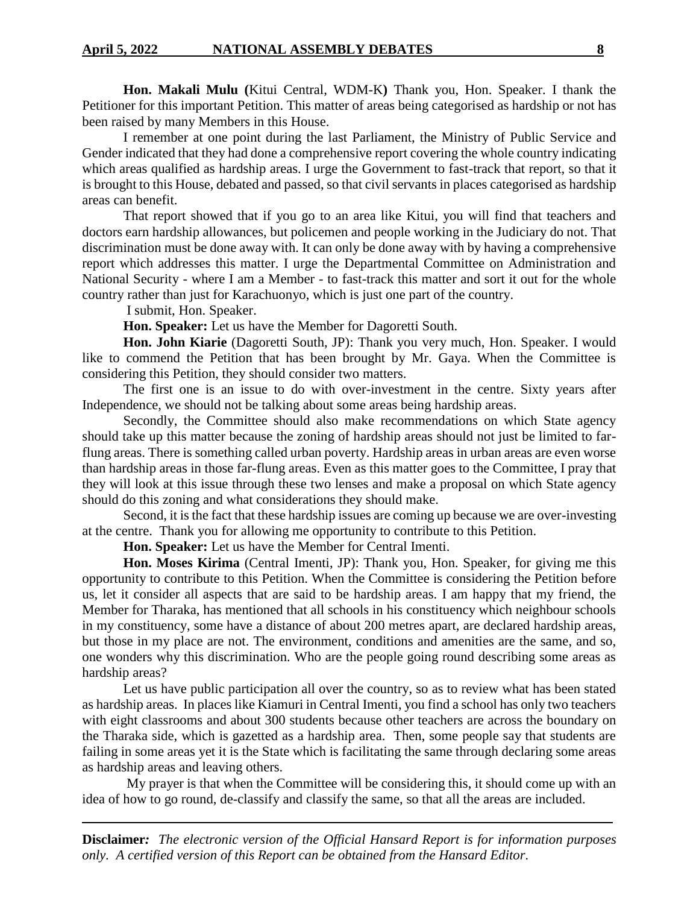**Hon. Makali Mulu (**Kitui Central, WDM-K**)** Thank you, Hon. Speaker. I thank the Petitioner for this important Petition. This matter of areas being categorised as hardship or not has been raised by many Members in this House.

I remember at one point during the last Parliament, the Ministry of Public Service and Gender indicated that they had done a comprehensive report covering the whole country indicating which areas qualified as hardship areas. I urge the Government to fast-track that report, so that it is brought to this House, debated and passed, so that civil servants in places categorised as hardship areas can benefit.

That report showed that if you go to an area like Kitui, you will find that teachers and doctors earn hardship allowances, but policemen and people working in the Judiciary do not. That discrimination must be done away with. It can only be done away with by having a comprehensive report which addresses this matter. I urge the Departmental Committee on Administration and National Security - where I am a Member - to fast-track this matter and sort it out for the whole country rather than just for Karachuonyo, which is just one part of the country.

I submit, Hon. Speaker.

**Hon. Speaker:** Let us have the Member for Dagoretti South.

**Hon. John Kiarie** (Dagoretti South, JP): Thank you very much, Hon. Speaker. I would like to commend the Petition that has been brought by Mr. Gaya. When the Committee is considering this Petition, they should consider two matters.

The first one is an issue to do with over-investment in the centre. Sixty years after Independence, we should not be talking about some areas being hardship areas.

Secondly, the Committee should also make recommendations on which State agency should take up this matter because the zoning of hardship areas should not just be limited to farflung areas. There is something called urban poverty. Hardship areas in urban areas are even worse than hardship areas in those far-flung areas. Even as this matter goes to the Committee, I pray that they will look at this issue through these two lenses and make a proposal on which State agency should do this zoning and what considerations they should make.

Second, it is the fact that these hardship issues are coming up because we are over-investing at the centre. Thank you for allowing me opportunity to contribute to this Petition.

**Hon. Speaker:** Let us have the Member for Central Imenti.

**Hon. Moses Kirima** (Central Imenti, JP): Thank you, Hon. Speaker, for giving me this opportunity to contribute to this Petition. When the Committee is considering the Petition before us, let it consider all aspects that are said to be hardship areas. I am happy that my friend, the Member for Tharaka, has mentioned that all schools in his constituency which neighbour schools in my constituency, some have a distance of about 200 metres apart, are declared hardship areas, but those in my place are not. The environment, conditions and amenities are the same, and so, one wonders why this discrimination. Who are the people going round describing some areas as hardship areas?

Let us have public participation all over the country, so as to review what has been stated as hardship areas. In places like Kiamuri in Central Imenti, you find a school has only two teachers with eight classrooms and about 300 students because other teachers are across the boundary on the Tharaka side, which is gazetted as a hardship area. Then, some people say that students are failing in some areas yet it is the State which is facilitating the same through declaring some areas as hardship areas and leaving others.

My prayer is that when the Committee will be considering this, it should come up with an idea of how to go round, de-classify and classify the same, so that all the areas are included.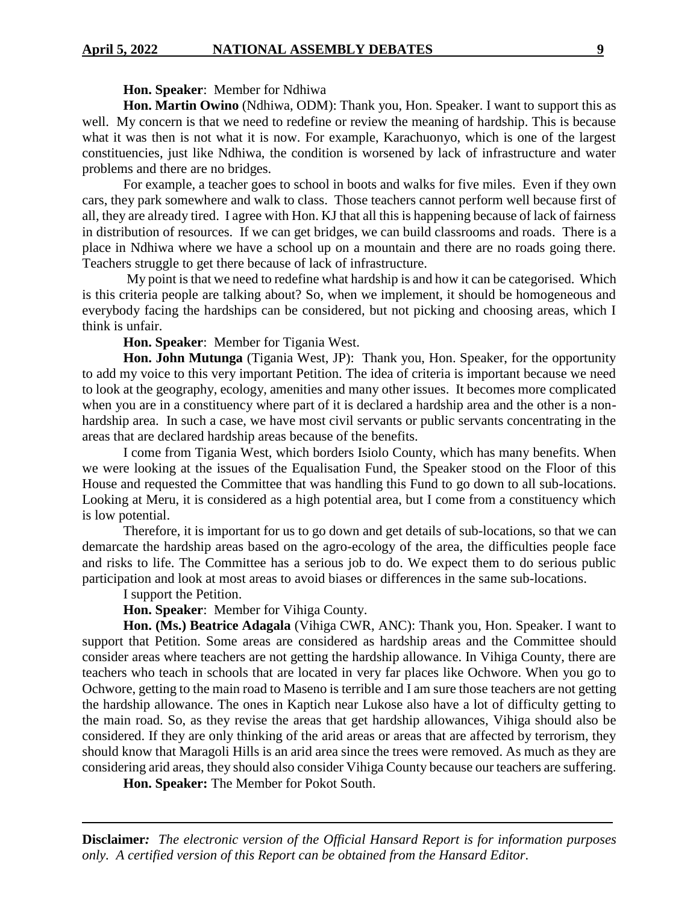**Hon. Speaker**: Member for Ndhiwa

**Hon. Martin Owino** (Ndhiwa, ODM): Thank you, Hon. Speaker. I want to support this as well. My concern is that we need to redefine or review the meaning of hardship. This is because what it was then is not what it is now. For example, Karachuonyo, which is one of the largest constituencies, just like Ndhiwa, the condition is worsened by lack of infrastructure and water problems and there are no bridges.

For example, a teacher goes to school in boots and walks for five miles. Even if they own cars, they park somewhere and walk to class. Those teachers cannot perform well because first of all, they are already tired. I agree with Hon. KJ that all this is happening because of lack of fairness in distribution of resources. If we can get bridges, we can build classrooms and roads. There is a place in Ndhiwa where we have a school up on a mountain and there are no roads going there. Teachers struggle to get there because of lack of infrastructure.

My point is that we need to redefine what hardship is and how it can be categorised. Which is this criteria people are talking about? So, when we implement, it should be homogeneous and everybody facing the hardships can be considered, but not picking and choosing areas, which I think is unfair.

**Hon. Speaker**: Member for Tigania West.

**Hon. John Mutunga** (Tigania West, JP): Thank you, Hon. Speaker, for the opportunity to add my voice to this very important Petition. The idea of criteria is important because we need to look at the geography, ecology, amenities and many other issues. It becomes more complicated when you are in a constituency where part of it is declared a hardship area and the other is a nonhardship area. In such a case, we have most civil servants or public servants concentrating in the areas that are declared hardship areas because of the benefits.

I come from Tigania West, which borders Isiolo County, which has many benefits. When we were looking at the issues of the Equalisation Fund, the Speaker stood on the Floor of this House and requested the Committee that was handling this Fund to go down to all sub-locations. Looking at Meru, it is considered as a high potential area, but I come from a constituency which is low potential.

Therefore, it is important for us to go down and get details of sub-locations, so that we can demarcate the hardship areas based on the agro-ecology of the area, the difficulties people face and risks to life. The Committee has a serious job to do. We expect them to do serious public participation and look at most areas to avoid biases or differences in the same sub-locations.

I support the Petition.

**Hon. Speaker**: Member for Vihiga County.

**Hon. (Ms.) Beatrice Adagala** (Vihiga CWR, ANC): Thank you, Hon. Speaker. I want to support that Petition. Some areas are considered as hardship areas and the Committee should consider areas where teachers are not getting the hardship allowance. In Vihiga County, there are teachers who teach in schools that are located in very far places like Ochwore. When you go to Ochwore, getting to the main road to Maseno is terrible and I am sure those teachers are not getting the hardship allowance. The ones in Kaptich near Lukose also have a lot of difficulty getting to the main road. So, as they revise the areas that get hardship allowances, Vihiga should also be considered. If they are only thinking of the arid areas or areas that are affected by terrorism, they should know that Maragoli Hills is an arid area since the trees were removed. As much as they are considering arid areas, they should also consider Vihiga County because our teachers are suffering.

**Hon. Speaker:** The Member for Pokot South.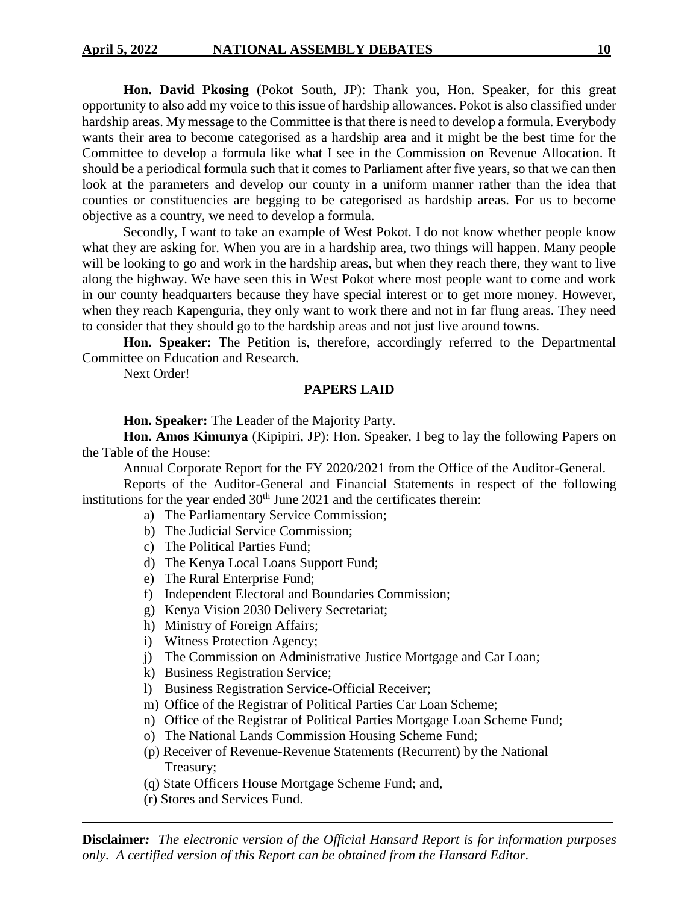**Hon. David Pkosing** (Pokot South, JP): Thank you, Hon. Speaker, for this great opportunity to also add my voice to this issue of hardship allowances. Pokot is also classified under hardship areas. My message to the Committee is that there is need to develop a formula. Everybody wants their area to become categorised as a hardship area and it might be the best time for the Committee to develop a formula like what I see in the Commission on Revenue Allocation. It should be a periodical formula such that it comes to Parliament after five years, so that we can then look at the parameters and develop our county in a uniform manner rather than the idea that counties or constituencies are begging to be categorised as hardship areas. For us to become objective as a country, we need to develop a formula.

Secondly, I want to take an example of West Pokot. I do not know whether people know what they are asking for. When you are in a hardship area, two things will happen. Many people will be looking to go and work in the hardship areas, but when they reach there, they want to live along the highway. We have seen this in West Pokot where most people want to come and work in our county headquarters because they have special interest or to get more money. However, when they reach Kapenguria, they only want to work there and not in far flung areas. They need to consider that they should go to the hardship areas and not just live around towns.

**Hon. Speaker:** The Petition is, therefore, accordingly referred to the Departmental Committee on Education and Research.

Next Order!

### **PAPERS LAID**

**Hon. Speaker:** The Leader of the Majority Party.

**Hon. Amos Kimunya** (Kipipiri, JP): Hon. Speaker, I beg to lay the following Papers on the Table of the House:

Annual Corporate Report for the FY 2020/2021 from the Office of the Auditor-General. Reports of the Auditor-General and Financial Statements in respect of the following institutions for the year ended  $30<sup>th</sup>$  June 2021 and the certificates therein:

- a) The Parliamentary Service Commission;
- b) The Judicial Service Commission;
- c) The Political Parties Fund;
- d) The Kenya Local Loans Support Fund;
- e) The Rural Enterprise Fund;
- f) Independent Electoral and Boundaries Commission;
- g) Kenya Vision 2030 Delivery Secretariat;
- h) Ministry of Foreign Affairs;
- i) Witness Protection Agency;
- j) The Commission on Administrative Justice Mortgage and Car Loan;
- k) Business Registration Service;
- l) Business Registration Service-Official Receiver;
- m) Office of the Registrar of Political Parties Car Loan Scheme;
- n) Office of the Registrar of Political Parties Mortgage Loan Scheme Fund;
- o) The National Lands Commission Housing Scheme Fund;
- (p) Receiver of Revenue-Revenue Statements (Recurrent) by the National Treasury;
- (q) State Officers House Mortgage Scheme Fund; and,
- (r) Stores and Services Fund.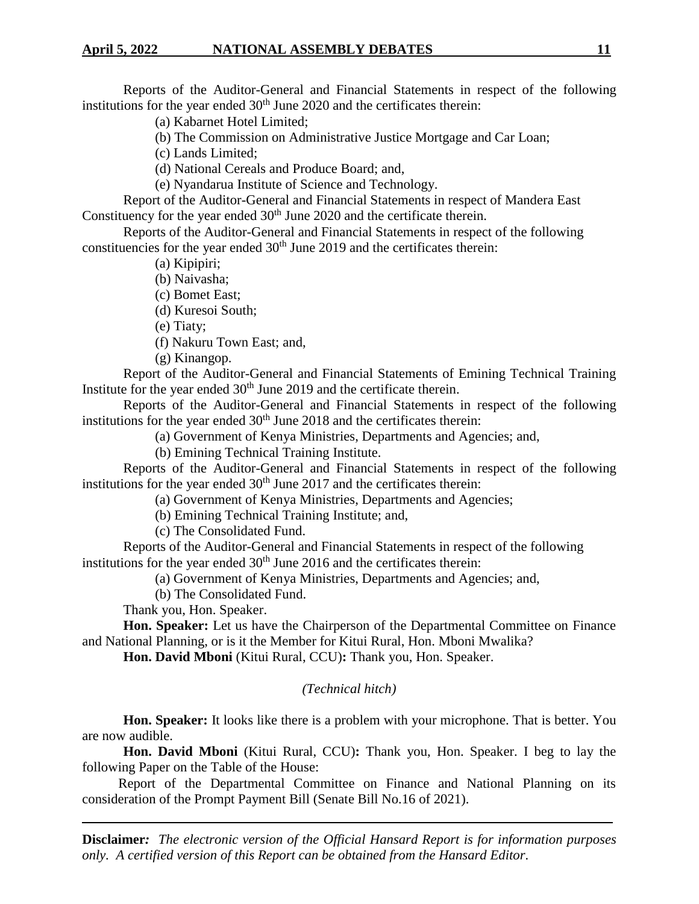Reports of the Auditor-General and Financial Statements in respect of the following institutions for the year ended  $30<sup>th</sup>$  June 2020 and the certificates therein:

(a) Kabarnet Hotel Limited;

(b) The Commission on Administrative Justice Mortgage and Car Loan;

(c) Lands Limited;

(d) National Cereals and Produce Board; and,

(e) Nyandarua Institute of Science and Technology.

Report of the Auditor-General and Financial Statements in respect of Mandera East Constituency for the year ended  $30<sup>th</sup>$  June 2020 and the certificate therein.

Reports of the Auditor-General and Financial Statements in respect of the following constituencies for the year ended  $30<sup>th</sup>$  June 2019 and the certificates therein:

(a) Kipipiri;

(b) Naivasha;

(c) Bomet East;

(d) Kuresoi South;

(e) Tiaty;

(f) Nakuru Town East; and,

(g) Kinangop.

Report of the Auditor-General and Financial Statements of Emining Technical Training Institute for the year ended  $30<sup>th</sup>$  June 2019 and the certificate therein.

Reports of the Auditor-General and Financial Statements in respect of the following institutions for the year ended  $30<sup>th</sup>$  June 2018 and the certificates therein:

(a) Government of Kenya Ministries, Departments and Agencies; and,

(b) Emining Technical Training Institute.

Reports of the Auditor-General and Financial Statements in respect of the following institutions for the year ended  $30<sup>th</sup>$  June 2017 and the certificates therein:

(a) Government of Kenya Ministries, Departments and Agencies;

(b) Emining Technical Training Institute; and,

(c) The Consolidated Fund.

Reports of the Auditor-General and Financial Statements in respect of the following institutions for the year ended  $30<sup>th</sup>$  June 2016 and the certificates therein:

(a) Government of Kenya Ministries, Departments and Agencies; and,

(b) The Consolidated Fund.

Thank you, Hon. Speaker.

**Hon. Speaker:** Let us have the Chairperson of the Departmental Committee on Finance and National Planning, or is it the Member for Kitui Rural, Hon. Mboni Mwalika?

**Hon. David Mboni** (Kitui Rural, CCU)**:** Thank you, Hon. Speaker.

#### *(Technical hitch)*

**Hon. Speaker:** It looks like there is a problem with your microphone. That is better. You are now audible.

**Hon. David Mboni** (Kitui Rural, CCU)**:** Thank you, Hon. Speaker. I beg to lay the following Paper on the Table of the House:

Report of the Departmental Committee on Finance and National Planning on its consideration of the Prompt Payment Bill (Senate Bill No.16 of 2021).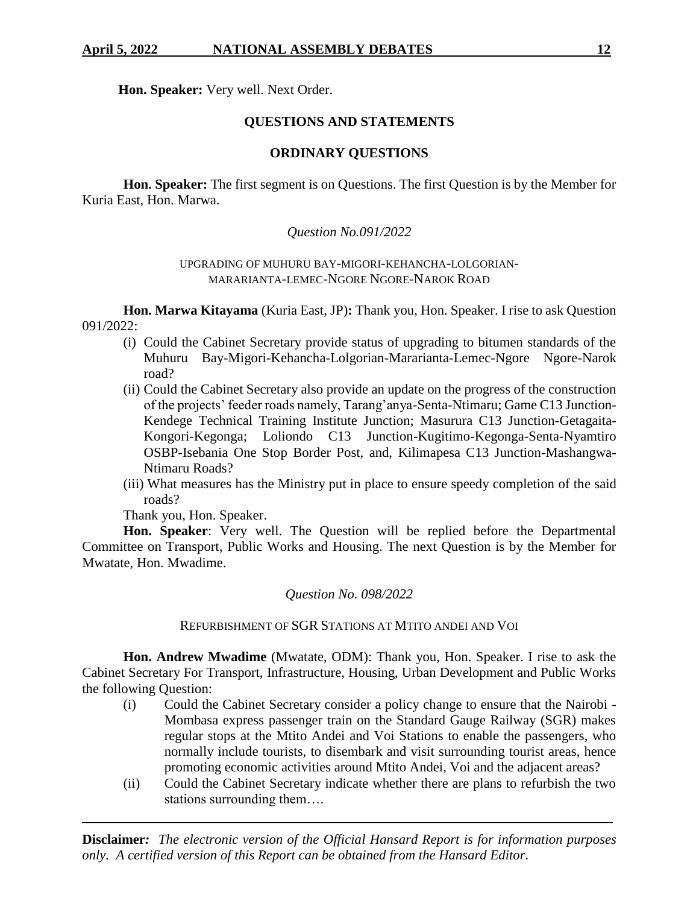**Hon. Speaker:** Very well. Next Order.

## **QUESTIONS AND STATEMENTS**

# **ORDINARY QUESTIONS**

**Hon. Speaker:** The first segment is on Questions. The first Question is by the Member for Kuria East, Hon. Marwa.

## *Question No.091/2022*

### UPGRADING OF MUHURU BAY-MIGORI-KEHANCHA-LOLGORIAN-MARARIANTA-LEMEC-NGORE NGORE-NAROK ROAD

**Hon. Marwa Kitayama** (Kuria East, JP)**:** Thank you, Hon. Speaker. I rise to ask Question 091/2022:

- (i) Could the Cabinet Secretary provide status of upgrading to bitumen standards of the Muhuru Bay-Migori-Kehancha-Lolgorian-Mararianta-Lemec-Ngore Ngore-Narok road?
- (ii) Could the Cabinet Secretary also provide an update on the progress of the construction of the projects' feeder roads namely, Tarang'anya-Senta-Ntimaru; Game C13 Junction-Kendege Technical Training Institute Junction; Masurura C13 Junction-Getagaita-Kongori-Kegonga; Loliondo C13 Junction-Kugitimo-Kegonga-Senta-Nyamtiro OSBP-Isebania One Stop Border Post, and, Kilimapesa C13 Junction-Mashangwa-Ntimaru Roads?
- (iii) What measures has the Ministry put in place to ensure speedy completion of the said roads?

Thank you, Hon. Speaker.

**Hon. Speaker**: Very well. The Question will be replied before the Departmental Committee on Transport, Public Works and Housing. The next Question is by the Member for Mwatate, Hon. Mwadime.

## *Question No. 098/2022*

## REFURBISHMENT OF SGR STATIONS AT MTITO ANDEI AND VOI

**Hon. Andrew Mwadime** (Mwatate, ODM): Thank you, Hon. Speaker. I rise to ask the Cabinet Secretary For Transport, Infrastructure, Housing, Urban Development and Public Works the following Question:

- (i) Could the Cabinet Secretary consider a policy change to ensure that the Nairobi Mombasa express passenger train on the Standard Gauge Railway (SGR) makes regular stops at the Mtito Andei and Voi Stations to enable the passengers, who normally include tourists, to disembark and visit surrounding tourist areas, hence promoting economic activities around Mtito Andei, Voi and the adjacent areas?
- (ii) Could the Cabinet Secretary indicate whether there are plans to refurbish the two stations surrounding them….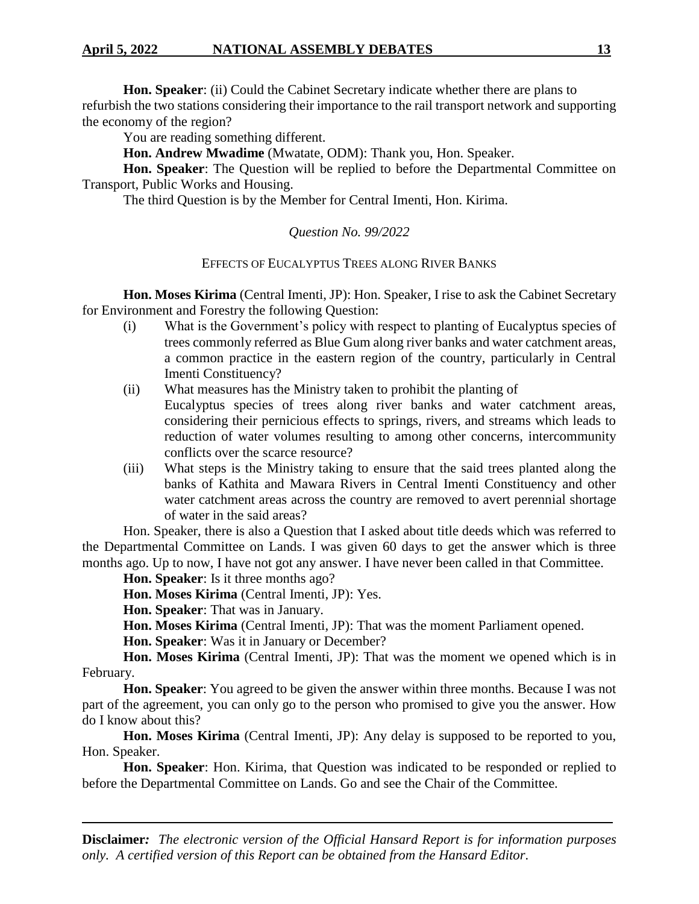**Hon. Speaker**: (ii) Could the Cabinet Secretary indicate whether there are plans to refurbish the two stations considering their importance to the rail transport network and supporting the economy of the region?

You are reading something different.

**Hon. Andrew Mwadime** (Mwatate, ODM): Thank you, Hon. Speaker.

**Hon. Speaker**: The Question will be replied to before the Departmental Committee on Transport, Public Works and Housing.

The third Question is by the Member for Central Imenti, Hon. Kirima.

## *Question No. 99/2022*

### EFFECTS OF EUCALYPTUS TREES ALONG RIVER BANKS

**Hon. Moses Kirima** (Central Imenti, JP): Hon. Speaker, I rise to ask the Cabinet Secretary for Environment and Forestry the following Question:

- (i) What is the Government's policy with respect to planting of Eucalyptus species of trees commonly referred as Blue Gum along river banks and water catchment areas, a common practice in the eastern region of the country, particularly in Central Imenti Constituency?
- (ii) What measures has the Ministry taken to prohibit the planting of Eucalyptus species of trees along river banks and water catchment areas, considering their pernicious effects to springs, rivers, and streams which leads to reduction of water volumes resulting to among other concerns, intercommunity conflicts over the scarce resource?
- (iii) What steps is the Ministry taking to ensure that the said trees planted along the banks of Kathita and Mawara Rivers in Central Imenti Constituency and other water catchment areas across the country are removed to avert perennial shortage of water in the said areas?

Hon. Speaker, there is also a Question that I asked about title deeds which was referred to the Departmental Committee on Lands. I was given 60 days to get the answer which is three months ago. Up to now, I have not got any answer. I have never been called in that Committee.

**Hon. Speaker**: Is it three months ago?

**Hon. Moses Kirima** (Central Imenti, JP): Yes.

**Hon. Speaker**: That was in January.

**Hon. Moses Kirima** (Central Imenti, JP): That was the moment Parliament opened.

**Hon. Speaker**: Was it in January or December?

**Hon. Moses Kirima** (Central Imenti, JP): That was the moment we opened which is in February.

**Hon. Speaker**: You agreed to be given the answer within three months. Because I was not part of the agreement, you can only go to the person who promised to give you the answer. How do I know about this?

**Hon. Moses Kirima** (Central Imenti, JP): Any delay is supposed to be reported to you, Hon. Speaker.

**Hon. Speaker**: Hon. Kirima, that Question was indicated to be responded or replied to before the Departmental Committee on Lands. Go and see the Chair of the Committee.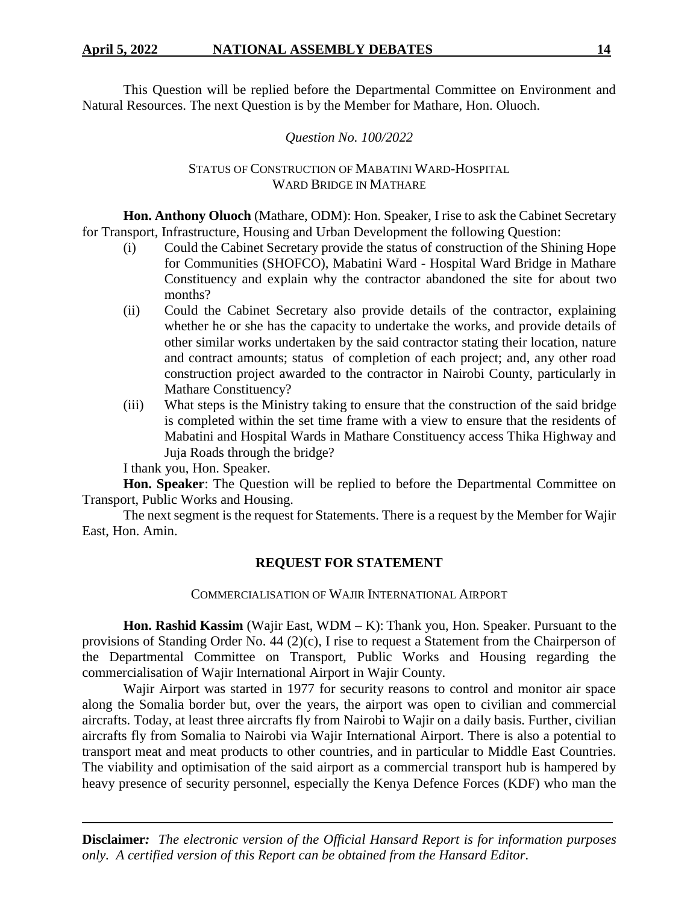This Question will be replied before the Departmental Committee on Environment and Natural Resources. The next Question is by the Member for Mathare, Hon. Oluoch.

# *Question No. 100/2022*

# STATUS OF CONSTRUCTION OF MABATINI WARD-HOSPITAL WARD BRIDGE IN MATHARE

**Hon. Anthony Oluoch** (Mathare, ODM): Hon. Speaker, I rise to ask the Cabinet Secretary for Transport, Infrastructure, Housing and Urban Development the following Question:

- (i) Could the Cabinet Secretary provide the status of construction of the Shining Hope for Communities (SHOFCO), Mabatini Ward - Hospital Ward Bridge in Mathare Constituency and explain why the contractor abandoned the site for about two months?
- (ii) Could the Cabinet Secretary also provide details of the contractor, explaining whether he or she has the capacity to undertake the works, and provide details of other similar works undertaken by the said contractor stating their location, nature and contract amounts; status of completion of each project; and, any other road construction project awarded to the contractor in Nairobi County, particularly in Mathare Constituency?
- (iii) What steps is the Ministry taking to ensure that the construction of the said bridge is completed within the set time frame with a view to ensure that the residents of Mabatini and Hospital Wards in Mathare Constituency access Thika Highway and Juja Roads through the bridge?

I thank you, Hon. Speaker.

**Hon. Speaker**: The Question will be replied to before the Departmental Committee on Transport, Public Works and Housing.

The next segment is the request for Statements. There is a request by the Member for Wajir East, Hon. Amin.

# **REQUEST FOR STATEMENT**

COMMERCIALISATION OF WAJIR INTERNATIONAL AIRPORT

**Hon. Rashid Kassim** (Wajir East, WDM – K): Thank you, Hon. Speaker. Pursuant to the provisions of Standing Order No. 44 (2)(c), I rise to request a Statement from the Chairperson of the Departmental Committee on Transport, Public Works and Housing regarding the commercialisation of Wajir International Airport in Wajir County.

Wajir Airport was started in 1977 for security reasons to control and monitor air space along the Somalia border but, over the years, the airport was open to civilian and commercial aircrafts. Today, at least three aircrafts fly from Nairobi to Wajir on a daily basis. Further, civilian aircrafts fly from Somalia to Nairobi via Wajir International Airport. There is also a potential to transport meat and meat products to other countries, and in particular to Middle East Countries. The viability and optimisation of the said airport as a commercial transport hub is hampered by heavy presence of security personnel, especially the Kenya Defence Forces (KDF) who man the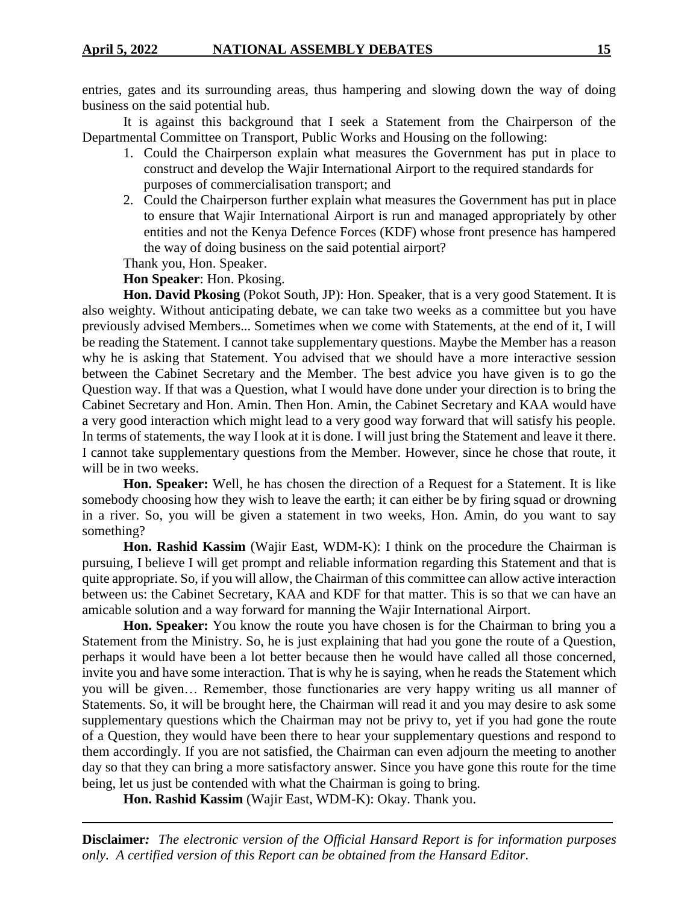entries, gates and its surrounding areas, thus hampering and slowing down the way of doing business on the said potential hub.

It is against this background that I seek a Statement from the Chairperson of the Departmental Committee on Transport, Public Works and Housing on the following:

- 1. Could the Chairperson explain what measures the Government has put in place to construct and develop the Wajir International Airport to the required standards for purposes of commercialisation transport; and
- 2. Could the Chairperson further explain what measures the Government has put in place to ensure that Wajir International Airport is run and managed appropriately by other entities and not the Kenya Defence Forces (KDF) whose front presence has hampered the way of doing business on the said potential airport?

Thank you, Hon. Speaker.

**Hon Speaker**: Hon. Pkosing.

**Hon. David Pkosing** (Pokot South, JP): Hon. Speaker, that is a very good Statement. It is also weighty. Without anticipating debate, we can take two weeks as a committee but you have previously advised Members... Sometimes when we come with Statements, at the end of it, I will be reading the Statement. I cannot take supplementary questions. Maybe the Member has a reason why he is asking that Statement. You advised that we should have a more interactive session between the Cabinet Secretary and the Member. The best advice you have given is to go the Question way. If that was a Question, what I would have done under your direction is to bring the Cabinet Secretary and Hon. Amin. Then Hon. Amin, the Cabinet Secretary and KAA would have a very good interaction which might lead to a very good way forward that will satisfy his people. In terms of statements, the way I look at it is done. I will just bring the Statement and leave it there. I cannot take supplementary questions from the Member. However, since he chose that route, it will be in two weeks.

**Hon. Speaker:** Well, he has chosen the direction of a Request for a Statement. It is like somebody choosing how they wish to leave the earth; it can either be by firing squad or drowning in a river. So, you will be given a statement in two weeks, Hon. Amin, do you want to say something?

**Hon. Rashid Kassim** (Wajir East, WDM-K): I think on the procedure the Chairman is pursuing, I believe I will get prompt and reliable information regarding this Statement and that is quite appropriate. So, if you will allow, the Chairman of this committee can allow active interaction between us: the Cabinet Secretary, KAA and KDF for that matter. This is so that we can have an amicable solution and a way forward for manning the Wajir International Airport.

**Hon. Speaker:** You know the route you have chosen is for the Chairman to bring you a Statement from the Ministry. So, he is just explaining that had you gone the route of a Question, perhaps it would have been a lot better because then he would have called all those concerned, invite you and have some interaction. That is why he is saying, when he reads the Statement which you will be given… Remember, those functionaries are very happy writing us all manner of Statements. So, it will be brought here, the Chairman will read it and you may desire to ask some supplementary questions which the Chairman may not be privy to, yet if you had gone the route of a Question, they would have been there to hear your supplementary questions and respond to them accordingly. If you are not satisfied, the Chairman can even adjourn the meeting to another day so that they can bring a more satisfactory answer. Since you have gone this route for the time being, let us just be contended with what the Chairman is going to bring.

**Hon. Rashid Kassim** (Wajir East, WDM-K): Okay. Thank you.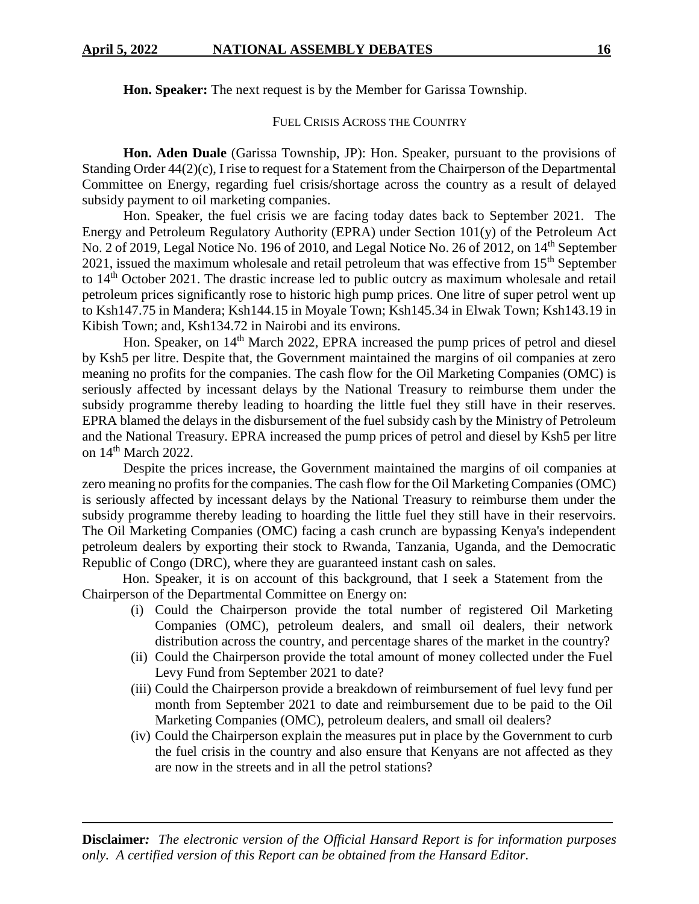**Hon. Speaker:** The next request is by the Member for Garissa Township.

### FUEL CRISIS ACROSS THE COUNTRY

**Hon. Aden Duale** (Garissa Township, JP): Hon. Speaker, pursuant to the provisions of Standing Order 44(2)(c), I rise to request for a Statement from the Chairperson of the Departmental Committee on Energy, regarding fuel crisis/shortage across the country as a result of delayed subsidy payment to oil marketing companies.

Hon. Speaker, the fuel crisis we are facing today dates back to September 2021. The Energy and Petroleum Regulatory Authority (EPRA) under Section 101(y) of the Petroleum Act No. 2 of 2019, Legal Notice No. 196 of 2010, and Legal Notice No. 26 of 2012, on 14th September 2021, issued the maximum wholesale and retail petroleum that was effective from 15<sup>th</sup> September to 14<sup>th</sup> October 2021. The drastic increase led to public outcry as maximum wholesale and retail petroleum prices significantly rose to historic high pump prices. One litre of super petrol went up to Ksh147.75 in Mandera; Ksh144.15 in Moyale Town; Ksh145.34 in Elwak Town; Ksh143.19 in Kibish Town; and, Ksh134.72 in Nairobi and its environs.

Hon. Speaker, on 14<sup>th</sup> March 2022, EPRA increased the pump prices of petrol and diesel by Ksh5 per litre. Despite that, the Government maintained the margins of oil companies at zero meaning no profits for the companies. The cash flow for the Oil Marketing Companies (OMC) is seriously affected by incessant delays by the National Treasury to reimburse them under the subsidy programme thereby leading to hoarding the little fuel they still have in their reserves. EPRA blamed the delays in the disbursement of the fuel subsidy cash by the Ministry of Petroleum and the National Treasury. EPRA increased the pump prices of petrol and diesel by Ksh5 per litre on 14<sup>th</sup> March 2022.

Despite the prices increase, the Government maintained the margins of oil companies at zero meaning no profits for the companies. The cash flow for the Oil Marketing Companies (OMC) is seriously affected by incessant delays by the National Treasury to reimburse them under the subsidy programme thereby leading to hoarding the little fuel they still have in their reservoirs. The Oil Marketing Companies (OMC) facing a cash crunch are bypassing Kenya's independent petroleum dealers by exporting their stock to Rwanda, Tanzania, Uganda, and the Democratic Republic of Congo (DRC), where they are guaranteed instant cash on sales.

Hon. Speaker, it is on account of this background, that I seek a Statement from the Chairperson of the Departmental Committee on Energy on:

- (i) Could the Chairperson provide the total number of registered Oil Marketing Companies (OMC), petroleum dealers, and small oil dealers, their network distribution across the country, and percentage shares of the market in the country?
- (ii) Could the Chairperson provide the total amount of money collected under the Fuel Levy Fund from September 2021 to date?
- (iii) Could the Chairperson provide a breakdown of reimbursement of fuel levy fund per month from September 2021 to date and reimbursement due to be paid to the Oil Marketing Companies (OMC), petroleum dealers, and small oil dealers?
- (iv) Could the Chairperson explain the measures put in place by the Government to curb the fuel crisis in the country and also ensure that Kenyans are not affected as they are now in the streets and in all the petrol stations?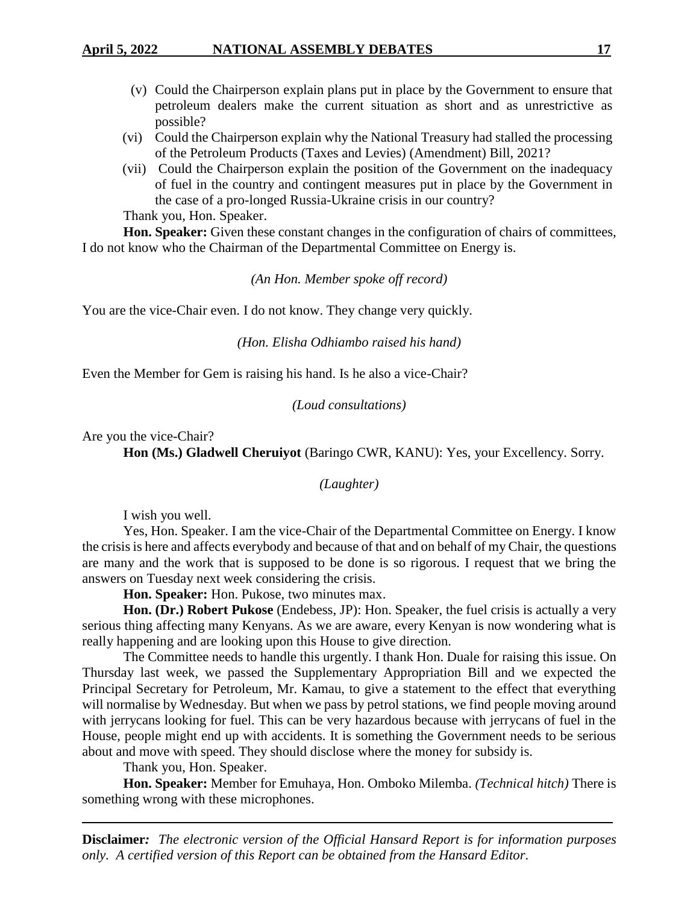- (v) Could the Chairperson explain plans put in place by the Government to ensure that petroleum dealers make the current situation as short and as unrestrictive as possible?
- (vi) Could the Chairperson explain why the National Treasury had stalled the processing of the Petroleum Products (Taxes and Levies) (Amendment) Bill, 2021?
- (vii) Could the Chairperson explain the position of the Government on the inadequacy of fuel in the country and contingent measures put in place by the Government in the case of a pro-longed Russia-Ukraine crisis in our country? Thank you, Hon. Speaker.

**Hon. Speaker:** Given these constant changes in the configuration of chairs of committees, I do not know who the Chairman of the Departmental Committee on Energy is.

*(An Hon. Member spoke off record)*

You are the vice-Chair even. I do not know. They change very quickly.

*(Hon. Elisha Odhiambo raised his hand)*

Even the Member for Gem is raising his hand. Is he also a vice-Chair?

*(Loud consultations)*

Are you the vice-Chair?

Hon (Ms.) Gladwell Cheruiyot (Baringo CWR, KANU): Yes, your Excellency. Sorry.

*(Laughter)*

I wish you well.

Yes, Hon. Speaker. I am the vice-Chair of the Departmental Committee on Energy. I know the crisis is here and affects everybody and because of that and on behalf of my Chair, the questions are many and the work that is supposed to be done is so rigorous. I request that we bring the answers on Tuesday next week considering the crisis.

**Hon. Speaker:** Hon. Pukose, two minutes max.

**Hon. (Dr.) Robert Pukose** (Endebess, JP): Hon. Speaker, the fuel crisis is actually a very serious thing affecting many Kenyans. As we are aware, every Kenyan is now wondering what is really happening and are looking upon this House to give direction.

The Committee needs to handle this urgently. I thank Hon. Duale for raising this issue. On Thursday last week, we passed the Supplementary Appropriation Bill and we expected the Principal Secretary for Petroleum, Mr. Kamau, to give a statement to the effect that everything will normalise by Wednesday. But when we pass by petrol stations, we find people moving around with jerrycans looking for fuel. This can be very hazardous because with jerrycans of fuel in the House, people might end up with accidents. It is something the Government needs to be serious about and move with speed. They should disclose where the money for subsidy is.

Thank you, Hon. Speaker.

**Hon. Speaker:** Member for Emuhaya, Hon. Omboko Milemba. *(Technical hitch)* There is something wrong with these microphones.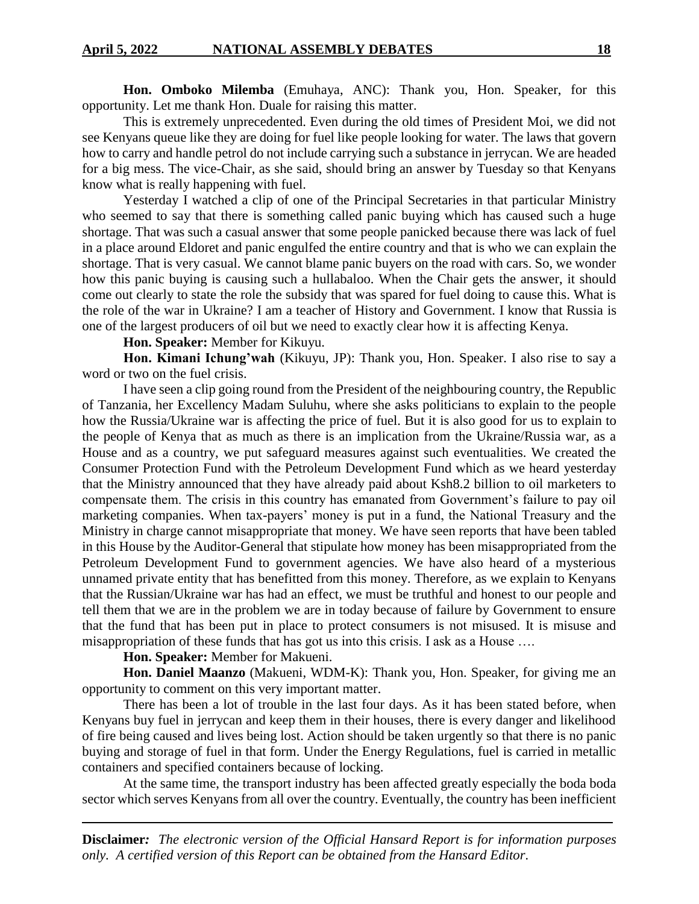**Hon. Omboko Milemba** (Emuhaya, ANC): Thank you, Hon. Speaker, for this opportunity. Let me thank Hon. Duale for raising this matter.

This is extremely unprecedented. Even during the old times of President Moi, we did not see Kenyans queue like they are doing for fuel like people looking for water. The laws that govern how to carry and handle petrol do not include carrying such a substance in jerrycan. We are headed for a big mess. The vice-Chair, as she said, should bring an answer by Tuesday so that Kenyans know what is really happening with fuel.

Yesterday I watched a clip of one of the Principal Secretaries in that particular Ministry who seemed to say that there is something called panic buying which has caused such a huge shortage. That was such a casual answer that some people panicked because there was lack of fuel in a place around Eldoret and panic engulfed the entire country and that is who we can explain the shortage. That is very casual. We cannot blame panic buyers on the road with cars. So, we wonder how this panic buying is causing such a hullabaloo. When the Chair gets the answer, it should come out clearly to state the role the subsidy that was spared for fuel doing to cause this. What is the role of the war in Ukraine? I am a teacher of History and Government. I know that Russia is one of the largest producers of oil but we need to exactly clear how it is affecting Kenya.

**Hon. Speaker:** Member for Kikuyu.

**Hon. Kimani Ichung'wah** (Kikuyu, JP): Thank you, Hon. Speaker. I also rise to say a word or two on the fuel crisis.

I have seen a clip going round from the President of the neighbouring country, the Republic of Tanzania, her Excellency Madam Suluhu, where she asks politicians to explain to the people how the Russia/Ukraine war is affecting the price of fuel. But it is also good for us to explain to the people of Kenya that as much as there is an implication from the Ukraine/Russia war, as a House and as a country, we put safeguard measures against such eventualities. We created the Consumer Protection Fund with the Petroleum Development Fund which as we heard yesterday that the Ministry announced that they have already paid about Ksh8.2 billion to oil marketers to compensate them. The crisis in this country has emanated from Government's failure to pay oil marketing companies. When tax-payers' money is put in a fund, the National Treasury and the Ministry in charge cannot misappropriate that money. We have seen reports that have been tabled in this House by the Auditor-General that stipulate how money has been misappropriated from the Petroleum Development Fund to government agencies. We have also heard of a mysterious unnamed private entity that has benefitted from this money. Therefore, as we explain to Kenyans that the Russian/Ukraine war has had an effect, we must be truthful and honest to our people and tell them that we are in the problem we are in today because of failure by Government to ensure that the fund that has been put in place to protect consumers is not misused. It is misuse and misappropriation of these funds that has got us into this crisis. I ask as a House ….

### **Hon. Speaker:** Member for Makueni.

**Hon. Daniel Maanzo** (Makueni, WDM-K): Thank you, Hon. Speaker, for giving me an opportunity to comment on this very important matter.

There has been a lot of trouble in the last four days. As it has been stated before, when Kenyans buy fuel in jerrycan and keep them in their houses, there is every danger and likelihood of fire being caused and lives being lost. Action should be taken urgently so that there is no panic buying and storage of fuel in that form. Under the Energy Regulations, fuel is carried in metallic containers and specified containers because of locking.

At the same time, the transport industry has been affected greatly especially the boda boda sector which serves Kenyans from all over the country. Eventually, the country has been inefficient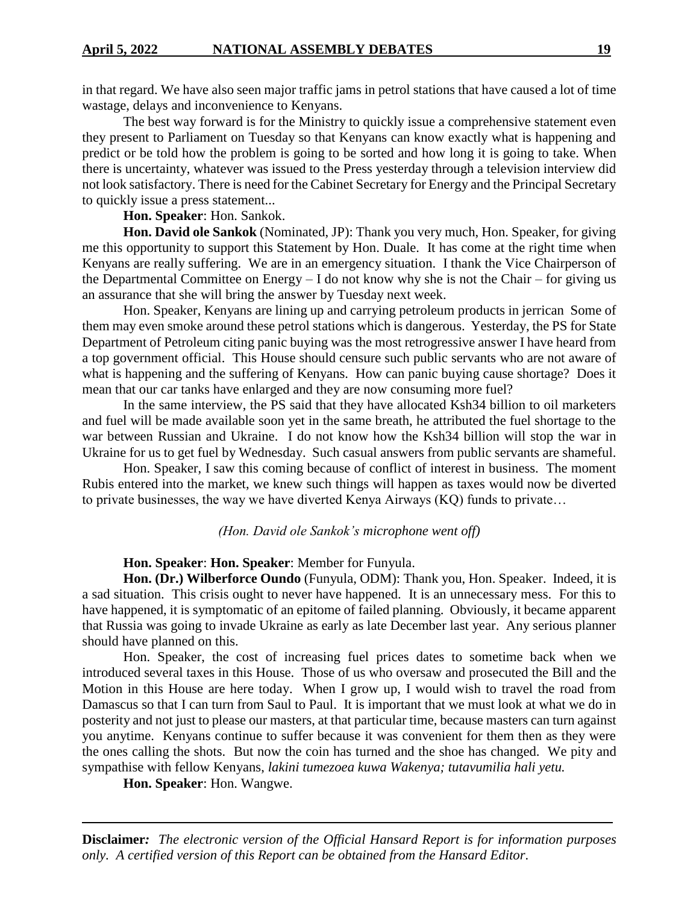in that regard. We have also seen major traffic jams in petrol stations that have caused a lot of time wastage, delays and inconvenience to Kenyans.

The best way forward is for the Ministry to quickly issue a comprehensive statement even they present to Parliament on Tuesday so that Kenyans can know exactly what is happening and predict or be told how the problem is going to be sorted and how long it is going to take. When there is uncertainty, whatever was issued to the Press yesterday through a television interview did not look satisfactory. There is need for the Cabinet Secretary for Energy and the Principal Secretary to quickly issue a press statement...

**Hon. Speaker**: Hon. Sankok.

**Hon. David ole Sankok** (Nominated, JP): Thank you very much, Hon. Speaker, for giving me this opportunity to support this Statement by Hon. Duale. It has come at the right time when Kenyans are really suffering. We are in an emergency situation. I thank the Vice Chairperson of the Departmental Committee on Energy – I do not know why she is not the Chair – for giving us an assurance that she will bring the answer by Tuesday next week.

Hon. Speaker, Kenyans are lining up and carrying petroleum products in jerrican Some of them may even smoke around these petrol stations which is dangerous. Yesterday, the PS for State Department of Petroleum citing panic buying was the most retrogressive answer I have heard from a top government official. This House should censure such public servants who are not aware of what is happening and the suffering of Kenyans. How can panic buying cause shortage? Does it mean that our car tanks have enlarged and they are now consuming more fuel?

In the same interview, the PS said that they have allocated Ksh34 billion to oil marketers and fuel will be made available soon yet in the same breath, he attributed the fuel shortage to the war between Russian and Ukraine. I do not know how the Ksh34 billion will stop the war in Ukraine for us to get fuel by Wednesday. Such casual answers from public servants are shameful.

Hon. Speaker, I saw this coming because of conflict of interest in business. The moment Rubis entered into the market, we knew such things will happen as taxes would now be diverted to private businesses, the way we have diverted Kenya Airways (KQ) funds to private…

### *(Hon. David ole Sankok's microphone went off)*

### **Hon. Speaker**: **Hon. Speaker**: Member for Funyula.

**Hon. (Dr.) Wilberforce Oundo** (Funyula, ODM): Thank you, Hon. Speaker. Indeed, it is a sad situation. This crisis ought to never have happened. It is an unnecessary mess. For this to have happened, it is symptomatic of an epitome of failed planning. Obviously, it became apparent that Russia was going to invade Ukraine as early as late December last year. Any serious planner should have planned on this.

Hon. Speaker, the cost of increasing fuel prices dates to sometime back when we introduced several taxes in this House. Those of us who oversaw and prosecuted the Bill and the Motion in this House are here today. When I grow up, I would wish to travel the road from Damascus so that I can turn from Saul to Paul. It is important that we must look at what we do in posterity and not just to please our masters, at that particular time, because masters can turn against you anytime. Kenyans continue to suffer because it was convenient for them then as they were the ones calling the shots. But now the coin has turned and the shoe has changed. We pity and sympathise with fellow Kenyans, *lakini tumezoea kuwa Wakenya; tutavumilia hali yetu.*

**Hon. Speaker**: Hon. Wangwe.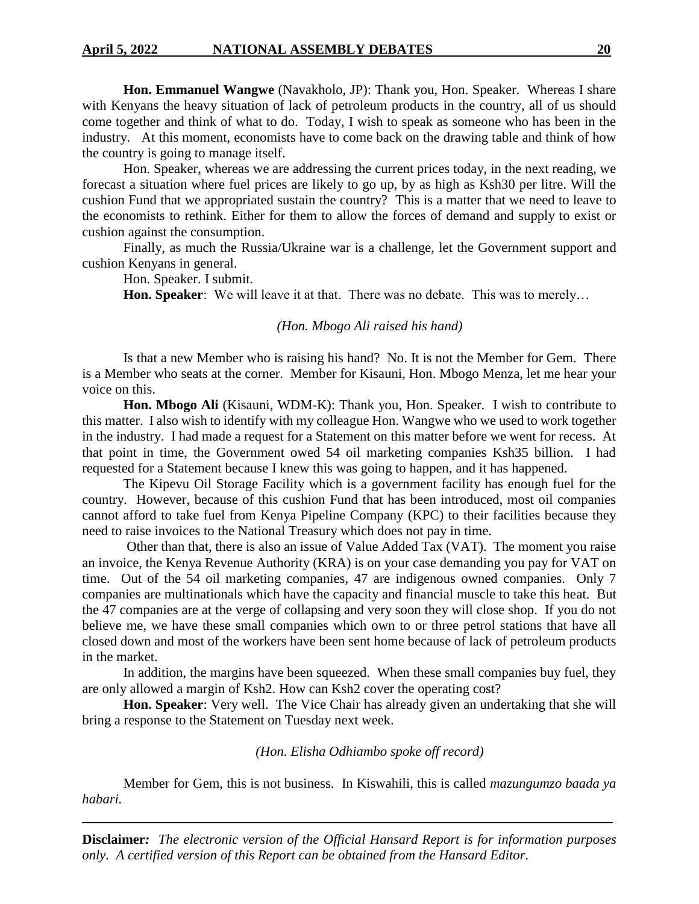**Hon. Emmanuel Wangwe** (Navakholo, JP): Thank you, Hon. Speaker. Whereas I share with Kenyans the heavy situation of lack of petroleum products in the country, all of us should come together and think of what to do. Today, I wish to speak as someone who has been in the industry. At this moment, economists have to come back on the drawing table and think of how the country is going to manage itself.

Hon. Speaker, whereas we are addressing the current prices today, in the next reading, we forecast a situation where fuel prices are likely to go up, by as high as Ksh30 per litre. Will the cushion Fund that we appropriated sustain the country? This is a matter that we need to leave to the economists to rethink. Either for them to allow the forces of demand and supply to exist or cushion against the consumption.

Finally, as much the Russia/Ukraine war is a challenge, let the Government support and cushion Kenyans in general.

Hon. Speaker. I submit.

**Hon. Speaker**: We will leave it at that. There was no debate. This was to merely…

### *(Hon. Mbogo Ali raised his hand)*

Is that a new Member who is raising his hand? No. It is not the Member for Gem. There is a Member who seats at the corner. Member for Kisauni, Hon. Mbogo Menza, let me hear your voice on this.

**Hon. Mbogo Ali** (Kisauni, WDM-K): Thank you, Hon. Speaker. I wish to contribute to this matter. I also wish to identify with my colleague Hon. Wangwe who we used to work together in the industry. I had made a request for a Statement on this matter before we went for recess. At that point in time, the Government owed 54 oil marketing companies Ksh35 billion. I had requested for a Statement because I knew this was going to happen, and it has happened.

The Kipevu Oil Storage Facility which is a government facility has enough fuel for the country. However, because of this cushion Fund that has been introduced, most oil companies cannot afford to take fuel from Kenya Pipeline Company (KPC) to their facilities because they need to raise invoices to the National Treasury which does not pay in time.

Other than that, there is also an issue of Value Added Tax (VAT). The moment you raise an invoice, the Kenya Revenue Authority (KRA) is on your case demanding you pay for VAT on time. Out of the 54 oil marketing companies, 47 are indigenous owned companies. Only 7 companies are multinationals which have the capacity and financial muscle to take this heat. But the 47 companies are at the verge of collapsing and very soon they will close shop. If you do not believe me, we have these small companies which own to or three petrol stations that have all closed down and most of the workers have been sent home because of lack of petroleum products in the market.

In addition, the margins have been squeezed. When these small companies buy fuel, they are only allowed a margin of Ksh2. How can Ksh2 cover the operating cost?

**Hon. Speaker**: Very well. The Vice Chair has already given an undertaking that she will bring a response to the Statement on Tuesday next week.

#### *(Hon. Elisha Odhiambo spoke off record)*

Member for Gem, this is not business. In Kiswahili, this is called *mazungumzo baada ya habari.*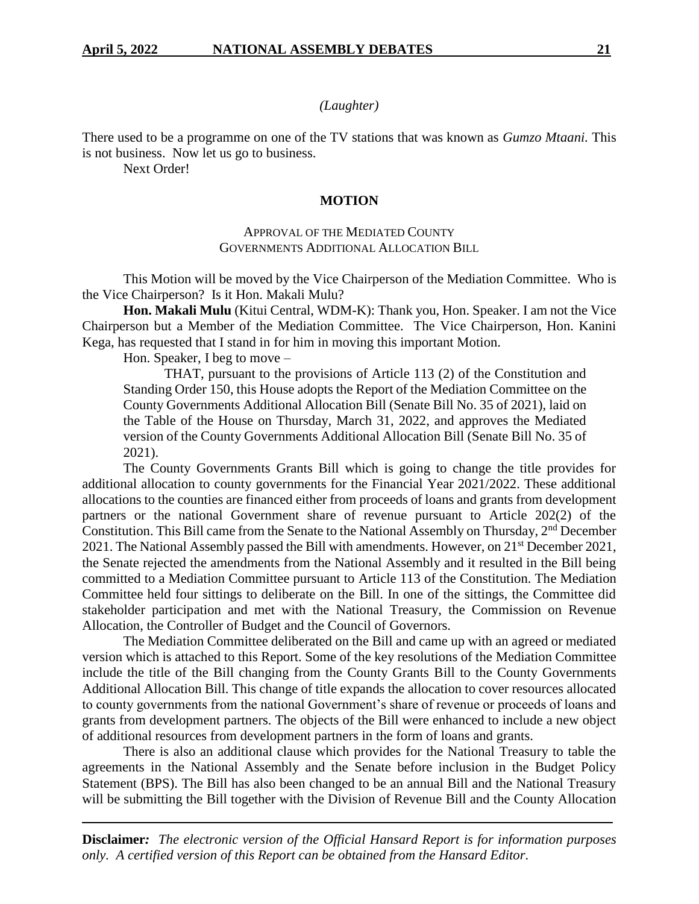### *(Laughter)*

There used to be a programme on one of the TV stations that was known as *Gumzo Mtaani.* This is not business. Now let us go to business.

Next Order!

#### **MOTION**

### APPROVAL OF THE MEDIATED COUNTY GOVERNMENTS ADDITIONAL ALLOCATION BILL

This Motion will be moved by the Vice Chairperson of the Mediation Committee. Who is the Vice Chairperson? Is it Hon. Makali Mulu?

**Hon. Makali Mulu** (Kitui Central, WDM-K): Thank you, Hon. Speaker. I am not the Vice Chairperson but a Member of the Mediation Committee. The Vice Chairperson, Hon. Kanini Kega, has requested that I stand in for him in moving this important Motion.

Hon. Speaker, I beg to move –

THAT, pursuant to the provisions of Article 113 (2) of the Constitution and Standing Order 150, this House adopts the Report of the Mediation Committee on the County Governments Additional Allocation Bill (Senate Bill No. 35 of 2021), laid on the Table of the House on Thursday, March 31, 2022, and approves the Mediated version of the County Governments Additional Allocation Bill (Senate Bill No. 35 of 2021).

The County Governments Grants Bill which is going to change the title provides for additional allocation to county governments for the Financial Year 2021/2022. These additional allocations to the counties are financed either from proceeds of loans and grants from development partners or the national Government share of revenue pursuant to Article 202(2) of the Constitution. This Bill came from the Senate to the National Assembly on Thursday,  $2<sup>nd</sup>$  December 2021. The National Assembly passed the Bill with amendments. However, on 21<sup>st</sup> December 2021, the Senate rejected the amendments from the National Assembly and it resulted in the Bill being committed to a Mediation Committee pursuant to Article 113 of the Constitution. The Mediation Committee held four sittings to deliberate on the Bill. In one of the sittings, the Committee did stakeholder participation and met with the National Treasury, the Commission on Revenue Allocation, the Controller of Budget and the Council of Governors.

The Mediation Committee deliberated on the Bill and came up with an agreed or mediated version which is attached to this Report. Some of the key resolutions of the Mediation Committee include the title of the Bill changing from the County Grants Bill to the County Governments Additional Allocation Bill. This change of title expands the allocation to cover resources allocated to county governments from the national Government's share of revenue or proceeds of loans and grants from development partners. The objects of the Bill were enhanced to include a new object of additional resources from development partners in the form of loans and grants.

There is also an additional clause which provides for the National Treasury to table the agreements in the National Assembly and the Senate before inclusion in the Budget Policy Statement (BPS). The Bill has also been changed to be an annual Bill and the National Treasury will be submitting the Bill together with the Division of Revenue Bill and the County Allocation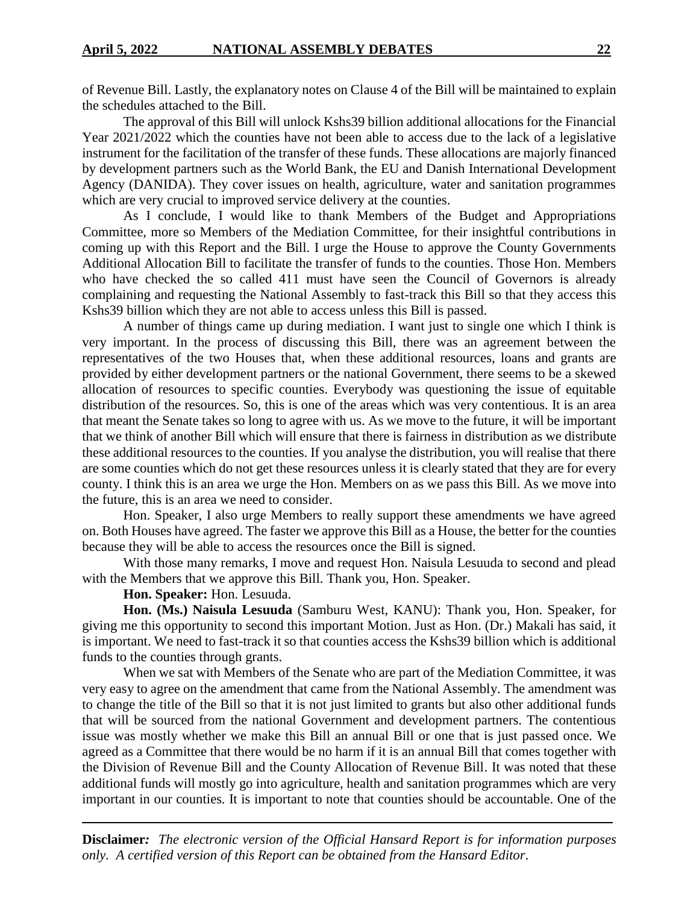of Revenue Bill. Lastly, the explanatory notes on Clause 4 of the Bill will be maintained to explain the schedules attached to the Bill.

The approval of this Bill will unlock Kshs39 billion additional allocations for the Financial Year 2021/2022 which the counties have not been able to access due to the lack of a legislative instrument for the facilitation of the transfer of these funds. These allocations are majorly financed by development partners such as the World Bank, the EU and Danish International Development Agency (DANIDA). They cover issues on health, agriculture, water and sanitation programmes which are very crucial to improved service delivery at the counties.

As I conclude, I would like to thank Members of the Budget and Appropriations Committee, more so Members of the Mediation Committee, for their insightful contributions in coming up with this Report and the Bill. I urge the House to approve the County Governments Additional Allocation Bill to facilitate the transfer of funds to the counties. Those Hon. Members who have checked the so called 411 must have seen the Council of Governors is already complaining and requesting the National Assembly to fast-track this Bill so that they access this Kshs39 billion which they are not able to access unless this Bill is passed.

A number of things came up during mediation. I want just to single one which I think is very important. In the process of discussing this Bill, there was an agreement between the representatives of the two Houses that, when these additional resources, loans and grants are provided by either development partners or the national Government, there seems to be a skewed allocation of resources to specific counties. Everybody was questioning the issue of equitable distribution of the resources. So, this is one of the areas which was very contentious. It is an area that meant the Senate takes so long to agree with us. As we move to the future, it will be important that we think of another Bill which will ensure that there is fairness in distribution as we distribute these additional resources to the counties. If you analyse the distribution, you will realise that there are some counties which do not get these resources unless it is clearly stated that they are for every county. I think this is an area we urge the Hon. Members on as we pass this Bill. As we move into the future, this is an area we need to consider.

Hon. Speaker, I also urge Members to really support these amendments we have agreed on. Both Houses have agreed. The faster we approve this Bill as a House, the better for the counties because they will be able to access the resources once the Bill is signed.

With those many remarks, I move and request Hon. Naisula Lesuuda to second and plead with the Members that we approve this Bill. Thank you, Hon. Speaker.

**Hon. Speaker:** Hon. Lesuuda.

**Hon. (Ms.) Naisula Lesuuda** (Samburu West, KANU): Thank you, Hon. Speaker, for giving me this opportunity to second this important Motion. Just as Hon. (Dr.) Makali has said, it is important. We need to fast-track it so that counties access the Kshs39 billion which is additional funds to the counties through grants.

When we sat with Members of the Senate who are part of the Mediation Committee, it was very easy to agree on the amendment that came from the National Assembly. The amendment was to change the title of the Bill so that it is not just limited to grants but also other additional funds that will be sourced from the national Government and development partners. The contentious issue was mostly whether we make this Bill an annual Bill or one that is just passed once. We agreed as a Committee that there would be no harm if it is an annual Bill that comes together with the Division of Revenue Bill and the County Allocation of Revenue Bill. It was noted that these additional funds will mostly go into agriculture, health and sanitation programmes which are very important in our counties. It is important to note that counties should be accountable. One of the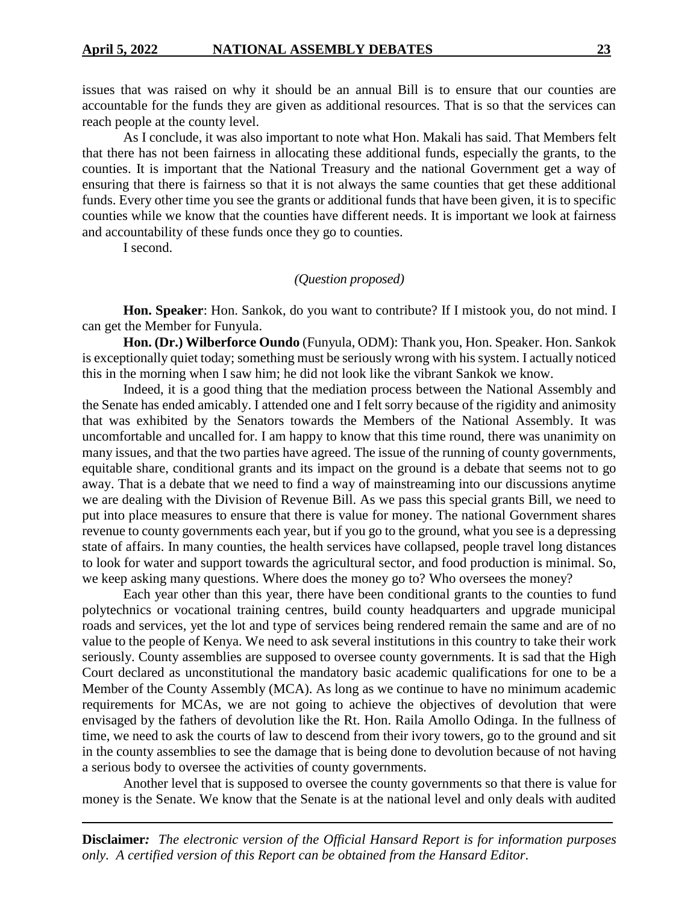issues that was raised on why it should be an annual Bill is to ensure that our counties are accountable for the funds they are given as additional resources. That is so that the services can reach people at the county level.

As I conclude, it was also important to note what Hon. Makali has said. That Members felt that there has not been fairness in allocating these additional funds, especially the grants, to the counties. It is important that the National Treasury and the national Government get a way of ensuring that there is fairness so that it is not always the same counties that get these additional funds. Every other time you see the grants or additional funds that have been given, it is to specific counties while we know that the counties have different needs. It is important we look at fairness and accountability of these funds once they go to counties.

I second.

### *(Question proposed)*

**Hon. Speaker**: Hon. Sankok, do you want to contribute? If I mistook you, do not mind. I can get the Member for Funyula.

**Hon. (Dr.) Wilberforce Oundo** (Funyula, ODM): Thank you, Hon. Speaker. Hon. Sankok is exceptionally quiet today; something must be seriously wrong with his system. I actually noticed this in the morning when I saw him; he did not look like the vibrant Sankok we know.

Indeed, it is a good thing that the mediation process between the National Assembly and the Senate has ended amicably. I attended one and I felt sorry because of the rigidity and animosity that was exhibited by the Senators towards the Members of the National Assembly. It was uncomfortable and uncalled for. I am happy to know that this time round, there was unanimity on many issues, and that the two parties have agreed. The issue of the running of county governments, equitable share, conditional grants and its impact on the ground is a debate that seems not to go away. That is a debate that we need to find a way of mainstreaming into our discussions anytime we are dealing with the Division of Revenue Bill. As we pass this special grants Bill, we need to put into place measures to ensure that there is value for money. The national Government shares revenue to county governments each year, but if you go to the ground, what you see is a depressing state of affairs. In many counties, the health services have collapsed, people travel long distances to look for water and support towards the agricultural sector, and food production is minimal. So, we keep asking many questions. Where does the money go to? Who oversees the money?

Each year other than this year, there have been conditional grants to the counties to fund polytechnics or vocational training centres, build county headquarters and upgrade municipal roads and services, yet the lot and type of services being rendered remain the same and are of no value to the people of Kenya. We need to ask several institutions in this country to take their work seriously. County assemblies are supposed to oversee county governments. It is sad that the High Court declared as unconstitutional the mandatory basic academic qualifications for one to be a Member of the County Assembly (MCA). As long as we continue to have no minimum academic requirements for MCAs, we are not going to achieve the objectives of devolution that were envisaged by the fathers of devolution like the Rt. Hon. Raila Amollo Odinga. In the fullness of time, we need to ask the courts of law to descend from their ivory towers, go to the ground and sit in the county assemblies to see the damage that is being done to devolution because of not having a serious body to oversee the activities of county governments.

Another level that is supposed to oversee the county governments so that there is value for money is the Senate. We know that the Senate is at the national level and only deals with audited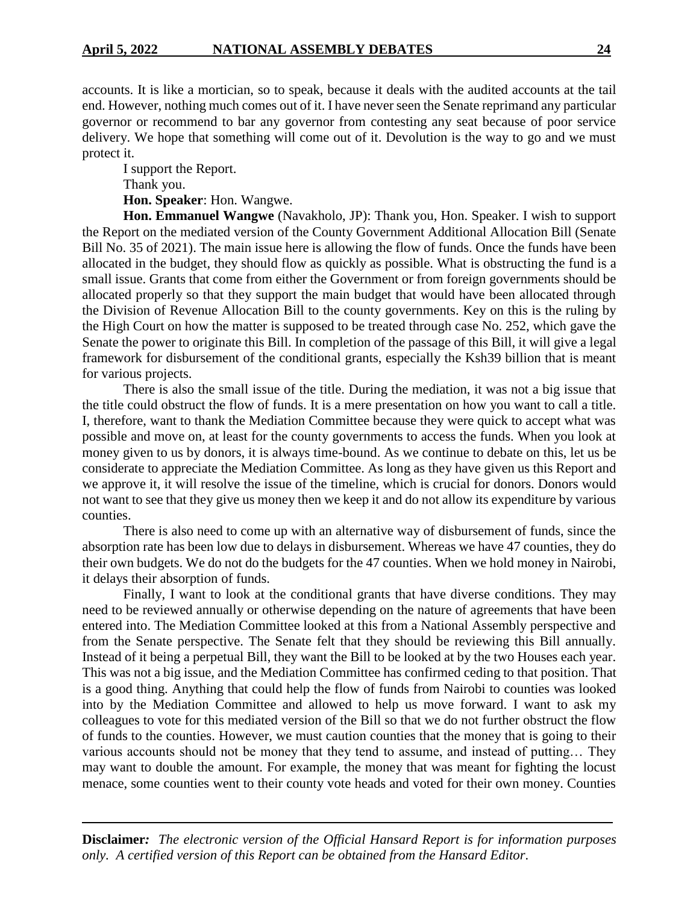accounts. It is like a mortician, so to speak, because it deals with the audited accounts at the tail end. However, nothing much comes out of it. I have never seen the Senate reprimand any particular governor or recommend to bar any governor from contesting any seat because of poor service delivery. We hope that something will come out of it. Devolution is the way to go and we must protect it.

I support the Report. Thank you.

**Hon. Speaker**: Hon. Wangwe.

**Hon. Emmanuel Wangwe** (Navakholo, JP): Thank you, Hon. Speaker. I wish to support the Report on the mediated version of the County Government Additional Allocation Bill (Senate Bill No. 35 of 2021). The main issue here is allowing the flow of funds. Once the funds have been allocated in the budget, they should flow as quickly as possible. What is obstructing the fund is a small issue. Grants that come from either the Government or from foreign governments should be allocated properly so that they support the main budget that would have been allocated through the Division of Revenue Allocation Bill to the county governments. Key on this is the ruling by the High Court on how the matter is supposed to be treated through case No. 252, which gave the Senate the power to originate this Bill. In completion of the passage of this Bill, it will give a legal framework for disbursement of the conditional grants, especially the Ksh39 billion that is meant for various projects.

There is also the small issue of the title. During the mediation, it was not a big issue that the title could obstruct the flow of funds. It is a mere presentation on how you want to call a title. I, therefore, want to thank the Mediation Committee because they were quick to accept what was possible and move on, at least for the county governments to access the funds. When you look at money given to us by donors, it is always time-bound. As we continue to debate on this, let us be considerate to appreciate the Mediation Committee. As long as they have given us this Report and we approve it, it will resolve the issue of the timeline, which is crucial for donors. Donors would not want to see that they give us money then we keep it and do not allow its expenditure by various counties.

There is also need to come up with an alternative way of disbursement of funds, since the absorption rate has been low due to delays in disbursement. Whereas we have 47 counties, they do their own budgets. We do not do the budgets for the 47 counties. When we hold money in Nairobi, it delays their absorption of funds.

Finally, I want to look at the conditional grants that have diverse conditions. They may need to be reviewed annually or otherwise depending on the nature of agreements that have been entered into. The Mediation Committee looked at this from a National Assembly perspective and from the Senate perspective. The Senate felt that they should be reviewing this Bill annually. Instead of it being a perpetual Bill, they want the Bill to be looked at by the two Houses each year. This was not a big issue, and the Mediation Committee has confirmed ceding to that position. That is a good thing. Anything that could help the flow of funds from Nairobi to counties was looked into by the Mediation Committee and allowed to help us move forward. I want to ask my colleagues to vote for this mediated version of the Bill so that we do not further obstruct the flow of funds to the counties. However, we must caution counties that the money that is going to their various accounts should not be money that they tend to assume, and instead of putting… They may want to double the amount. For example, the money that was meant for fighting the locust menace, some counties went to their county vote heads and voted for their own money. Counties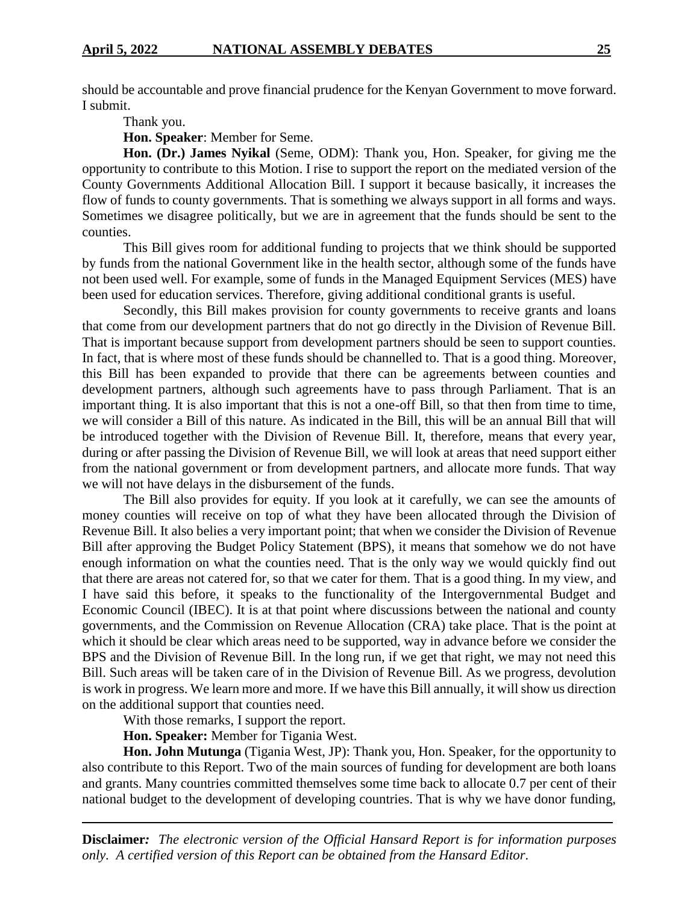should be accountable and prove financial prudence for the Kenyan Government to move forward. I submit.

Thank you.

**Hon. Speaker**: Member for Seme.

**Hon. (Dr.) James Nyikal** (Seme, ODM): Thank you, Hon. Speaker, for giving me the opportunity to contribute to this Motion. I rise to support the report on the mediated version of the County Governments Additional Allocation Bill. I support it because basically, it increases the flow of funds to county governments. That is something we always support in all forms and ways. Sometimes we disagree politically, but we are in agreement that the funds should be sent to the counties.

This Bill gives room for additional funding to projects that we think should be supported by funds from the national Government like in the health sector, although some of the funds have not been used well. For example, some of funds in the Managed Equipment Services (MES) have been used for education services. Therefore, giving additional conditional grants is useful.

Secondly, this Bill makes provision for county governments to receive grants and loans that come from our development partners that do not go directly in the Division of Revenue Bill. That is important because support from development partners should be seen to support counties. In fact, that is where most of these funds should be channelled to. That is a good thing. Moreover, this Bill has been expanded to provide that there can be agreements between counties and development partners, although such agreements have to pass through Parliament. That is an important thing. It is also important that this is not a one-off Bill, so that then from time to time, we will consider a Bill of this nature. As indicated in the Bill, this will be an annual Bill that will be introduced together with the Division of Revenue Bill. It, therefore, means that every year, during or after passing the Division of Revenue Bill, we will look at areas that need support either from the national government or from development partners, and allocate more funds. That way we will not have delays in the disbursement of the funds.

The Bill also provides for equity. If you look at it carefully, we can see the amounts of money counties will receive on top of what they have been allocated through the Division of Revenue Bill. It also belies a very important point; that when we consider the Division of Revenue Bill after approving the Budget Policy Statement (BPS), it means that somehow we do not have enough information on what the counties need. That is the only way we would quickly find out that there are areas not catered for, so that we cater for them. That is a good thing. In my view, and I have said this before, it speaks to the functionality of the Intergovernmental Budget and Economic Council (IBEC). It is at that point where discussions between the national and county governments, and the Commission on Revenue Allocation (CRA) take place. That is the point at which it should be clear which areas need to be supported, way in advance before we consider the BPS and the Division of Revenue Bill. In the long run, if we get that right, we may not need this Bill. Such areas will be taken care of in the Division of Revenue Bill. As we progress, devolution is work in progress. We learn more and more. If we have this Bill annually, it will show us direction on the additional support that counties need.

With those remarks, I support the report.

**Hon. Speaker:** Member for Tigania West.

**Hon. John Mutunga** (Tigania West, JP): Thank you, Hon. Speaker, for the opportunity to also contribute to this Report. Two of the main sources of funding for development are both loans and grants. Many countries committed themselves some time back to allocate 0.7 per cent of their national budget to the development of developing countries. That is why we have donor funding,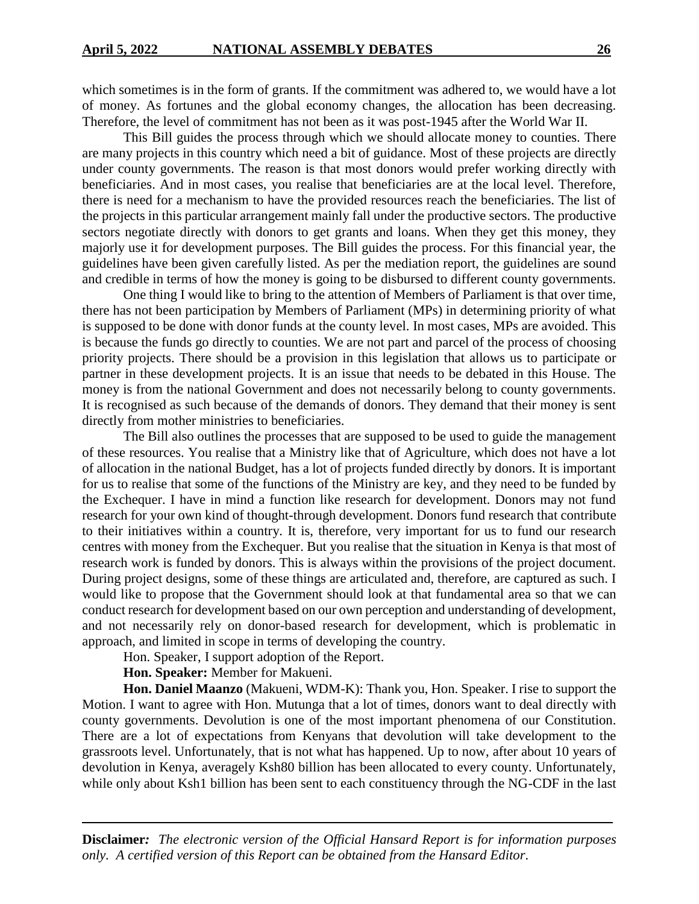which sometimes is in the form of grants. If the commitment was adhered to, we would have a lot of money. As fortunes and the global economy changes, the allocation has been decreasing. Therefore, the level of commitment has not been as it was post-1945 after the World War II.

This Bill guides the process through which we should allocate money to counties. There are many projects in this country which need a bit of guidance. Most of these projects are directly under county governments. The reason is that most donors would prefer working directly with beneficiaries. And in most cases, you realise that beneficiaries are at the local level. Therefore, there is need for a mechanism to have the provided resources reach the beneficiaries. The list of the projects in this particular arrangement mainly fall under the productive sectors. The productive sectors negotiate directly with donors to get grants and loans. When they get this money, they majorly use it for development purposes. The Bill guides the process. For this financial year, the guidelines have been given carefully listed. As per the mediation report, the guidelines are sound and credible in terms of how the money is going to be disbursed to different county governments.

One thing I would like to bring to the attention of Members of Parliament is that over time, there has not been participation by Members of Parliament (MPs) in determining priority of what is supposed to be done with donor funds at the county level. In most cases, MPs are avoided. This is because the funds go directly to counties. We are not part and parcel of the process of choosing priority projects. There should be a provision in this legislation that allows us to participate or partner in these development projects. It is an issue that needs to be debated in this House. The money is from the national Government and does not necessarily belong to county governments. It is recognised as such because of the demands of donors. They demand that their money is sent directly from mother ministries to beneficiaries.

The Bill also outlines the processes that are supposed to be used to guide the management of these resources. You realise that a Ministry like that of Agriculture, which does not have a lot of allocation in the national Budget, has a lot of projects funded directly by donors. It is important for us to realise that some of the functions of the Ministry are key, and they need to be funded by the Exchequer. I have in mind a function like research for development. Donors may not fund research for your own kind of thought-through development. Donors fund research that contribute to their initiatives within a country. It is, therefore, very important for us to fund our research centres with money from the Exchequer. But you realise that the situation in Kenya is that most of research work is funded by donors. This is always within the provisions of the project document. During project designs, some of these things are articulated and, therefore, are captured as such. I would like to propose that the Government should look at that fundamental area so that we can conduct research for development based on our own perception and understanding of development, and not necessarily rely on donor-based research for development, which is problematic in approach, and limited in scope in terms of developing the country.

Hon. Speaker, I support adoption of the Report.

**Hon. Speaker:** Member for Makueni.

**Hon. Daniel Maanzo** (Makueni, WDM-K): Thank you, Hon. Speaker. I rise to support the Motion. I want to agree with Hon. Mutunga that a lot of times, donors want to deal directly with county governments. Devolution is one of the most important phenomena of our Constitution. There are a lot of expectations from Kenyans that devolution will take development to the grassroots level. Unfortunately, that is not what has happened. Up to now, after about 10 years of devolution in Kenya, averagely Ksh80 billion has been allocated to every county. Unfortunately, while only about Ksh1 billion has been sent to each constituency through the NG-CDF in the last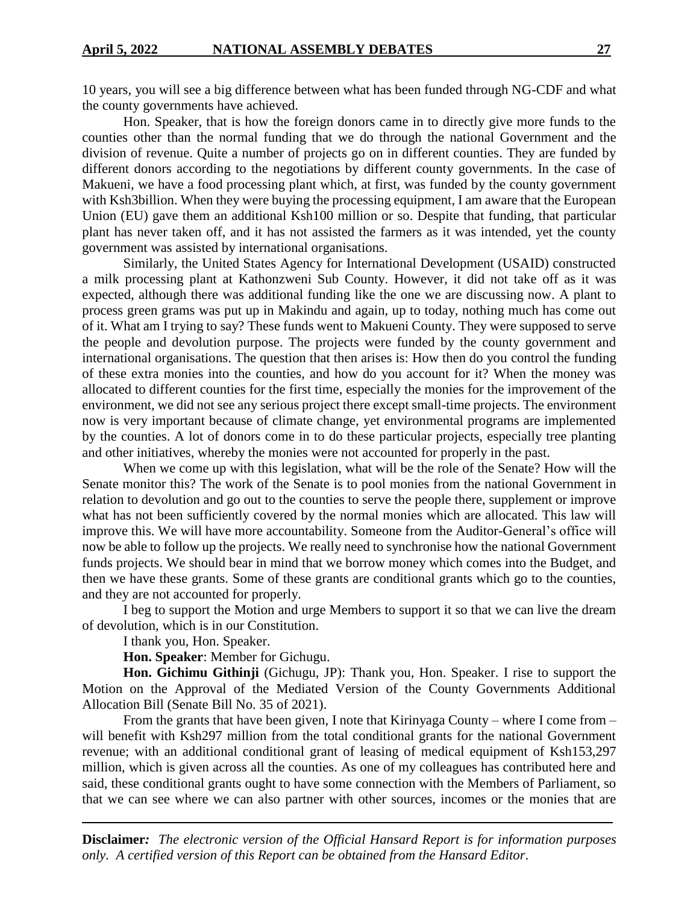10 years, you will see a big difference between what has been funded through NG-CDF and what the county governments have achieved.

Hon. Speaker, that is how the foreign donors came in to directly give more funds to the counties other than the normal funding that we do through the national Government and the division of revenue. Quite a number of projects go on in different counties. They are funded by different donors according to the negotiations by different county governments. In the case of Makueni, we have a food processing plant which, at first, was funded by the county government with Ksh3billion. When they were buying the processing equipment, I am aware that the European Union (EU) gave them an additional Ksh100 million or so. Despite that funding, that particular plant has never taken off, and it has not assisted the farmers as it was intended, yet the county government was assisted by international organisations.

Similarly, the United States Agency for International Development (USAID) constructed a milk processing plant at Kathonzweni Sub County. However, it did not take off as it was expected, although there was additional funding like the one we are discussing now. A plant to process green grams was put up in Makindu and again, up to today, nothing much has come out of it. What am I trying to say? These funds went to Makueni County. They were supposed to serve the people and devolution purpose. The projects were funded by the county government and international organisations. The question that then arises is: How then do you control the funding of these extra monies into the counties, and how do you account for it? When the money was allocated to different counties for the first time, especially the monies for the improvement of the environment, we did not see any serious project there except small-time projects. The environment now is very important because of climate change, yet environmental programs are implemented by the counties. A lot of donors come in to do these particular projects, especially tree planting and other initiatives, whereby the monies were not accounted for properly in the past.

When we come up with this legislation, what will be the role of the Senate? How will the Senate monitor this? The work of the Senate is to pool monies from the national Government in relation to devolution and go out to the counties to serve the people there, supplement or improve what has not been sufficiently covered by the normal monies which are allocated. This law will improve this. We will have more accountability. Someone from the Auditor-General's office will now be able to follow up the projects. We really need to synchronise how the national Government funds projects. We should bear in mind that we borrow money which comes into the Budget, and then we have these grants. Some of these grants are conditional grants which go to the counties, and they are not accounted for properly.

I beg to support the Motion and urge Members to support it so that we can live the dream of devolution, which is in our Constitution.

I thank you, Hon. Speaker.

**Hon. Speaker**: Member for Gichugu.

**Hon. Gichimu Githinji** (Gichugu, JP): Thank you, Hon. Speaker. I rise to support the Motion on the Approval of the Mediated Version of the County Governments Additional Allocation Bill (Senate Bill No. 35 of 2021).

From the grants that have been given, I note that Kirinyaga County – where I come from – will benefit with Ksh297 million from the total conditional grants for the national Government revenue; with an additional conditional grant of leasing of medical equipment of Ksh153,297 million, which is given across all the counties. As one of my colleagues has contributed here and said, these conditional grants ought to have some connection with the Members of Parliament, so that we can see where we can also partner with other sources, incomes or the monies that are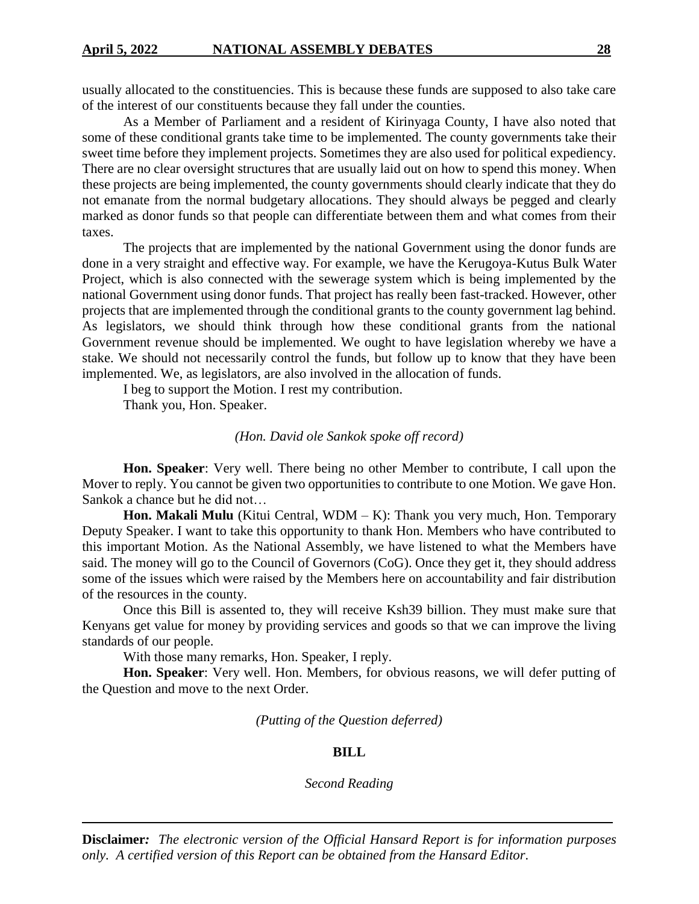usually allocated to the constituencies. This is because these funds are supposed to also take care of the interest of our constituents because they fall under the counties.

As a Member of Parliament and a resident of Kirinyaga County, I have also noted that some of these conditional grants take time to be implemented. The county governments take their sweet time before they implement projects. Sometimes they are also used for political expediency. There are no clear oversight structures that are usually laid out on how to spend this money. When these projects are being implemented, the county governments should clearly indicate that they do not emanate from the normal budgetary allocations. They should always be pegged and clearly marked as donor funds so that people can differentiate between them and what comes from their taxes.

The projects that are implemented by the national Government using the donor funds are done in a very straight and effective way. For example, we have the Kerugoya-Kutus Bulk Water Project, which is also connected with the sewerage system which is being implemented by the national Government using donor funds. That project has really been fast-tracked. However, other projects that are implemented through the conditional grants to the county government lag behind. As legislators, we should think through how these conditional grants from the national Government revenue should be implemented. We ought to have legislation whereby we have a stake. We should not necessarily control the funds, but follow up to know that they have been implemented. We, as legislators, are also involved in the allocation of funds.

I beg to support the Motion. I rest my contribution.

Thank you, Hon. Speaker.

#### *(Hon. David ole Sankok spoke off record)*

**Hon. Speaker**: Very well. There being no other Member to contribute, I call upon the Mover to reply. You cannot be given two opportunities to contribute to one Motion. We gave Hon. Sankok a chance but he did not…

**Hon. Makali Mulu** (Kitui Central, WDM – K): Thank you very much, Hon. Temporary Deputy Speaker. I want to take this opportunity to thank Hon. Members who have contributed to this important Motion. As the National Assembly, we have listened to what the Members have said. The money will go to the Council of Governors (CoG). Once they get it, they should address some of the issues which were raised by the Members here on accountability and fair distribution of the resources in the county.

Once this Bill is assented to, they will receive Ksh39 billion. They must make sure that Kenyans get value for money by providing services and goods so that we can improve the living standards of our people.

With those many remarks, Hon. Speaker, I reply.

**Hon. Speaker**: Very well. Hon. Members, for obvious reasons, we will defer putting of the Question and move to the next Order.

*(Putting of the Question deferred)*

#### **BILL**

*Second Reading*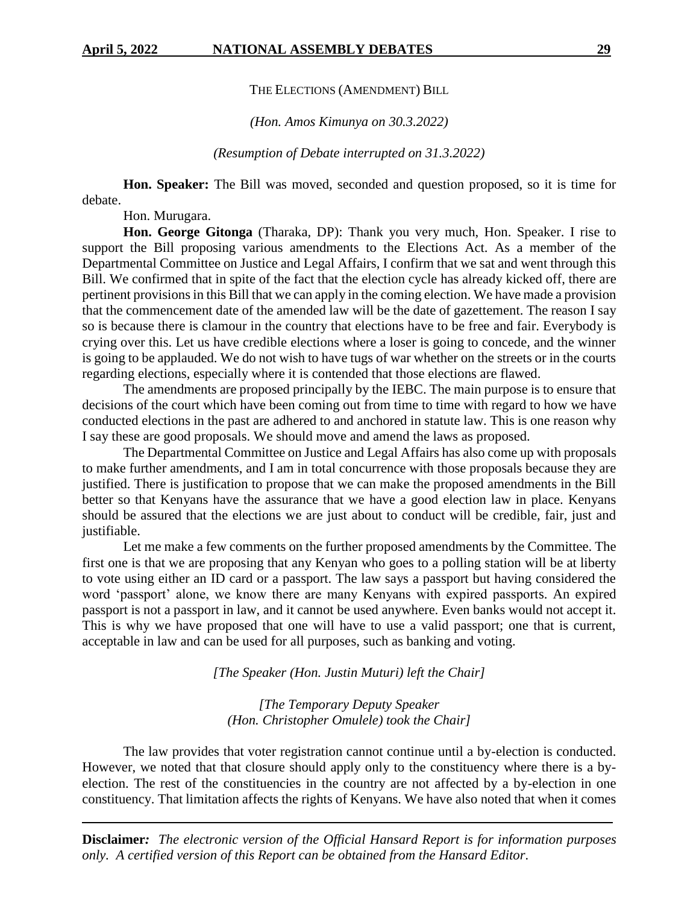THE ELECTIONS (AMENDMENT) BILL

*(Hon. Amos Kimunya on 30.3.2022)*

*(Resumption of Debate interrupted on 31.3.2022)*

**Hon. Speaker:** The Bill was moved, seconded and question proposed, so it is time for debate.

Hon. Murugara.

**Hon. George Gitonga** (Tharaka, DP): Thank you very much, Hon. Speaker. I rise to support the Bill proposing various amendments to the Elections Act. As a member of the Departmental Committee on Justice and Legal Affairs, I confirm that we sat and went through this Bill. We confirmed that in spite of the fact that the election cycle has already kicked off, there are pertinent provisions in this Bill that we can apply in the coming election. We have made a provision that the commencement date of the amended law will be the date of gazettement. The reason I say so is because there is clamour in the country that elections have to be free and fair. Everybody is crying over this. Let us have credible elections where a loser is going to concede, and the winner is going to be applauded. We do not wish to have tugs of war whether on the streets or in the courts regarding elections, especially where it is contended that those elections are flawed.

The amendments are proposed principally by the IEBC. The main purpose is to ensure that decisions of the court which have been coming out from time to time with regard to how we have conducted elections in the past are adhered to and anchored in statute law. This is one reason why I say these are good proposals. We should move and amend the laws as proposed.

The Departmental Committee on Justice and Legal Affairs has also come up with proposals to make further amendments, and I am in total concurrence with those proposals because they are justified. There is justification to propose that we can make the proposed amendments in the Bill better so that Kenyans have the assurance that we have a good election law in place. Kenyans should be assured that the elections we are just about to conduct will be credible, fair, just and justifiable.

Let me make a few comments on the further proposed amendments by the Committee. The first one is that we are proposing that any Kenyan who goes to a polling station will be at liberty to vote using either an ID card or a passport. The law says a passport but having considered the word 'passport' alone, we know there are many Kenyans with expired passports. An expired passport is not a passport in law, and it cannot be used anywhere. Even banks would not accept it. This is why we have proposed that one will have to use a valid passport; one that is current, acceptable in law and can be used for all purposes, such as banking and voting.

*[The Speaker (Hon. Justin Muturi) left the Chair]*

*[The Temporary Deputy Speaker (Hon. Christopher Omulele) took the Chair]*

The law provides that voter registration cannot continue until a by-election is conducted. However, we noted that that closure should apply only to the constituency where there is a byelection. The rest of the constituencies in the country are not affected by a by-election in one constituency. That limitation affects the rights of Kenyans. We have also noted that when it comes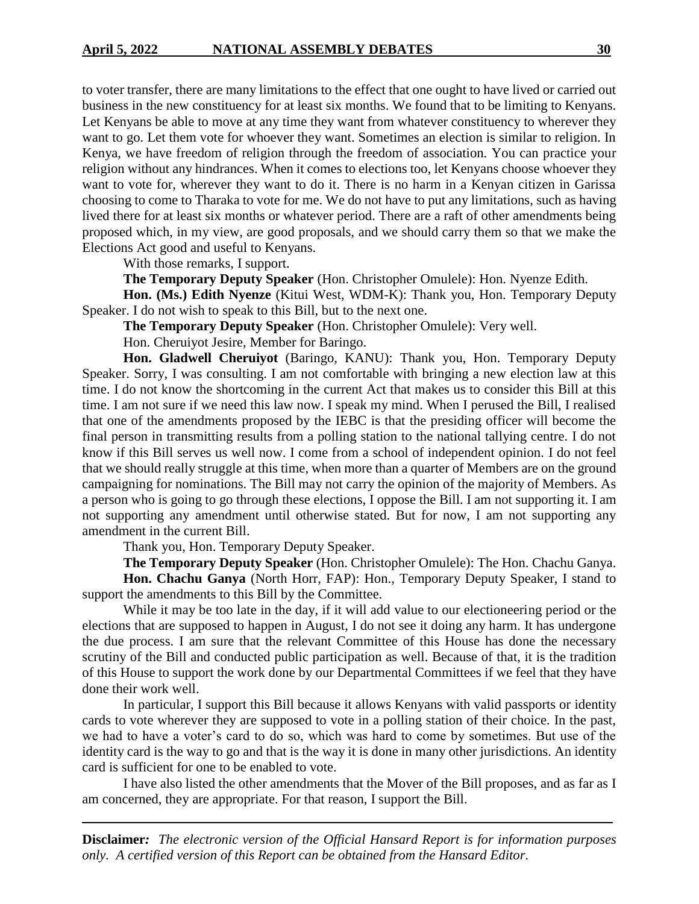to voter transfer, there are many limitations to the effect that one ought to have lived or carried out business in the new constituency for at least six months. We found that to be limiting to Kenyans. Let Kenyans be able to move at any time they want from whatever constituency to wherever they want to go. Let them vote for whoever they want. Sometimes an election is similar to religion. In Kenya, we have freedom of religion through the freedom of association. You can practice your religion without any hindrances. When it comes to elections too, let Kenyans choose whoever they want to vote for, wherever they want to do it. There is no harm in a Kenyan citizen in Garissa choosing to come to Tharaka to vote for me. We do not have to put any limitations, such as having lived there for at least six months or whatever period. There are a raft of other amendments being proposed which, in my view, are good proposals, and we should carry them so that we make the Elections Act good and useful to Kenyans.

With those remarks, I support.

**The Temporary Deputy Speaker** (Hon. Christopher Omulele): Hon. Nyenze Edith.

**Hon. (Ms.) Edith Nyenze** (Kitui West, WDM-K): Thank you, Hon. Temporary Deputy Speaker. I do not wish to speak to this Bill, but to the next one.

**The Temporary Deputy Speaker** (Hon. Christopher Omulele): Very well.

Hon. Cheruiyot Jesire, Member for Baringo.

Hon. Gladwell Cheruiyot (Baringo, KANU): Thank you, Hon. Temporary Deputy Speaker. Sorry, I was consulting. I am not comfortable with bringing a new election law at this time. I do not know the shortcoming in the current Act that makes us to consider this Bill at this time. I am not sure if we need this law now. I speak my mind. When I perused the Bill, I realised that one of the amendments proposed by the IEBC is that the presiding officer will become the final person in transmitting results from a polling station to the national tallying centre. I do not know if this Bill serves us well now. I come from a school of independent opinion. I do not feel that we should really struggle at this time, when more than a quarter of Members are on the ground campaigning for nominations. The Bill may not carry the opinion of the majority of Members. As a person who is going to go through these elections, I oppose the Bill. I am not supporting it. I am not supporting any amendment until otherwise stated. But for now, I am not supporting any amendment in the current Bill.

Thank you, Hon. Temporary Deputy Speaker.

**The Temporary Deputy Speaker** (Hon. Christopher Omulele): The Hon. Chachu Ganya. **Hon. Chachu Ganya** (North Horr, FAP): Hon., Temporary Deputy Speaker, I stand to support the amendments to this Bill by the Committee.

While it may be too late in the day, if it will add value to our electioneering period or the elections that are supposed to happen in August, I do not see it doing any harm. It has undergone the due process. I am sure that the relevant Committee of this House has done the necessary scrutiny of the Bill and conducted public participation as well. Because of that, it is the tradition of this House to support the work done by our Departmental Committees if we feel that they have done their work well.

In particular, I support this Bill because it allows Kenyans with valid passports or identity cards to vote wherever they are supposed to vote in a polling station of their choice. In the past, we had to have a voter's card to do so, which was hard to come by sometimes. But use of the identity card is the way to go and that is the way it is done in many other jurisdictions. An identity card is sufficient for one to be enabled to vote.

I have also listed the other amendments that the Mover of the Bill proposes, and as far as I am concerned, they are appropriate. For that reason, I support the Bill.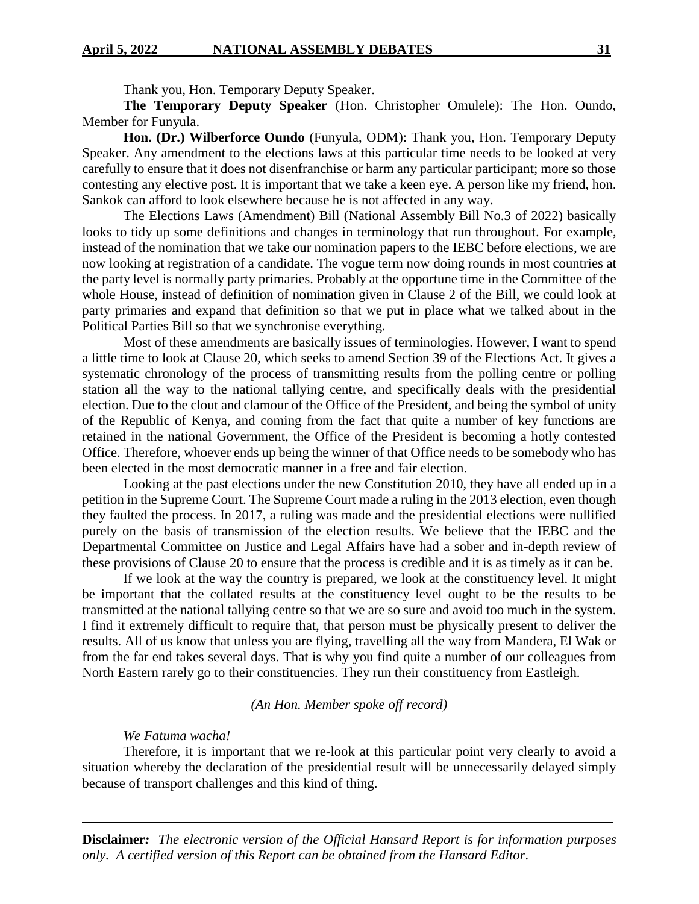Thank you, Hon. Temporary Deputy Speaker.

**The Temporary Deputy Speaker** (Hon. Christopher Omulele): The Hon. Oundo, Member for Funyula.

**Hon. (Dr.) Wilberforce Oundo** (Funyula, ODM): Thank you, Hon. Temporary Deputy Speaker. Any amendment to the elections laws at this particular time needs to be looked at very carefully to ensure that it does not disenfranchise or harm any particular participant; more so those contesting any elective post. It is important that we take a keen eye. A person like my friend, hon. Sankok can afford to look elsewhere because he is not affected in any way.

The Elections Laws (Amendment) Bill (National Assembly Bill No.3 of 2022) basically looks to tidy up some definitions and changes in terminology that run throughout. For example, instead of the nomination that we take our nomination papers to the IEBC before elections, we are now looking at registration of a candidate. The vogue term now doing rounds in most countries at the party level is normally party primaries. Probably at the opportune time in the Committee of the whole House, instead of definition of nomination given in Clause 2 of the Bill, we could look at party primaries and expand that definition so that we put in place what we talked about in the Political Parties Bill so that we synchronise everything.

Most of these amendments are basically issues of terminologies. However, I want to spend a little time to look at Clause 20, which seeks to amend Section 39 of the Elections Act. It gives a systematic chronology of the process of transmitting results from the polling centre or polling station all the way to the national tallying centre, and specifically deals with the presidential election. Due to the clout and clamour of the Office of the President, and being the symbol of unity of the Republic of Kenya, and coming from the fact that quite a number of key functions are retained in the national Government, the Office of the President is becoming a hotly contested Office. Therefore, whoever ends up being the winner of that Office needs to be somebody who has been elected in the most democratic manner in a free and fair election.

Looking at the past elections under the new Constitution 2010, they have all ended up in a petition in the Supreme Court. The Supreme Court made a ruling in the 2013 election, even though they faulted the process. In 2017, a ruling was made and the presidential elections were nullified purely on the basis of transmission of the election results. We believe that the IEBC and the Departmental Committee on Justice and Legal Affairs have had a sober and in-depth review of these provisions of Clause 20 to ensure that the process is credible and it is as timely as it can be.

If we look at the way the country is prepared, we look at the constituency level. It might be important that the collated results at the constituency level ought to be the results to be transmitted at the national tallying centre so that we are so sure and avoid too much in the system. I find it extremely difficult to require that, that person must be physically present to deliver the results. All of us know that unless you are flying, travelling all the way from Mandera, El Wak or from the far end takes several days. That is why you find quite a number of our colleagues from North Eastern rarely go to their constituencies. They run their constituency from Eastleigh.

#### *(An Hon. Member spoke off record)*

#### *We Fatuma wacha!*

Therefore, it is important that we re-look at this particular point very clearly to avoid a situation whereby the declaration of the presidential result will be unnecessarily delayed simply because of transport challenges and this kind of thing.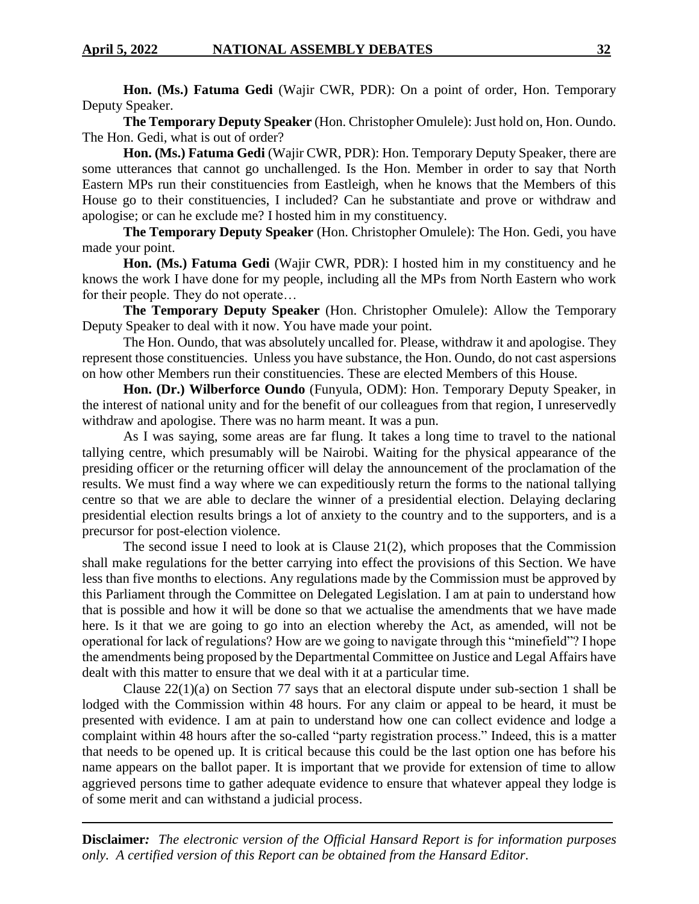**Hon. (Ms.) Fatuma Gedi** (Wajir CWR, PDR): On a point of order, Hon. Temporary Deputy Speaker.

**The Temporary Deputy Speaker** (Hon. Christopher Omulele): Just hold on, Hon. Oundo. The Hon. Gedi, what is out of order?

**Hon. (Ms.) Fatuma Gedi** (Wajir CWR, PDR): Hon. Temporary Deputy Speaker, there are some utterances that cannot go unchallenged. Is the Hon. Member in order to say that North Eastern MPs run their constituencies from Eastleigh, when he knows that the Members of this House go to their constituencies, I included? Can he substantiate and prove or withdraw and apologise; or can he exclude me? I hosted him in my constituency.

**The Temporary Deputy Speaker** (Hon. Christopher Omulele): The Hon. Gedi, you have made your point.

**Hon. (Ms.) Fatuma Gedi** (Wajir CWR, PDR): I hosted him in my constituency and he knows the work I have done for my people, including all the MPs from North Eastern who work for their people. They do not operate…

**The Temporary Deputy Speaker** (Hon. Christopher Omulele): Allow the Temporary Deputy Speaker to deal with it now. You have made your point.

The Hon. Oundo, that was absolutely uncalled for. Please, withdraw it and apologise. They represent those constituencies. Unless you have substance, the Hon. Oundo, do not cast aspersions on how other Members run their constituencies. These are elected Members of this House.

**Hon. (Dr.) Wilberforce Oundo** (Funyula, ODM): Hon. Temporary Deputy Speaker, in the interest of national unity and for the benefit of our colleagues from that region, I unreservedly withdraw and apologise. There was no harm meant. It was a pun.

As I was saying, some areas are far flung. It takes a long time to travel to the national tallying centre, which presumably will be Nairobi. Waiting for the physical appearance of the presiding officer or the returning officer will delay the announcement of the proclamation of the results. We must find a way where we can expeditiously return the forms to the national tallying centre so that we are able to declare the winner of a presidential election. Delaying declaring presidential election results brings a lot of anxiety to the country and to the supporters, and is a precursor for post-election violence.

The second issue I need to look at is Clause 21(2), which proposes that the Commission shall make regulations for the better carrying into effect the provisions of this Section. We have less than five months to elections. Any regulations made by the Commission must be approved by this Parliament through the Committee on Delegated Legislation. I am at pain to understand how that is possible and how it will be done so that we actualise the amendments that we have made here. Is it that we are going to go into an election whereby the Act, as amended, will not be operational for lack of regulations? How are we going to navigate through this "minefield"? I hope the amendments being proposed by the Departmental Committee on Justice and Legal Affairs have dealt with this matter to ensure that we deal with it at a particular time.

Clause 22(1)(a) on Section 77 says that an electoral dispute under sub-section 1 shall be lodged with the Commission within 48 hours. For any claim or appeal to be heard, it must be presented with evidence. I am at pain to understand how one can collect evidence and lodge a complaint within 48 hours after the so-called "party registration process." Indeed, this is a matter that needs to be opened up. It is critical because this could be the last option one has before his name appears on the ballot paper. It is important that we provide for extension of time to allow aggrieved persons time to gather adequate evidence to ensure that whatever appeal they lodge is of some merit and can withstand a judicial process.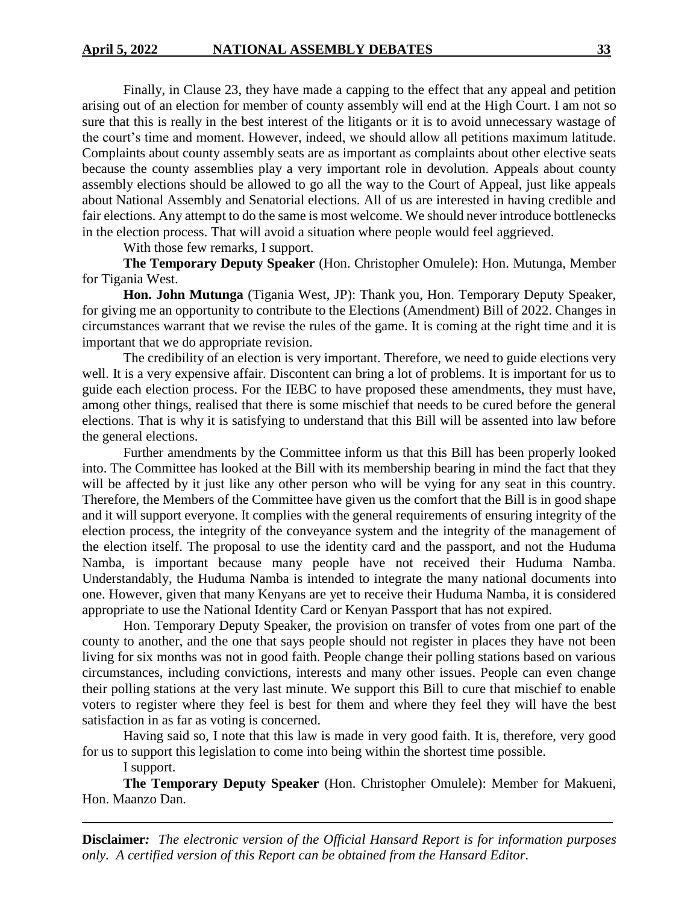Finally, in Clause 23, they have made a capping to the effect that any appeal and petition arising out of an election for member of county assembly will end at the High Court. I am not so sure that this is really in the best interest of the litigants or it is to avoid unnecessary wastage of the court's time and moment. However, indeed, we should allow all petitions maximum latitude. Complaints about county assembly seats are as important as complaints about other elective seats because the county assemblies play a very important role in devolution. Appeals about county assembly elections should be allowed to go all the way to the Court of Appeal, just like appeals about National Assembly and Senatorial elections. All of us are interested in having credible and fair elections. Any attempt to do the same is most welcome. We should never introduce bottlenecks in the election process. That will avoid a situation where people would feel aggrieved.

With those few remarks, I support.

**The Temporary Deputy Speaker** (Hon. Christopher Omulele): Hon. Mutunga, Member for Tigania West.

**Hon. John Mutunga** (Tigania West, JP): Thank you, Hon. Temporary Deputy Speaker, for giving me an opportunity to contribute to the Elections (Amendment) Bill of 2022. Changes in circumstances warrant that we revise the rules of the game. It is coming at the right time and it is important that we do appropriate revision.

The credibility of an election is very important. Therefore, we need to guide elections very well. It is a very expensive affair. Discontent can bring a lot of problems. It is important for us to guide each election process. For the IEBC to have proposed these amendments, they must have, among other things, realised that there is some mischief that needs to be cured before the general elections. That is why it is satisfying to understand that this Bill will be assented into law before the general elections.

Further amendments by the Committee inform us that this Bill has been properly looked into. The Committee has looked at the Bill with its membership bearing in mind the fact that they will be affected by it just like any other person who will be vying for any seat in this country. Therefore, the Members of the Committee have given us the comfort that the Bill is in good shape and it will support everyone. It complies with the general requirements of ensuring integrity of the election process, the integrity of the conveyance system and the integrity of the management of the election itself. The proposal to use the identity card and the passport, and not the Huduma Namba, is important because many people have not received their Huduma Namba. Understandably, the Huduma Namba is intended to integrate the many national documents into one. However, given that many Kenyans are yet to receive their Huduma Namba, it is considered appropriate to use the National Identity Card or Kenyan Passport that has not expired.

Hon. Temporary Deputy Speaker, the provision on transfer of votes from one part of the county to another, and the one that says people should not register in places they have not been living for six months was not in good faith. People change their polling stations based on various circumstances, including convictions, interests and many other issues. People can even change their polling stations at the very last minute. We support this Bill to cure that mischief to enable voters to register where they feel is best for them and where they feel they will have the best satisfaction in as far as voting is concerned.

Having said so, I note that this law is made in very good faith. It is, therefore, very good for us to support this legislation to come into being within the shortest time possible.

I support.

**The Temporary Deputy Speaker** (Hon. Christopher Omulele): Member for Makueni, Hon. Maanzo Dan.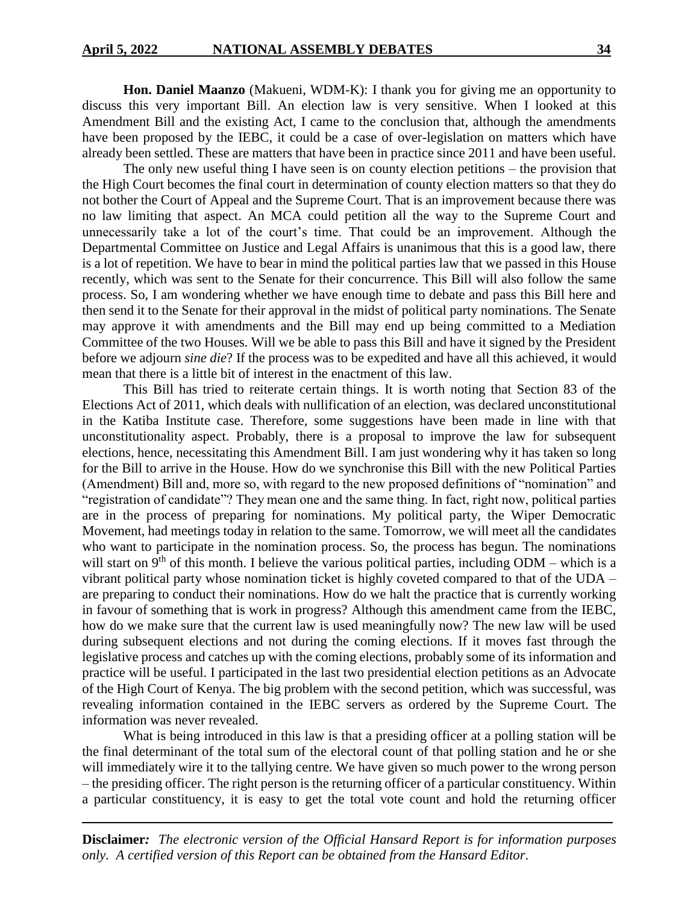**Hon. Daniel Maanzo** (Makueni, WDM-K): I thank you for giving me an opportunity to discuss this very important Bill. An election law is very sensitive. When I looked at this Amendment Bill and the existing Act, I came to the conclusion that, although the amendments have been proposed by the IEBC, it could be a case of over-legislation on matters which have already been settled. These are matters that have been in practice since 2011 and have been useful.

The only new useful thing I have seen is on county election petitions – the provision that the High Court becomes the final court in determination of county election matters so that they do not bother the Court of Appeal and the Supreme Court. That is an improvement because there was no law limiting that aspect. An MCA could petition all the way to the Supreme Court and unnecessarily take a lot of the court's time. That could be an improvement. Although the Departmental Committee on Justice and Legal Affairs is unanimous that this is a good law, there is a lot of repetition. We have to bear in mind the political parties law that we passed in this House recently, which was sent to the Senate for their concurrence. This Bill will also follow the same process. So, I am wondering whether we have enough time to debate and pass this Bill here and then send it to the Senate for their approval in the midst of political party nominations. The Senate may approve it with amendments and the Bill may end up being committed to a Mediation Committee of the two Houses. Will we be able to pass this Bill and have it signed by the President before we adjourn *sine die*? If the process was to be expedited and have all this achieved, it would mean that there is a little bit of interest in the enactment of this law.

This Bill has tried to reiterate certain things. It is worth noting that Section 83 of the Elections Act of 2011, which deals with nullification of an election, was declared unconstitutional in the Katiba Institute case. Therefore, some suggestions have been made in line with that unconstitutionality aspect. Probably, there is a proposal to improve the law for subsequent elections, hence, necessitating this Amendment Bill. I am just wondering why it has taken so long for the Bill to arrive in the House. How do we synchronise this Bill with the new Political Parties (Amendment) Bill and, more so, with regard to the new proposed definitions of "nomination" and "registration of candidate"? They mean one and the same thing. In fact, right now, political parties are in the process of preparing for nominations. My political party, the Wiper Democratic Movement, had meetings today in relation to the same. Tomorrow, we will meet all the candidates who want to participate in the nomination process. So, the process has begun. The nominations will start on  $9<sup>th</sup>$  of this month. I believe the various political parties, including ODM – which is a vibrant political party whose nomination ticket is highly coveted compared to that of the UDA – are preparing to conduct their nominations. How do we halt the practice that is currently working in favour of something that is work in progress? Although this amendment came from the IEBC, how do we make sure that the current law is used meaningfully now? The new law will be used during subsequent elections and not during the coming elections. If it moves fast through the legislative process and catches up with the coming elections, probably some of its information and practice will be useful. I participated in the last two presidential election petitions as an Advocate of the High Court of Kenya. The big problem with the second petition, which was successful, was revealing information contained in the IEBC servers as ordered by the Supreme Court. The information was never revealed.

What is being introduced in this law is that a presiding officer at a polling station will be the final determinant of the total sum of the electoral count of that polling station and he or she will immediately wire it to the tallying centre. We have given so much power to the wrong person – the presiding officer. The right person is the returning officer of a particular constituency. Within a particular constituency, it is easy to get the total vote count and hold the returning officer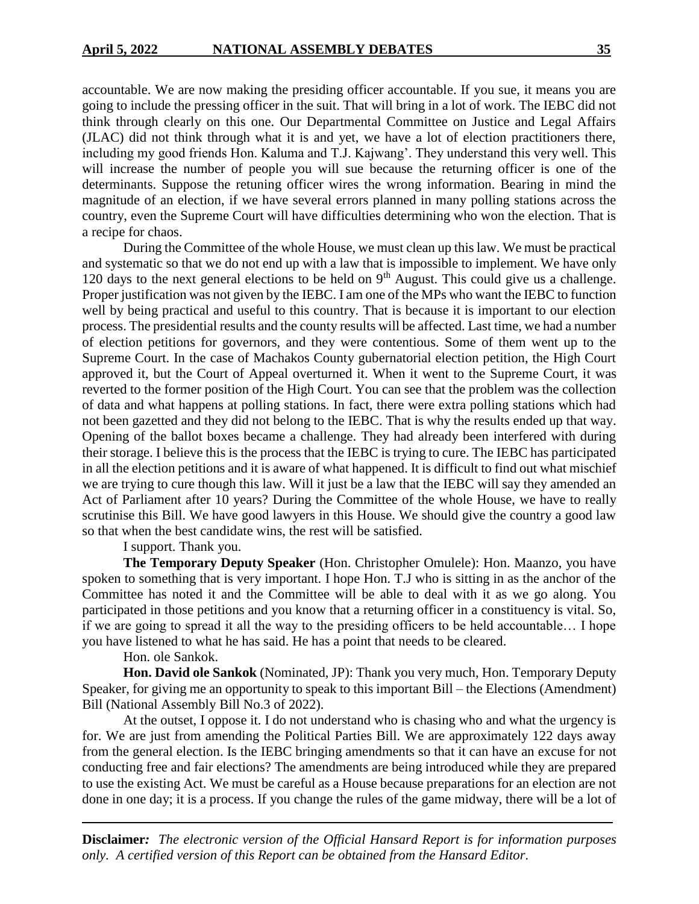accountable. We are now making the presiding officer accountable. If you sue, it means you are going to include the pressing officer in the suit. That will bring in a lot of work. The IEBC did not think through clearly on this one. Our Departmental Committee on Justice and Legal Affairs (JLAC) did not think through what it is and yet, we have a lot of election practitioners there, including my good friends Hon. Kaluma and T.J. Kajwang'. They understand this very well. This will increase the number of people you will sue because the returning officer is one of the determinants. Suppose the retuning officer wires the wrong information. Bearing in mind the magnitude of an election, if we have several errors planned in many polling stations across the country, even the Supreme Court will have difficulties determining who won the election. That is a recipe for chaos.

During the Committee of the whole House, we must clean up this law. We must be practical and systematic so that we do not end up with a law that is impossible to implement. We have only 120 days to the next general elections to be held on  $9<sup>th</sup>$  August. This could give us a challenge. Proper justification was not given by the IEBC. I am one of the MPs who want the IEBC to function well by being practical and useful to this country. That is because it is important to our election process. The presidential results and the county results will be affected. Last time, we had a number of election petitions for governors, and they were contentious. Some of them went up to the Supreme Court. In the case of Machakos County gubernatorial election petition, the High Court approved it, but the Court of Appeal overturned it. When it went to the Supreme Court, it was reverted to the former position of the High Court. You can see that the problem was the collection of data and what happens at polling stations. In fact, there were extra polling stations which had not been gazetted and they did not belong to the IEBC. That is why the results ended up that way. Opening of the ballot boxes became a challenge. They had already been interfered with during their storage. I believe this is the process that the IEBC is trying to cure. The IEBC has participated in all the election petitions and it is aware of what happened. It is difficult to find out what mischief we are trying to cure though this law. Will it just be a law that the IEBC will say they amended an Act of Parliament after 10 years? During the Committee of the whole House, we have to really scrutinise this Bill. We have good lawyers in this House. We should give the country a good law so that when the best candidate wins, the rest will be satisfied.

I support. Thank you.

**The Temporary Deputy Speaker** (Hon. Christopher Omulele): Hon. Maanzo, you have spoken to something that is very important. I hope Hon. T.J who is sitting in as the anchor of the Committee has noted it and the Committee will be able to deal with it as we go along. You participated in those petitions and you know that a returning officer in a constituency is vital. So, if we are going to spread it all the way to the presiding officers to be held accountable… I hope you have listened to what he has said. He has a point that needs to be cleared.

#### Hon. ole Sankok.

**Hon. David ole Sankok** (Nominated, JP): Thank you very much, Hon. Temporary Deputy Speaker, for giving me an opportunity to speak to this important Bill – the Elections (Amendment) Bill (National Assembly Bill No.3 of 2022).

At the outset, I oppose it. I do not understand who is chasing who and what the urgency is for. We are just from amending the Political Parties Bill. We are approximately 122 days away from the general election. Is the IEBC bringing amendments so that it can have an excuse for not conducting free and fair elections? The amendments are being introduced while they are prepared to use the existing Act. We must be careful as a House because preparations for an election are not done in one day; it is a process. If you change the rules of the game midway, there will be a lot of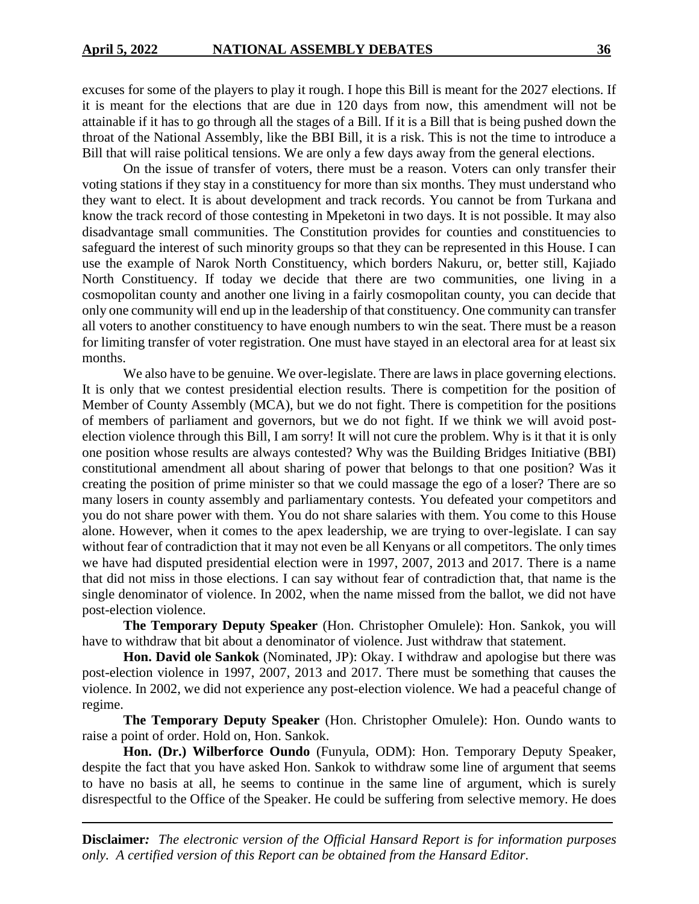excuses for some of the players to play it rough. I hope this Bill is meant for the 2027 elections. If it is meant for the elections that are due in 120 days from now, this amendment will not be attainable if it has to go through all the stages of a Bill. If it is a Bill that is being pushed down the throat of the National Assembly, like the BBI Bill, it is a risk. This is not the time to introduce a Bill that will raise political tensions. We are only a few days away from the general elections.

On the issue of transfer of voters, there must be a reason. Voters can only transfer their voting stations if they stay in a constituency for more than six months. They must understand who they want to elect. It is about development and track records. You cannot be from Turkana and know the track record of those contesting in Mpeketoni in two days. It is not possible. It may also disadvantage small communities. The Constitution provides for counties and constituencies to safeguard the interest of such minority groups so that they can be represented in this House. I can use the example of Narok North Constituency, which borders Nakuru, or, better still, Kajiado North Constituency. If today we decide that there are two communities, one living in a cosmopolitan county and another one living in a fairly cosmopolitan county, you can decide that only one community will end up in the leadership of that constituency. One community can transfer all voters to another constituency to have enough numbers to win the seat. There must be a reason for limiting transfer of voter registration. One must have stayed in an electoral area for at least six months.

We also have to be genuine. We over-legislate. There are laws in place governing elections. It is only that we contest presidential election results. There is competition for the position of Member of County Assembly (MCA), but we do not fight. There is competition for the positions of members of parliament and governors, but we do not fight. If we think we will avoid postelection violence through this Bill, I am sorry! It will not cure the problem. Why is it that it is only one position whose results are always contested? Why was the Building Bridges Initiative (BBI) constitutional amendment all about sharing of power that belongs to that one position? Was it creating the position of prime minister so that we could massage the ego of a loser? There are so many losers in county assembly and parliamentary contests. You defeated your competitors and you do not share power with them. You do not share salaries with them. You come to this House alone. However, when it comes to the apex leadership, we are trying to over-legislate. I can say without fear of contradiction that it may not even be all Kenyans or all competitors. The only times we have had disputed presidential election were in 1997, 2007, 2013 and 2017. There is a name that did not miss in those elections. I can say without fear of contradiction that, that name is the single denominator of violence. In 2002, when the name missed from the ballot, we did not have post-election violence.

**The Temporary Deputy Speaker** (Hon. Christopher Omulele): Hon. Sankok, you will have to withdraw that bit about a denominator of violence. Just withdraw that statement.

**Hon. David ole Sankok** (Nominated, JP): Okay. I withdraw and apologise but there was post-election violence in 1997, 2007, 2013 and 2017. There must be something that causes the violence. In 2002, we did not experience any post-election violence. We had a peaceful change of regime.

**The Temporary Deputy Speaker** (Hon. Christopher Omulele): Hon. Oundo wants to raise a point of order. Hold on, Hon. Sankok.

**Hon. (Dr.) Wilberforce Oundo** (Funyula, ODM): Hon. Temporary Deputy Speaker, despite the fact that you have asked Hon. Sankok to withdraw some line of argument that seems to have no basis at all, he seems to continue in the same line of argument, which is surely disrespectful to the Office of the Speaker. He could be suffering from selective memory. He does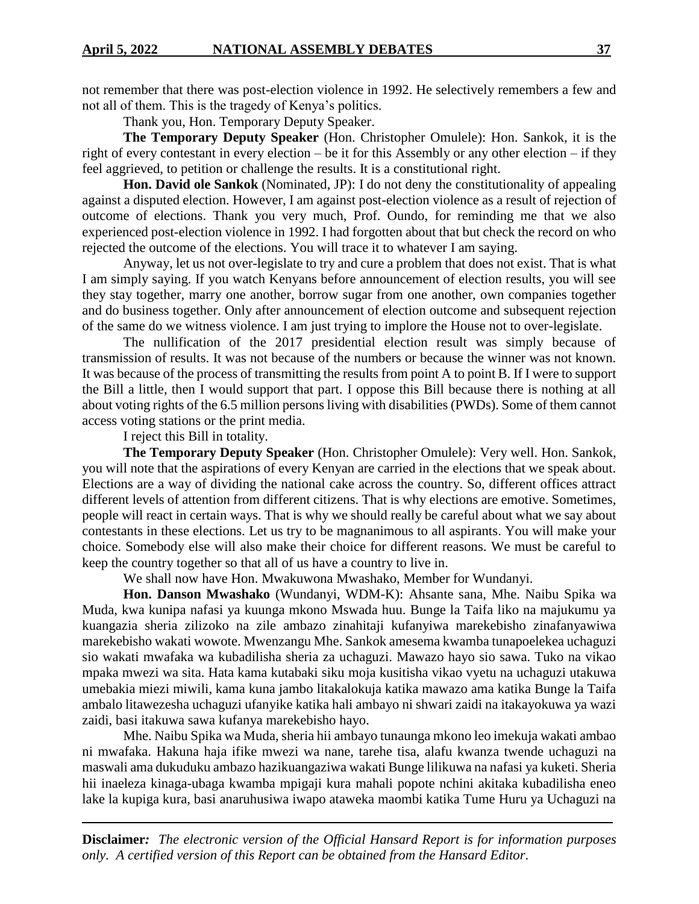not remember that there was post-election violence in 1992. He selectively remembers a few and not all of them. This is the tragedy of Kenya's politics.

Thank you, Hon. Temporary Deputy Speaker.

**The Temporary Deputy Speaker** (Hon. Christopher Omulele): Hon. Sankok, it is the right of every contestant in every election – be it for this Assembly or any other election – if they feel aggrieved, to petition or challenge the results. It is a constitutional right.

**Hon. David ole Sankok** (Nominated, JP): I do not deny the constitutionality of appealing against a disputed election. However, I am against post-election violence as a result of rejection of outcome of elections. Thank you very much, Prof. Oundo, for reminding me that we also experienced post-election violence in 1992. I had forgotten about that but check the record on who rejected the outcome of the elections. You will trace it to whatever I am saying.

Anyway, let us not over-legislate to try and cure a problem that does not exist. That is what I am simply saying. If you watch Kenyans before announcement of election results, you will see they stay together, marry one another, borrow sugar from one another, own companies together and do business together. Only after announcement of election outcome and subsequent rejection of the same do we witness violence. I am just trying to implore the House not to over-legislate.

The nullification of the 2017 presidential election result was simply because of transmission of results. It was not because of the numbers or because the winner was not known. It was because of the process of transmitting the results from point A to point B. If I were to support the Bill a little, then I would support that part. I oppose this Bill because there is nothing at all about voting rights of the 6.5 million persons living with disabilities (PWDs). Some of them cannot access voting stations or the print media.

I reject this Bill in totality.

**The Temporary Deputy Speaker** (Hon. Christopher Omulele): Very well. Hon. Sankok, you will note that the aspirations of every Kenyan are carried in the elections that we speak about. Elections are a way of dividing the national cake across the country. So, different offices attract different levels of attention from different citizens. That is why elections are emotive. Sometimes, people will react in certain ways. That is why we should really be careful about what we say about contestants in these elections. Let us try to be magnanimous to all aspirants. You will make your choice. Somebody else will also make their choice for different reasons. We must be careful to keep the country together so that all of us have a country to live in.

We shall now have Hon. Mwakuwona Mwashako, Member for Wundanyi.

**Hon. Danson Mwashako** (Wundanyi, WDM-K): Ahsante sana, Mhe. Naibu Spika wa Muda, kwa kunipa nafasi ya kuunga mkono Mswada huu. Bunge la Taifa liko na majukumu ya kuangazia sheria zilizoko na zile ambazo zinahitaji kufanyiwa marekebisho zinafanyawiwa marekebisho wakati wowote. Mwenzangu Mhe. Sankok amesema kwamba tunapoelekea uchaguzi sio wakati mwafaka wa kubadilisha sheria za uchaguzi. Mawazo hayo sio sawa. Tuko na vikao mpaka mwezi wa sita. Hata kama kutabaki siku moja kusitisha vikao vyetu na uchaguzi utakuwa umebakia miezi miwili, kama kuna jambo litakalokuja katika mawazo ama katika Bunge la Taifa ambalo litawezesha uchaguzi ufanyike katika hali ambayo ni shwari zaidi na itakayokuwa ya wazi zaidi, basi itakuwa sawa kufanya marekebisho hayo.

Mhe. Naibu Spika wa Muda, sheria hii ambayo tunaunga mkono leo imekuja wakati ambao ni mwafaka. Hakuna haja ifike mwezi wa nane, tarehe tisa, alafu kwanza twende uchaguzi na maswali ama dukuduku ambazo hazikuangaziwa wakati Bunge lilikuwa na nafasi ya kuketi. Sheria hii inaeleza kinaga-ubaga kwamba mpigaji kura mahali popote nchini akitaka kubadilisha eneo lake la kupiga kura, basi anaruhusiwa iwapo ataweka maombi katika Tume Huru ya Uchaguzi na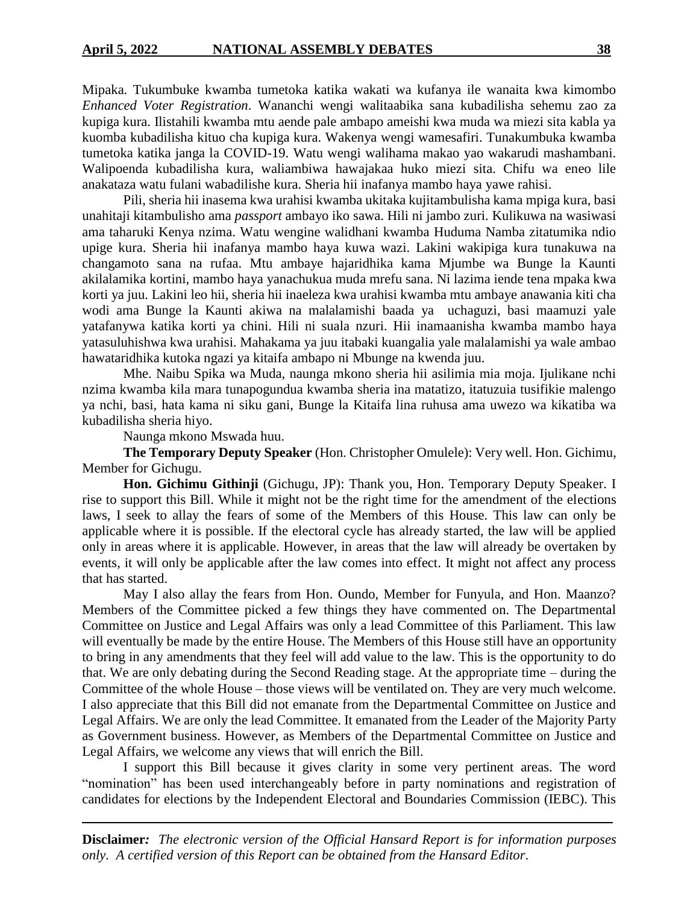Mipaka. Tukumbuke kwamba tumetoka katika wakati wa kufanya ile wanaita kwa kimombo *Enhanced Voter Registration*. Wananchi wengi walitaabika sana kubadilisha sehemu zao za kupiga kura. Ilistahili kwamba mtu aende pale ambapo ameishi kwa muda wa miezi sita kabla ya kuomba kubadilisha kituo cha kupiga kura. Wakenya wengi wamesafiri. Tunakumbuka kwamba tumetoka katika janga la COVID-19. Watu wengi walihama makao yao wakarudi mashambani. Walipoenda kubadilisha kura, waliambiwa hawajakaa huko miezi sita. Chifu wa eneo lile anakataza watu fulani wabadilishe kura. Sheria hii inafanya mambo haya yawe rahisi.

Pili, sheria hii inasema kwa urahisi kwamba ukitaka kujitambulisha kama mpiga kura, basi unahitaji kitambulisho ama *passport* ambayo iko sawa. Hili ni jambo zuri. Kulikuwa na wasiwasi ama taharuki Kenya nzima. Watu wengine walidhani kwamba Huduma Namba zitatumika ndio upige kura. Sheria hii inafanya mambo haya kuwa wazi. Lakini wakipiga kura tunakuwa na changamoto sana na rufaa. Mtu ambaye hajaridhika kama Mjumbe wa Bunge la Kaunti akilalamika kortini, mambo haya yanachukua muda mrefu sana. Ni lazima iende tena mpaka kwa korti ya juu. Lakini leo hii, sheria hii inaeleza kwa urahisi kwamba mtu ambaye anawania kiti cha wodi ama Bunge la Kaunti akiwa na malalamishi baada ya uchaguzi, basi maamuzi yale yatafanywa katika korti ya chini. Hili ni suala nzuri. Hii inamaanisha kwamba mambo haya yatasuluhishwa kwa urahisi. Mahakama ya juu itabaki kuangalia yale malalamishi ya wale ambao hawataridhika kutoka ngazi ya kitaifa ambapo ni Mbunge na kwenda juu.

Mhe. Naibu Spika wa Muda, naunga mkono sheria hii asilimia mia moja. Ijulikane nchi nzima kwamba kila mara tunapogundua kwamba sheria ina matatizo, itatuzuia tusifikie malengo ya nchi, basi, hata kama ni siku gani, Bunge la Kitaifa lina ruhusa ama uwezo wa kikatiba wa kubadilisha sheria hiyo.

Naunga mkono Mswada huu.

**The Temporary Deputy Speaker** (Hon. Christopher Omulele): Very well. Hon. Gichimu, Member for Gichugu.

**Hon. Gichimu Githinji** (Gichugu, JP): Thank you, Hon. Temporary Deputy Speaker. I rise to support this Bill. While it might not be the right time for the amendment of the elections laws, I seek to allay the fears of some of the Members of this House. This law can only be applicable where it is possible. If the electoral cycle has already started, the law will be applied only in areas where it is applicable. However, in areas that the law will already be overtaken by events, it will only be applicable after the law comes into effect. It might not affect any process that has started.

May I also allay the fears from Hon. Oundo, Member for Funyula, and Hon. Maanzo? Members of the Committee picked a few things they have commented on. The Departmental Committee on Justice and Legal Affairs was only a lead Committee of this Parliament. This law will eventually be made by the entire House. The Members of this House still have an opportunity to bring in any amendments that they feel will add value to the law. This is the opportunity to do that. We are only debating during the Second Reading stage. At the appropriate time – during the Committee of the whole House – those views will be ventilated on. They are very much welcome. I also appreciate that this Bill did not emanate from the Departmental Committee on Justice and Legal Affairs. We are only the lead Committee. It emanated from the Leader of the Majority Party as Government business. However, as Members of the Departmental Committee on Justice and Legal Affairs, we welcome any views that will enrich the Bill.

I support this Bill because it gives clarity in some very pertinent areas. The word "nomination" has been used interchangeably before in party nominations and registration of candidates for elections by the Independent Electoral and Boundaries Commission (IEBC). This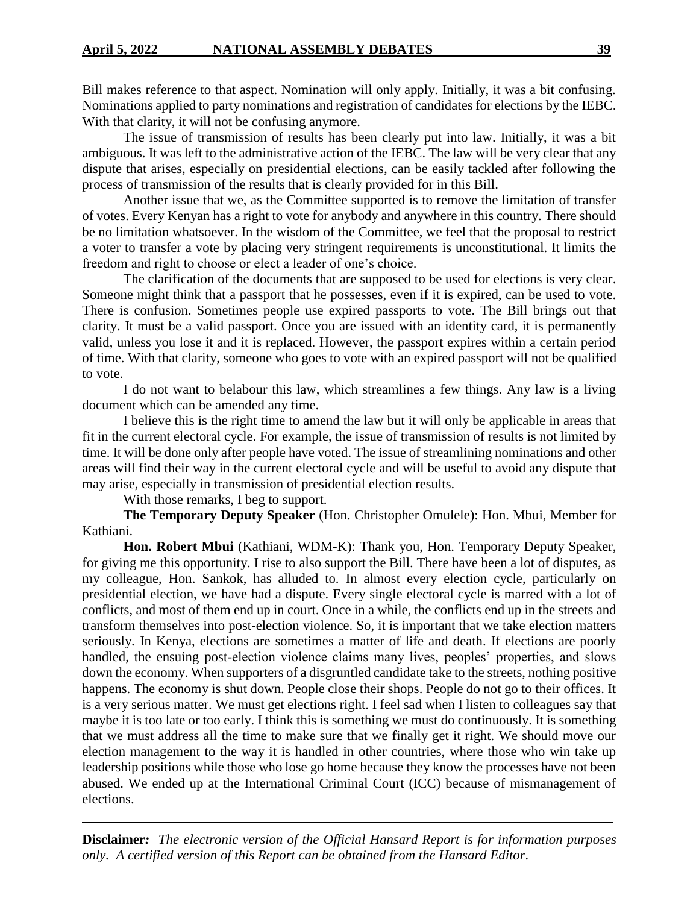Bill makes reference to that aspect. Nomination will only apply. Initially, it was a bit confusing. Nominations applied to party nominations and registration of candidates for elections by the IEBC. With that clarity, it will not be confusing anymore.

The issue of transmission of results has been clearly put into law. Initially, it was a bit ambiguous. It was left to the administrative action of the IEBC. The law will be very clear that any dispute that arises, especially on presidential elections, can be easily tackled after following the process of transmission of the results that is clearly provided for in this Bill.

Another issue that we, as the Committee supported is to remove the limitation of transfer of votes. Every Kenyan has a right to vote for anybody and anywhere in this country. There should be no limitation whatsoever. In the wisdom of the Committee, we feel that the proposal to restrict a voter to transfer a vote by placing very stringent requirements is unconstitutional. It limits the freedom and right to choose or elect a leader of one's choice.

The clarification of the documents that are supposed to be used for elections is very clear. Someone might think that a passport that he possesses, even if it is expired, can be used to vote. There is confusion. Sometimes people use expired passports to vote. The Bill brings out that clarity. It must be a valid passport. Once you are issued with an identity card, it is permanently valid, unless you lose it and it is replaced. However, the passport expires within a certain period of time. With that clarity, someone who goes to vote with an expired passport will not be qualified to vote.

I do not want to belabour this law, which streamlines a few things. Any law is a living document which can be amended any time.

I believe this is the right time to amend the law but it will only be applicable in areas that fit in the current electoral cycle. For example, the issue of transmission of results is not limited by time. It will be done only after people have voted. The issue of streamlining nominations and other areas will find their way in the current electoral cycle and will be useful to avoid any dispute that may arise, especially in transmission of presidential election results.

With those remarks, I beg to support.

**The Temporary Deputy Speaker** (Hon. Christopher Omulele): Hon. Mbui, Member for Kathiani.

**Hon. Robert Mbui** (Kathiani, WDM-K): Thank you, Hon. Temporary Deputy Speaker, for giving me this opportunity. I rise to also support the Bill. There have been a lot of disputes, as my colleague, Hon. Sankok, has alluded to. In almost every election cycle, particularly on presidential election, we have had a dispute. Every single electoral cycle is marred with a lot of conflicts, and most of them end up in court. Once in a while, the conflicts end up in the streets and transform themselves into post-election violence. So, it is important that we take election matters seriously. In Kenya, elections are sometimes a matter of life and death. If elections are poorly handled, the ensuing post-election violence claims many lives, peoples' properties, and slows down the economy. When supporters of a disgruntled candidate take to the streets, nothing positive happens. The economy is shut down. People close their shops. People do not go to their offices. It is a very serious matter. We must get elections right. I feel sad when I listen to colleagues say that maybe it is too late or too early. I think this is something we must do continuously. It is something that we must address all the time to make sure that we finally get it right. We should move our election management to the way it is handled in other countries, where those who win take up leadership positions while those who lose go home because they know the processes have not been abused. We ended up at the International Criminal Court (ICC) because of mismanagement of elections.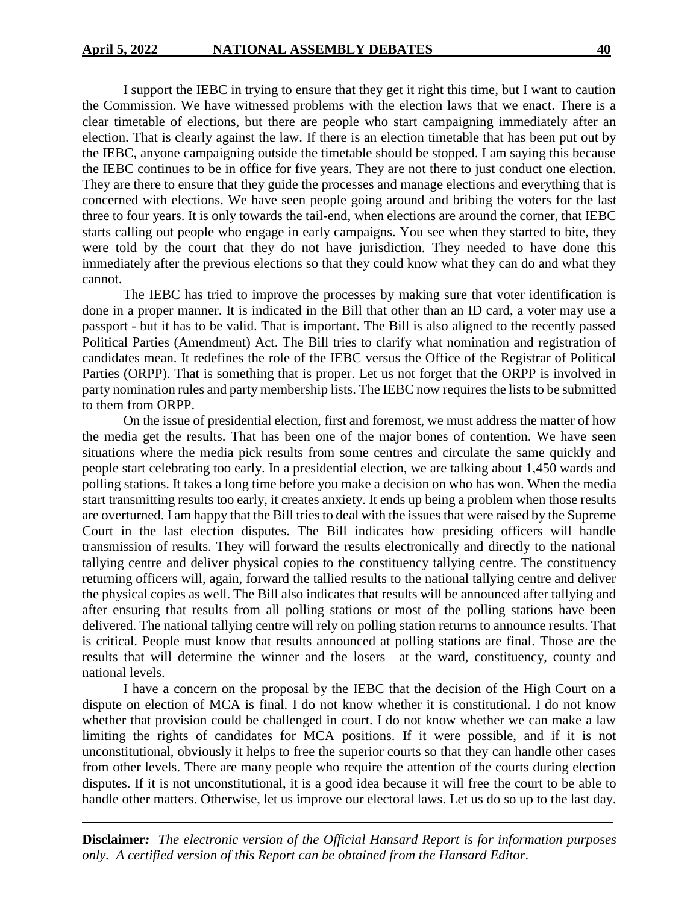I support the IEBC in trying to ensure that they get it right this time, but I want to caution the Commission. We have witnessed problems with the election laws that we enact. There is a clear timetable of elections, but there are people who start campaigning immediately after an election. That is clearly against the law. If there is an election timetable that has been put out by the IEBC, anyone campaigning outside the timetable should be stopped. I am saying this because the IEBC continues to be in office for five years. They are not there to just conduct one election. They are there to ensure that they guide the processes and manage elections and everything that is concerned with elections. We have seen people going around and bribing the voters for the last three to four years. It is only towards the tail-end, when elections are around the corner, that IEBC starts calling out people who engage in early campaigns. You see when they started to bite, they were told by the court that they do not have jurisdiction. They needed to have done this immediately after the previous elections so that they could know what they can do and what they cannot.

The IEBC has tried to improve the processes by making sure that voter identification is done in a proper manner. It is indicated in the Bill that other than an ID card, a voter may use a passport - but it has to be valid. That is important. The Bill is also aligned to the recently passed Political Parties (Amendment) Act. The Bill tries to clarify what nomination and registration of candidates mean. It redefines the role of the IEBC versus the Office of the Registrar of Political Parties (ORPP). That is something that is proper. Let us not forget that the ORPP is involved in party nomination rules and party membership lists. The IEBC now requires the lists to be submitted to them from ORPP.

On the issue of presidential election, first and foremost, we must address the matter of how the media get the results. That has been one of the major bones of contention. We have seen situations where the media pick results from some centres and circulate the same quickly and people start celebrating too early. In a presidential election, we are talking about 1,450 wards and polling stations. It takes a long time before you make a decision on who has won. When the media start transmitting results too early, it creates anxiety. It ends up being a problem when those results are overturned. I am happy that the Bill tries to deal with the issues that were raised by the Supreme Court in the last election disputes. The Bill indicates how presiding officers will handle transmission of results. They will forward the results electronically and directly to the national tallying centre and deliver physical copies to the constituency tallying centre. The constituency returning officers will, again, forward the tallied results to the national tallying centre and deliver the physical copies as well. The Bill also indicates that results will be announced after tallying and after ensuring that results from all polling stations or most of the polling stations have been delivered. The national tallying centre will rely on polling station returns to announce results. That is critical. People must know that results announced at polling stations are final. Those are the results that will determine the winner and the losers—at the ward, constituency, county and national levels.

I have a concern on the proposal by the IEBC that the decision of the High Court on a dispute on election of MCA is final. I do not know whether it is constitutional. I do not know whether that provision could be challenged in court. I do not know whether we can make a law limiting the rights of candidates for MCA positions. If it were possible, and if it is not unconstitutional, obviously it helps to free the superior courts so that they can handle other cases from other levels. There are many people who require the attention of the courts during election disputes. If it is not unconstitutional, it is a good idea because it will free the court to be able to handle other matters. Otherwise, let us improve our electoral laws. Let us do so up to the last day.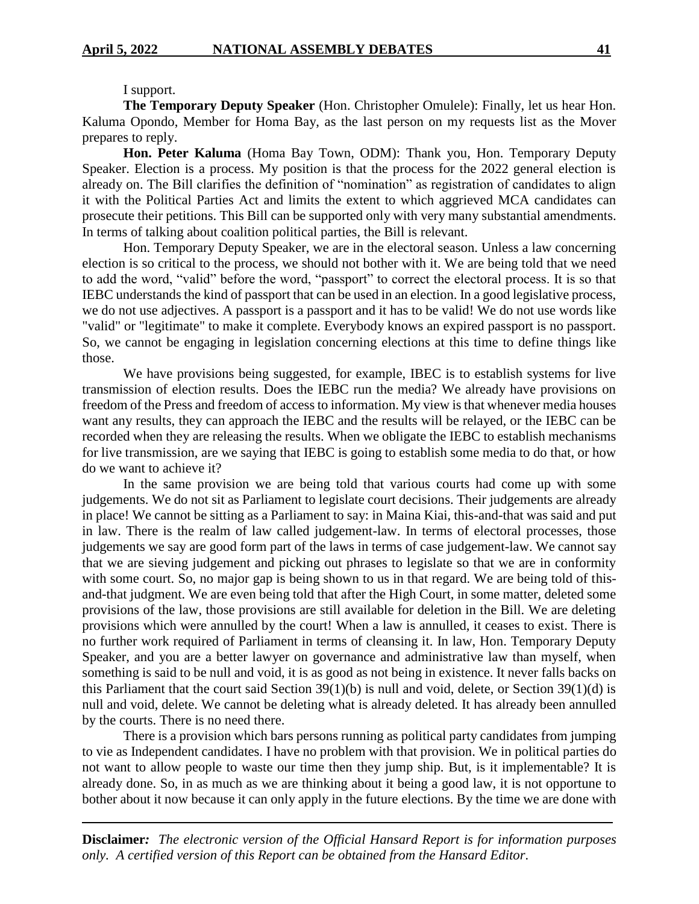#### I support.

**The Temporary Deputy Speaker** (Hon. Christopher Omulele): Finally, let us hear Hon. Kaluma Opondo, Member for Homa Bay, as the last person on my requests list as the Mover prepares to reply.

**Hon. Peter Kaluma** (Homa Bay Town, ODM): Thank you, Hon. Temporary Deputy Speaker. Election is a process. My position is that the process for the 2022 general election is already on. The Bill clarifies the definition of "nomination" as registration of candidates to align it with the Political Parties Act and limits the extent to which aggrieved MCA candidates can prosecute their petitions. This Bill can be supported only with very many substantial amendments. In terms of talking about coalition political parties, the Bill is relevant.

Hon. Temporary Deputy Speaker, we are in the electoral season. Unless a law concerning election is so critical to the process, we should not bother with it. We are being told that we need to add the word, "valid" before the word, "passport" to correct the electoral process. It is so that IEBC understands the kind of passport that can be used in an election. In a good legislative process, we do not use adjectives. A passport is a passport and it has to be valid! We do not use words like "valid" or "legitimate" to make it complete. Everybody knows an expired passport is no passport. So, we cannot be engaging in legislation concerning elections at this time to define things like those.

We have provisions being suggested, for example, IBEC is to establish systems for live transmission of election results. Does the IEBC run the media? We already have provisions on freedom of the Press and freedom of access to information. My view is that whenever media houses want any results, they can approach the IEBC and the results will be relayed, or the IEBC can be recorded when they are releasing the results. When we obligate the IEBC to establish mechanisms for live transmission, are we saying that IEBC is going to establish some media to do that, or how do we want to achieve it?

In the same provision we are being told that various courts had come up with some judgements. We do not sit as Parliament to legislate court decisions. Their judgements are already in place! We cannot be sitting as a Parliament to say: in Maina Kiai, this-and-that was said and put in law. There is the realm of law called judgement-law. In terms of electoral processes, those judgements we say are good form part of the laws in terms of case judgement-law. We cannot say that we are sieving judgement and picking out phrases to legislate so that we are in conformity with some court. So, no major gap is being shown to us in that regard. We are being told of thisand-that judgment. We are even being told that after the High Court, in some matter, deleted some provisions of the law, those provisions are still available for deletion in the Bill. We are deleting provisions which were annulled by the court! When a law is annulled, it ceases to exist. There is no further work required of Parliament in terms of cleansing it. In law, Hon. Temporary Deputy Speaker, and you are a better lawyer on governance and administrative law than myself, when something is said to be null and void, it is as good as not being in existence. It never falls backs on this Parliament that the court said Section 39(1)(b) is null and void, delete, or Section 39(1)(d) is null and void, delete. We cannot be deleting what is already deleted. It has already been annulled by the courts. There is no need there.

There is a provision which bars persons running as political party candidates from jumping to vie as Independent candidates. I have no problem with that provision. We in political parties do not want to allow people to waste our time then they jump ship. But, is it implementable? It is already done. So, in as much as we are thinking about it being a good law, it is not opportune to bother about it now because it can only apply in the future elections. By the time we are done with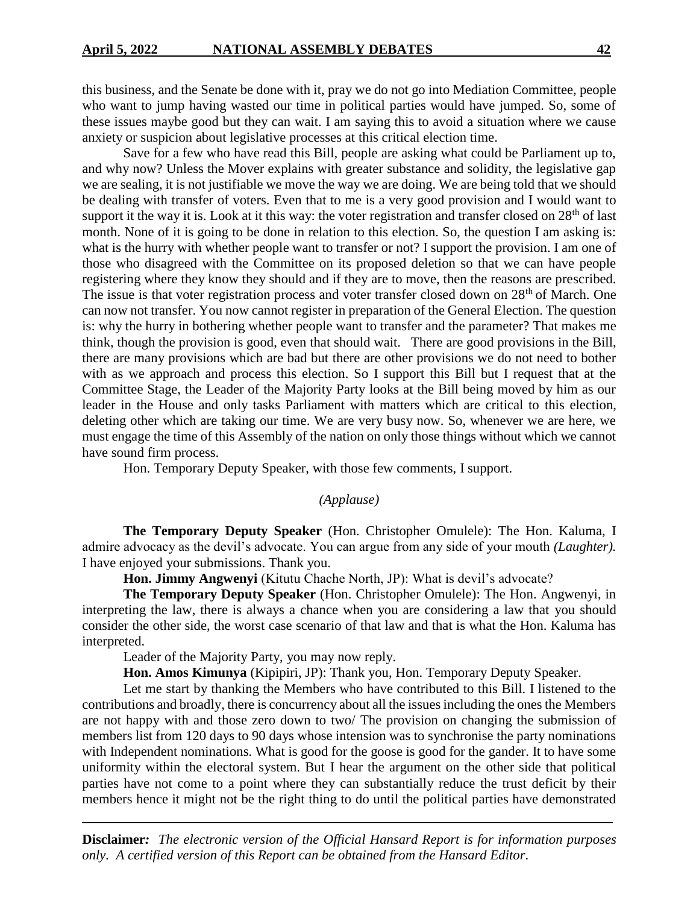this business, and the Senate be done with it, pray we do not go into Mediation Committee, people who want to jump having wasted our time in political parties would have jumped. So, some of these issues maybe good but they can wait. I am saying this to avoid a situation where we cause anxiety or suspicion about legislative processes at this critical election time.

Save for a few who have read this Bill, people are asking what could be Parliament up to, and why now? Unless the Mover explains with greater substance and solidity, the legislative gap we are sealing, it is not justifiable we move the way we are doing. We are being told that we should be dealing with transfer of voters. Even that to me is a very good provision and I would want to support it the way it is. Look at it this way: the voter registration and transfer closed on 28<sup>th</sup> of last month. None of it is going to be done in relation to this election. So, the question I am asking is: what is the hurry with whether people want to transfer or not? I support the provision. I am one of those who disagreed with the Committee on its proposed deletion so that we can have people registering where they know they should and if they are to move, then the reasons are prescribed. The issue is that voter registration process and voter transfer closed down on 28<sup>th</sup> of March. One can now not transfer. You now cannot register in preparation of the General Election. The question is: why the hurry in bothering whether people want to transfer and the parameter? That makes me think, though the provision is good, even that should wait. There are good provisions in the Bill, there are many provisions which are bad but there are other provisions we do not need to bother with as we approach and process this election. So I support this Bill but I request that at the Committee Stage, the Leader of the Majority Party looks at the Bill being moved by him as our leader in the House and only tasks Parliament with matters which are critical to this election, deleting other which are taking our time. We are very busy now. So, whenever we are here, we must engage the time of this Assembly of the nation on only those things without which we cannot have sound firm process.

Hon. Temporary Deputy Speaker, with those few comments, I support.

#### *(Applause)*

**The Temporary Deputy Speaker** (Hon. Christopher Omulele): The Hon. Kaluma, I admire advocacy as the devil's advocate. You can argue from any side of your mouth *(Laughter).*  I have enjoyed your submissions. Thank you.

**Hon. Jimmy Angwenyi** (Kitutu Chache North, JP): What is devil's advocate?

**The Temporary Deputy Speaker** (Hon. Christopher Omulele): The Hon. Angwenyi, in interpreting the law, there is always a chance when you are considering a law that you should consider the other side, the worst case scenario of that law and that is what the Hon. Kaluma has interpreted.

Leader of the Majority Party, you may now reply.

**Hon. Amos Kimunya** (Kipipiri, JP): Thank you, Hon. Temporary Deputy Speaker.

Let me start by thanking the Members who have contributed to this Bill. I listened to the contributions and broadly, there is concurrency about all the issues including the ones the Members are not happy with and those zero down to two/ The provision on changing the submission of members list from 120 days to 90 days whose intension was to synchronise the party nominations with Independent nominations. What is good for the goose is good for the gander. It to have some uniformity within the electoral system. But I hear the argument on the other side that political parties have not come to a point where they can substantially reduce the trust deficit by their members hence it might not be the right thing to do until the political parties have demonstrated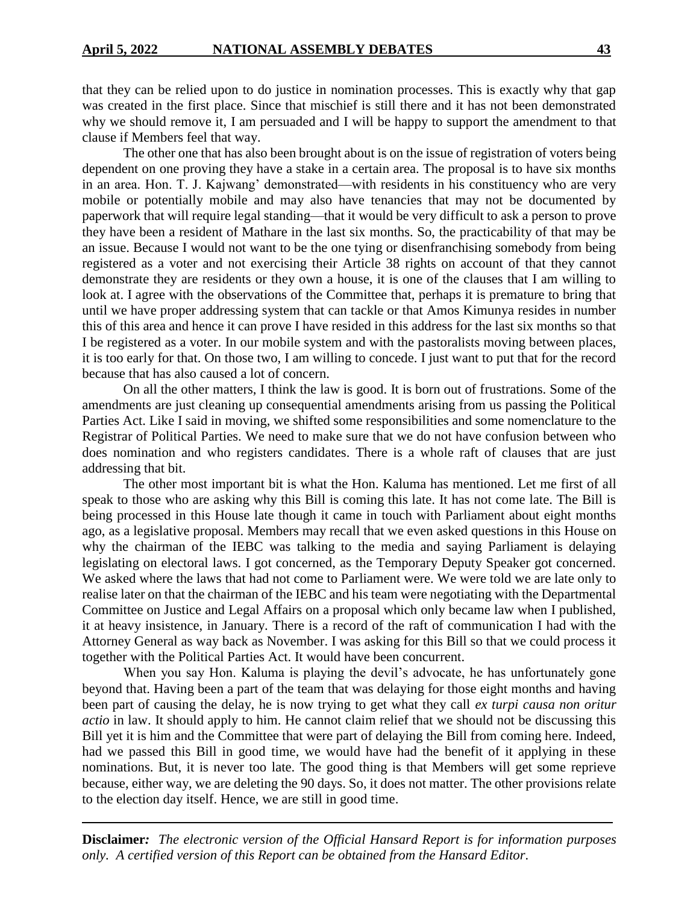that they can be relied upon to do justice in nomination processes. This is exactly why that gap was created in the first place. Since that mischief is still there and it has not been demonstrated why we should remove it, I am persuaded and I will be happy to support the amendment to that clause if Members feel that way.

The other one that has also been brought about is on the issue of registration of voters being dependent on one proving they have a stake in a certain area. The proposal is to have six months in an area. Hon. T. J. Kajwang' demonstrated—with residents in his constituency who are very mobile or potentially mobile and may also have tenancies that may not be documented by paperwork that will require legal standing—that it would be very difficult to ask a person to prove they have been a resident of Mathare in the last six months. So, the practicability of that may be an issue. Because I would not want to be the one tying or disenfranchising somebody from being registered as a voter and not exercising their Article 38 rights on account of that they cannot demonstrate they are residents or they own a house, it is one of the clauses that I am willing to look at. I agree with the observations of the Committee that, perhaps it is premature to bring that until we have proper addressing system that can tackle or that Amos Kimunya resides in number this of this area and hence it can prove I have resided in this address for the last six months so that I be registered as a voter. In our mobile system and with the pastoralists moving between places, it is too early for that. On those two, I am willing to concede. I just want to put that for the record because that has also caused a lot of concern.

On all the other matters, I think the law is good. It is born out of frustrations. Some of the amendments are just cleaning up consequential amendments arising from us passing the Political Parties Act. Like I said in moving, we shifted some responsibilities and some nomenclature to the Registrar of Political Parties. We need to make sure that we do not have confusion between who does nomination and who registers candidates. There is a whole raft of clauses that are just addressing that bit.

The other most important bit is what the Hon. Kaluma has mentioned. Let me first of all speak to those who are asking why this Bill is coming this late. It has not come late. The Bill is being processed in this House late though it came in touch with Parliament about eight months ago, as a legislative proposal. Members may recall that we even asked questions in this House on why the chairman of the IEBC was talking to the media and saying Parliament is delaying legislating on electoral laws. I got concerned, as the Temporary Deputy Speaker got concerned. We asked where the laws that had not come to Parliament were. We were told we are late only to realise later on that the chairman of the IEBC and his team were negotiating with the Departmental Committee on Justice and Legal Affairs on a proposal which only became law when I published, it at heavy insistence, in January. There is a record of the raft of communication I had with the Attorney General as way back as November. I was asking for this Bill so that we could process it together with the Political Parties Act. It would have been concurrent.

When you say Hon. Kaluma is playing the devil's advocate, he has unfortunately gone beyond that. Having been a part of the team that was delaying for those eight months and having been part of causing the delay, he is now trying to get what they call *ex turpi causa non oritur actio* in law. It should apply to him. He cannot claim relief that we should not be discussing this Bill yet it is him and the Committee that were part of delaying the Bill from coming here. Indeed, had we passed this Bill in good time, we would have had the benefit of it applying in these nominations. But, it is never too late. The good thing is that Members will get some reprieve because, either way, we are deleting the 90 days. So, it does not matter. The other provisions relate to the election day itself. Hence, we are still in good time.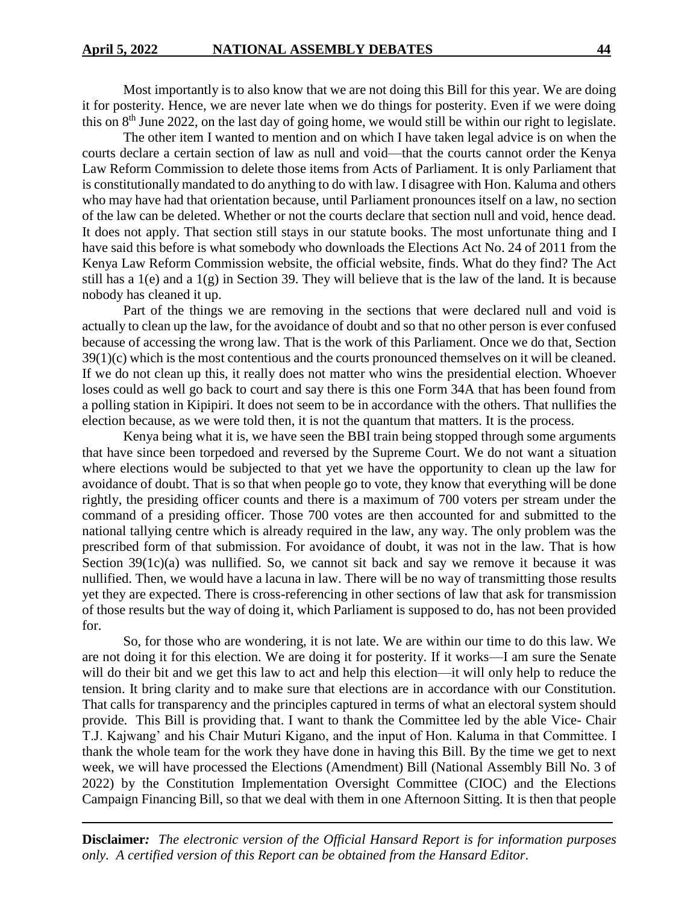Most importantly is to also know that we are not doing this Bill for this year. We are doing it for posterity. Hence, we are never late when we do things for posterity. Even if we were doing this on 8th June 2022, on the last day of going home, we would still be within our right to legislate.

The other item I wanted to mention and on which I have taken legal advice is on when the courts declare a certain section of law as null and void—that the courts cannot order the Kenya Law Reform Commission to delete those items from Acts of Parliament. It is only Parliament that is constitutionally mandated to do anything to do with law. I disagree with Hon. Kaluma and others who may have had that orientation because, until Parliament pronounces itself on a law, no section of the law can be deleted. Whether or not the courts declare that section null and void, hence dead. It does not apply. That section still stays in our statute books. The most unfortunate thing and I have said this before is what somebody who downloads the Elections Act No. 24 of 2011 from the Kenya Law Reform Commission website, the official website, finds. What do they find? The Act still has a 1(e) and a 1(g) in Section 39. They will believe that is the law of the land. It is because nobody has cleaned it up.

Part of the things we are removing in the sections that were declared null and void is actually to clean up the law, for the avoidance of doubt and so that no other person is ever confused because of accessing the wrong law. That is the work of this Parliament. Once we do that, Section 39(1)(c) which is the most contentious and the courts pronounced themselves on it will be cleaned. If we do not clean up this, it really does not matter who wins the presidential election. Whoever loses could as well go back to court and say there is this one Form 34A that has been found from a polling station in Kipipiri. It does not seem to be in accordance with the others. That nullifies the election because, as we were told then, it is not the quantum that matters. It is the process.

Kenya being what it is, we have seen the BBI train being stopped through some arguments that have since been torpedoed and reversed by the Supreme Court. We do not want a situation where elections would be subjected to that yet we have the opportunity to clean up the law for avoidance of doubt. That is so that when people go to vote, they know that everything will be done rightly, the presiding officer counts and there is a maximum of 700 voters per stream under the command of a presiding officer. Those 700 votes are then accounted for and submitted to the national tallying centre which is already required in the law, any way. The only problem was the prescribed form of that submission. For avoidance of doubt, it was not in the law. That is how Section 39(1c)(a) was nullified. So, we cannot sit back and say we remove it because it was nullified. Then, we would have a lacuna in law. There will be no way of transmitting those results yet they are expected. There is cross-referencing in other sections of law that ask for transmission of those results but the way of doing it, which Parliament is supposed to do, has not been provided for.

So, for those who are wondering, it is not late. We are within our time to do this law. We are not doing it for this election. We are doing it for posterity. If it works—I am sure the Senate will do their bit and we get this law to act and help this election—it will only help to reduce the tension. It bring clarity and to make sure that elections are in accordance with our Constitution. That calls for transparency and the principles captured in terms of what an electoral system should provide. This Bill is providing that. I want to thank the Committee led by the able Vice- Chair T.J. Kajwang' and his Chair Muturi Kigano, and the input of Hon. Kaluma in that Committee. I thank the whole team for the work they have done in having this Bill. By the time we get to next week, we will have processed the Elections (Amendment) Bill (National Assembly Bill No. 3 of 2022) by the Constitution Implementation Oversight Committee (CIOC) and the Elections Campaign Financing Bill, so that we deal with them in one Afternoon Sitting. It is then that people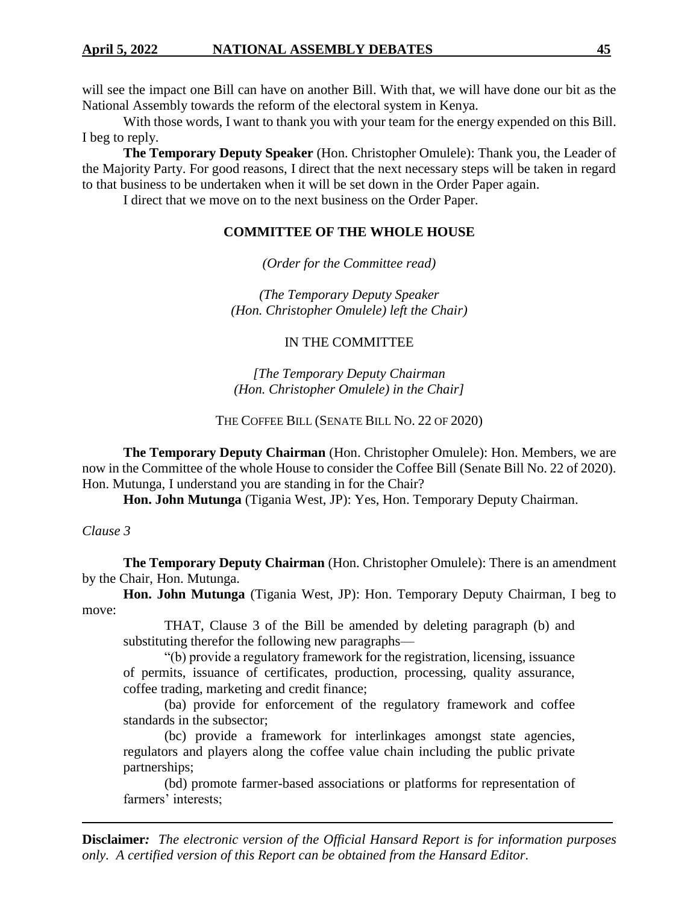will see the impact one Bill can have on another Bill. With that, we will have done our bit as the National Assembly towards the reform of the electoral system in Kenya.

With those words, I want to thank you with your team for the energy expended on this Bill. I beg to reply.

**The Temporary Deputy Speaker** (Hon. Christopher Omulele): Thank you, the Leader of the Majority Party. For good reasons, I direct that the next necessary steps will be taken in regard to that business to be undertaken when it will be set down in the Order Paper again.

I direct that we move on to the next business on the Order Paper.

# **COMMITTEE OF THE WHOLE HOUSE**

*(Order for the Committee read)*

*(The Temporary Deputy Speaker (Hon. Christopher Omulele) left the Chair)*

### IN THE COMMITTEE

*[The Temporary Deputy Chairman (Hon. Christopher Omulele) in the Chair]*

### THE COFFEE BILL (SENATE BILL NO. 22 OF 2020)

**The Temporary Deputy Chairman** (Hon. Christopher Omulele): Hon. Members, we are now in the Committee of the whole House to consider the Coffee Bill (Senate Bill No. 22 of 2020). Hon. Mutunga, I understand you are standing in for the Chair?

**Hon. John Mutunga** (Tigania West, JP): Yes, Hon. Temporary Deputy Chairman.

*Clause 3*

**The Temporary Deputy Chairman** (Hon. Christopher Omulele): There is an amendment by the Chair, Hon. Mutunga.

**Hon. John Mutunga** (Tigania West, JP): Hon. Temporary Deputy Chairman, I beg to move:

THAT, Clause 3 of the Bill be amended by deleting paragraph (b) and substituting therefor the following new paragraphs—

"(b) provide a regulatory framework for the registration, licensing, issuance of permits, issuance of certificates, production, processing, quality assurance, coffee trading, marketing and credit finance;

(ba) provide for enforcement of the regulatory framework and coffee standards in the subsector;

(bc) provide a framework for interlinkages amongst state agencies, regulators and players along the coffee value chain including the public private partnerships;

(bd) promote farmer-based associations or platforms for representation of farmers' interests;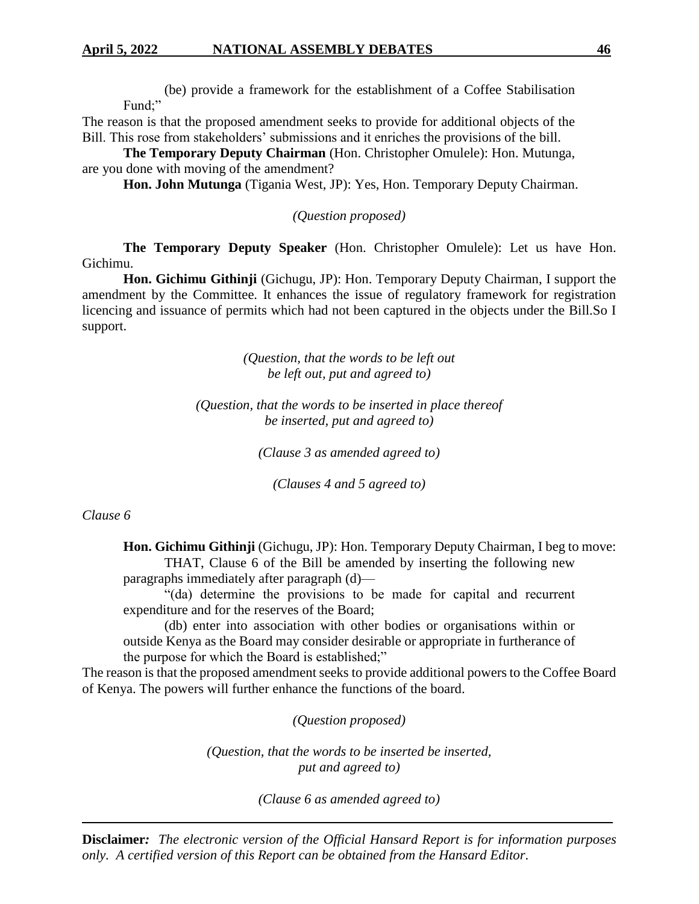(be) provide a framework for the establishment of a Coffee Stabilisation Fund;"

The reason is that the proposed amendment seeks to provide for additional objects of the Bill. This rose from stakeholders' submissions and it enriches the provisions of the bill.

**The Temporary Deputy Chairman** (Hon. Christopher Omulele): Hon. Mutunga, are you done with moving of the amendment?

**Hon. John Mutunga** (Tigania West, JP): Yes, Hon. Temporary Deputy Chairman.

*(Question proposed)*

**The Temporary Deputy Speaker** (Hon. Christopher Omulele): Let us have Hon. Gichimu.

**Hon. Gichimu Githinji** (Gichugu, JP): Hon. Temporary Deputy Chairman, I support the amendment by the Committee. It enhances the issue of regulatory framework for registration licencing and issuance of permits which had not been captured in the objects under the Bill.So I support.

> *(Question, that the words to be left out be left out, put and agreed to)*

*(Question, that the words to be inserted in place thereof be inserted, put and agreed to)*

*(Clause 3 as amended agreed to)*

*(Clauses 4 and 5 agreed to)*

*Clause 6*

**Hon. Gichimu Githinji** (Gichugu, JP): Hon. Temporary Deputy Chairman, I beg to move: THAT, Clause 6 of the Bill be amended by inserting the following new paragraphs immediately after paragraph (d)—

"(da) determine the provisions to be made for capital and recurrent expenditure and for the reserves of the Board;

(db) enter into association with other bodies or organisations within or outside Kenya as the Board may consider desirable or appropriate in furtherance of the purpose for which the Board is established;"

The reason is that the proposed amendment seeks to provide additional powers to the Coffee Board of Kenya. The powers will further enhance the functions of the board.

*(Question proposed)*

*(Question, that the words to be inserted be inserted, put and agreed to)*

*(Clause 6 as amended agreed to)*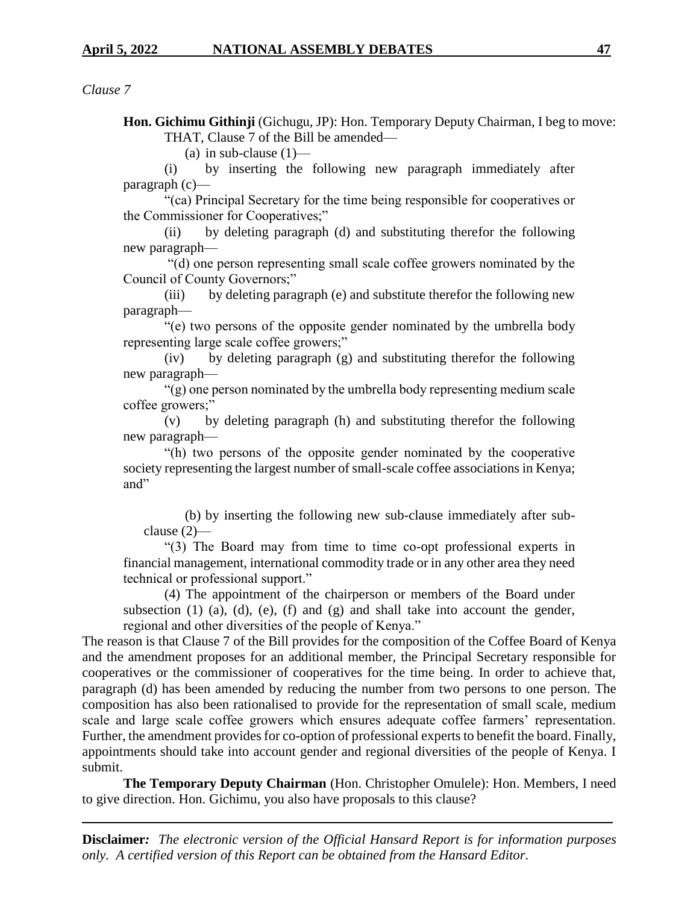*Clause 7*

**Hon. Gichimu Githinji** (Gichugu, JP): Hon. Temporary Deputy Chairman, I beg to move: THAT, Clause 7 of the Bill be amended—

(a) in sub-clause  $(1)$ —

(i) by inserting the following new paragraph immediately after paragraph (c)—

"(ca) Principal Secretary for the time being responsible for cooperatives or the Commissioner for Cooperatives;"

(ii) by deleting paragraph (d) and substituting therefor the following new paragraph—

"(d) one person representing small scale coffee growers nominated by the Council of County Governors;"

(iii) by deleting paragraph (e) and substitute therefor the following new paragraph—

"(e) two persons of the opposite gender nominated by the umbrella body representing large scale coffee growers;"

(iv) by deleting paragraph (g) and substituting therefor the following new paragraph—

"(g) one person nominated by the umbrella body representing medium scale coffee growers;"

(v) by deleting paragraph (h) and substituting therefor the following new paragraph—

"(h) two persons of the opposite gender nominated by the cooperative society representing the largest number of small-scale coffee associations in Kenya; and"

(b) by inserting the following new sub-clause immediately after subclause (2)—

"(3) The Board may from time to time co-opt professional experts in financial management, international commodity trade or in any other area they need technical or professional support."

(4) The appointment of the chairperson or members of the Board under subsection  $(1)$   $(a)$ ,  $(d)$ ,  $(e)$ ,  $(f)$  and  $(g)$  and shall take into account the gender, regional and other diversities of the people of Kenya."

The reason is that Clause 7 of the Bill provides for the composition of the Coffee Board of Kenya and the amendment proposes for an additional member, the Principal Secretary responsible for cooperatives or the commissioner of cooperatives for the time being. In order to achieve that, paragraph (d) has been amended by reducing the number from two persons to one person. The composition has also been rationalised to provide for the representation of small scale, medium scale and large scale coffee growers which ensures adequate coffee farmers' representation. Further, the amendment provides for co-option of professional experts to benefit the board. Finally, appointments should take into account gender and regional diversities of the people of Kenya. I submit.

**The Temporary Deputy Chairman** (Hon. Christopher Omulele): Hon. Members, I need to give direction. Hon. Gichimu, you also have proposals to this clause?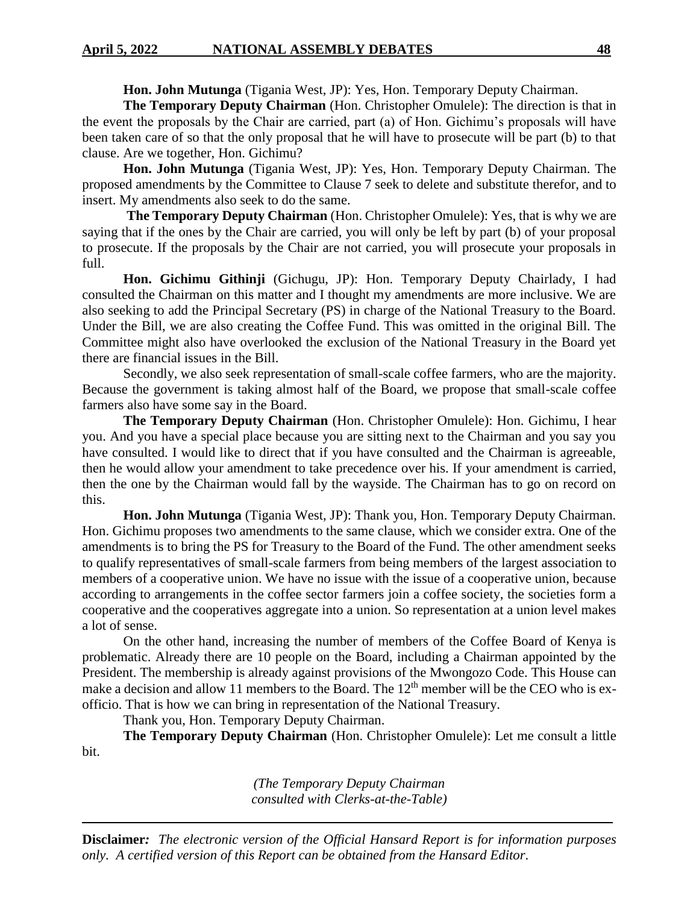**Hon. John Mutunga** (Tigania West, JP): Yes, Hon. Temporary Deputy Chairman.

**The Temporary Deputy Chairman** (Hon. Christopher Omulele): The direction is that in the event the proposals by the Chair are carried, part (a) of Hon. Gichimu's proposals will have been taken care of so that the only proposal that he will have to prosecute will be part (b) to that clause. Are we together, Hon. Gichimu?

**Hon. John Mutunga** (Tigania West, JP): Yes, Hon. Temporary Deputy Chairman. The proposed amendments by the Committee to Clause 7 seek to delete and substitute therefor, and to insert. My amendments also seek to do the same.

**The Temporary Deputy Chairman** (Hon. Christopher Omulele): Yes, that is why we are saying that if the ones by the Chair are carried, you will only be left by part (b) of your proposal to prosecute. If the proposals by the Chair are not carried, you will prosecute your proposals in full.

**Hon. Gichimu Githinji** (Gichugu, JP): Hon. Temporary Deputy Chairlady, I had consulted the Chairman on this matter and I thought my amendments are more inclusive. We are also seeking to add the Principal Secretary (PS) in charge of the National Treasury to the Board. Under the Bill, we are also creating the Coffee Fund. This was omitted in the original Bill. The Committee might also have overlooked the exclusion of the National Treasury in the Board yet there are financial issues in the Bill.

Secondly, we also seek representation of small-scale coffee farmers, who are the majority. Because the government is taking almost half of the Board, we propose that small-scale coffee farmers also have some say in the Board.

**The Temporary Deputy Chairman** (Hon. Christopher Omulele): Hon. Gichimu, I hear you. And you have a special place because you are sitting next to the Chairman and you say you have consulted. I would like to direct that if you have consulted and the Chairman is agreeable, then he would allow your amendment to take precedence over his. If your amendment is carried, then the one by the Chairman would fall by the wayside. The Chairman has to go on record on this.

**Hon. John Mutunga** (Tigania West, JP): Thank you, Hon. Temporary Deputy Chairman. Hon. Gichimu proposes two amendments to the same clause, which we consider extra. One of the amendments is to bring the PS for Treasury to the Board of the Fund. The other amendment seeks to qualify representatives of small-scale farmers from being members of the largest association to members of a cooperative union. We have no issue with the issue of a cooperative union, because according to arrangements in the coffee sector farmers join a coffee society, the societies form a cooperative and the cooperatives aggregate into a union. So representation at a union level makes a lot of sense.

On the other hand, increasing the number of members of the Coffee Board of Kenya is problematic. Already there are 10 people on the Board, including a Chairman appointed by the President. The membership is already against provisions of the Mwongozo Code. This House can make a decision and allow 11 members to the Board. The  $12<sup>th</sup>$  member will be the CEO who is exofficio. That is how we can bring in representation of the National Treasury.

Thank you, Hon. Temporary Deputy Chairman.

**The Temporary Deputy Chairman** (Hon. Christopher Omulele): Let me consult a little bit.

> *(The Temporary Deputy Chairman consulted with Clerks-at-the-Table)*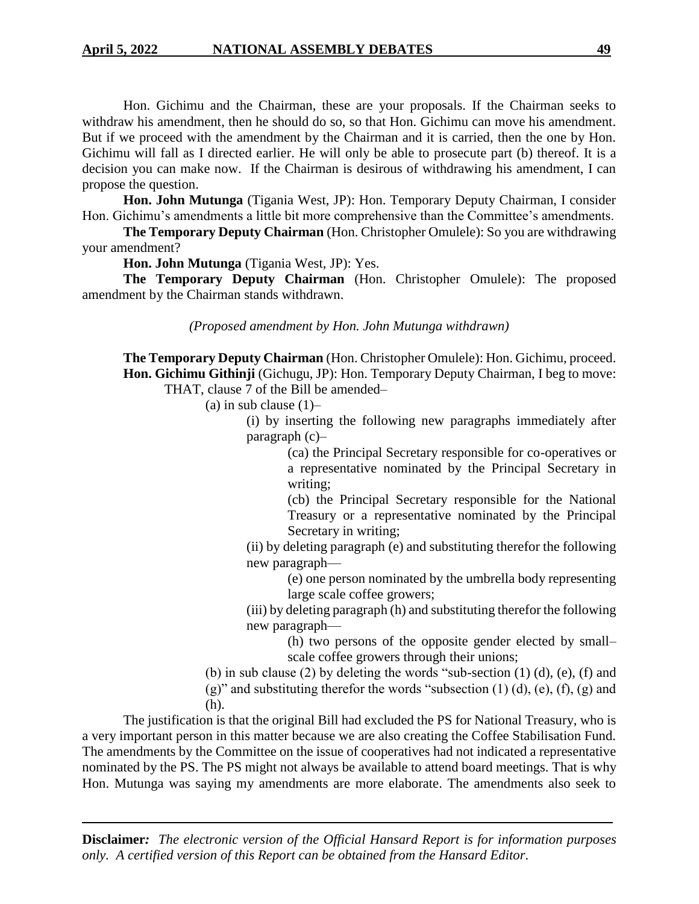Hon. Gichimu and the Chairman, these are your proposals. If the Chairman seeks to withdraw his amendment, then he should do so, so that Hon. Gichimu can move his amendment. But if we proceed with the amendment by the Chairman and it is carried, then the one by Hon. Gichimu will fall as I directed earlier. He will only be able to prosecute part (b) thereof. It is a decision you can make now. If the Chairman is desirous of withdrawing his amendment, I can propose the question.

**Hon. John Mutunga** (Tigania West, JP): Hon. Temporary Deputy Chairman, I consider Hon. Gichimu's amendments a little bit more comprehensive than the Committee's amendments.

**The Temporary Deputy Chairman** (Hon. Christopher Omulele): So you are withdrawing your amendment?

**Hon. John Mutunga** (Tigania West, JP): Yes.

**The Temporary Deputy Chairman** (Hon. Christopher Omulele): The proposed amendment by the Chairman stands withdrawn.

*(Proposed amendment by Hon. John Mutunga withdrawn)*

**The Temporary Deputy Chairman** (Hon. Christopher Omulele): Hon. Gichimu, proceed. **Hon. Gichimu Githinji** (Gichugu, JP): Hon. Temporary Deputy Chairman, I beg to move: THAT, clause 7 of the Bill be amended–

(a) in sub clause  $(1)$ –

(i) by inserting the following new paragraphs immediately after paragraph (c)–

> (ca) the Principal Secretary responsible for co-operatives or a representative nominated by the Principal Secretary in writing;

> (cb) the Principal Secretary responsible for the National Treasury or a representative nominated by the Principal Secretary in writing;

(ii) by deleting paragraph (e) and substituting therefor the following new paragraph—

> (e) one person nominated by the umbrella body representing large scale coffee growers;

(iii) by deleting paragraph (h) and substituting therefor the following new paragraph—

> (h) two persons of the opposite gender elected by small– scale coffee growers through their unions;

(b) in sub clause (2) by deleting the words "sub-section  $(1)$   $(d)$ ,  $(e)$ ,  $(f)$  and

 $(g)$ " and substituting therefor the words "subsection  $(1)$   $(d)$ ,  $(e)$ ,  $(f)$ ,  $(g)$  and (h).

The justification is that the original Bill had excluded the PS for National Treasury, who is a very important person in this matter because we are also creating the Coffee Stabilisation Fund. The amendments by the Committee on the issue of cooperatives had not indicated a representative nominated by the PS. The PS might not always be available to attend board meetings. That is why Hon. Mutunga was saying my amendments are more elaborate. The amendments also seek to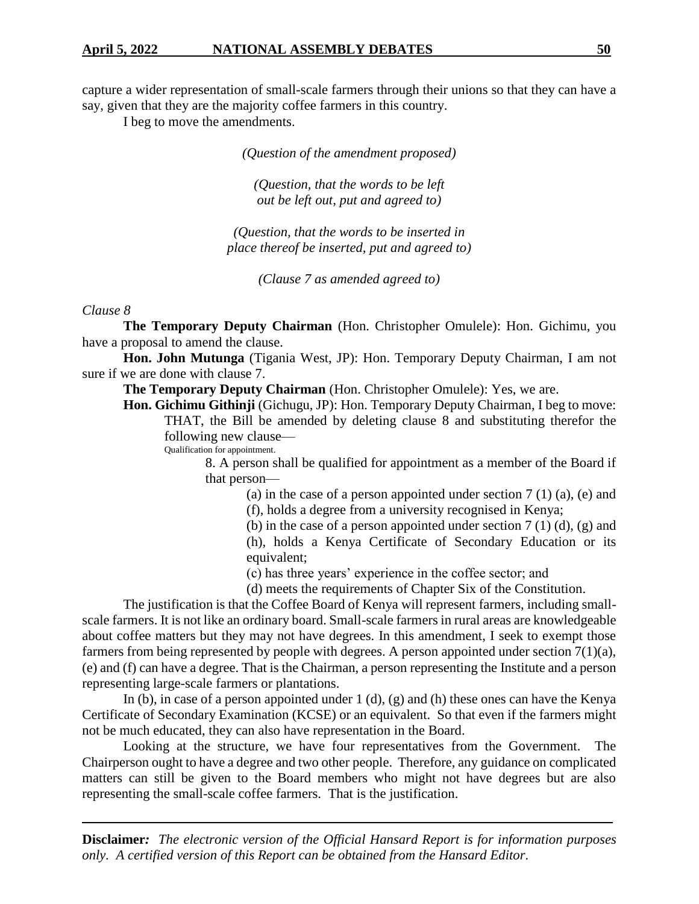capture a wider representation of small-scale farmers through their unions so that they can have a say, given that they are the majority coffee farmers in this country.

I beg to move the amendments.

*(Question of the amendment proposed)*

*(Question, that the words to be left out be left out, put and agreed to)*

*(Question, that the words to be inserted in place thereof be inserted, put and agreed to)*

*(Clause 7 as amended agreed to)*

#### *Clause 8*

**The Temporary Deputy Chairman** (Hon. Christopher Omulele): Hon. Gichimu, you have a proposal to amend the clause.

**Hon. John Mutunga** (Tigania West, JP): Hon. Temporary Deputy Chairman, I am not sure if we are done with clause 7.

**The Temporary Deputy Chairman** (Hon. Christopher Omulele): Yes, we are.

**Hon. Gichimu Githinji** (Gichugu, JP): Hon. Temporary Deputy Chairman, I beg to move: THAT, the Bill be amended by deleting clause 8 and substituting therefor the following new clause—

Qualification for appointment.

8. A person shall be qualified for appointment as a member of the Board if that person—

(a) in the case of a person appointed under section  $7(1)(a)$ , (e) and

(f), holds a degree from a university recognised in Kenya;

(b) in the case of a person appointed under section  $7(1)(d)$ ,  $(g)$  and (h), holds a Kenya Certificate of Secondary Education or its

equivalent;

(c) has three years' experience in the coffee sector; and

(d) meets the requirements of Chapter Six of the Constitution.

The justification is that the Coffee Board of Kenya will represent farmers, including smallscale farmers. It is not like an ordinary board. Small-scale farmers in rural areas are knowledgeable about coffee matters but they may not have degrees. In this amendment, I seek to exempt those farmers from being represented by people with degrees. A person appointed under section 7(1)(a), (e) and (f) can have a degree. That is the Chairman, a person representing the Institute and a person representing large-scale farmers or plantations.

In (b), in case of a person appointed under  $1$  (d), (g) and (h) these ones can have the Kenya Certificate of Secondary Examination (KCSE) or an equivalent. So that even if the farmers might not be much educated, they can also have representation in the Board.

Looking at the structure, we have four representatives from the Government. The Chairperson ought to have a degree and two other people. Therefore, any guidance on complicated matters can still be given to the Board members who might not have degrees but are also representing the small-scale coffee farmers. That is the justification.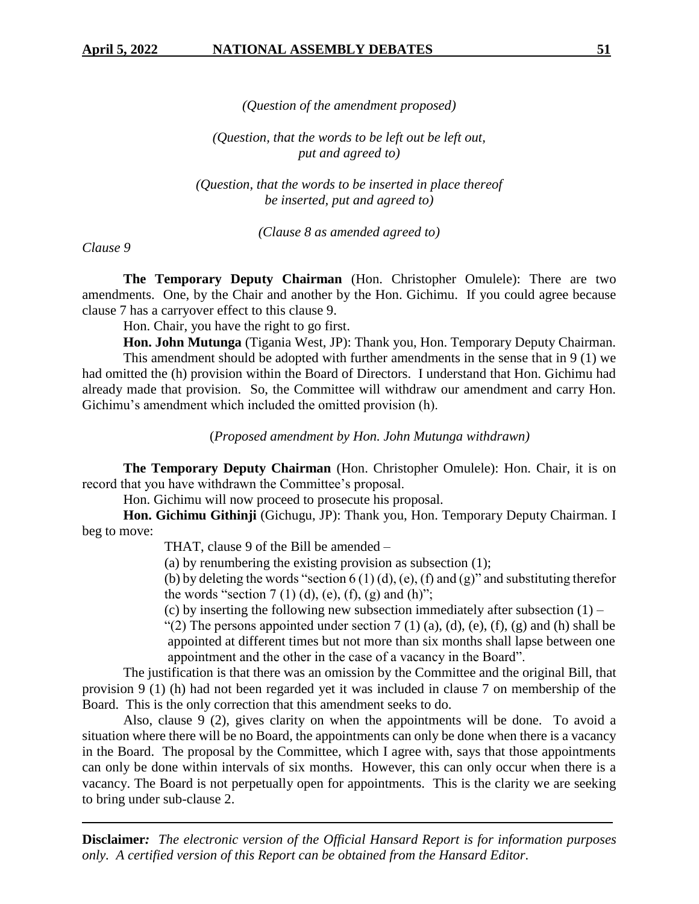*(Question of the amendment proposed)*

*(Question, that the words to be left out be left out, put and agreed to)*

*(Question, that the words to be inserted in place thereof be inserted, put and agreed to)*

*(Clause 8 as amended agreed to)*

*Clause 9*

**The Temporary Deputy Chairman** (Hon. Christopher Omulele): There are two amendments. One, by the Chair and another by the Hon. Gichimu. If you could agree because clause 7 has a carryover effect to this clause 9.

Hon. Chair, you have the right to go first.

**Hon. John Mutunga** (Tigania West, JP): Thank you, Hon. Temporary Deputy Chairman.

This amendment should be adopted with further amendments in the sense that in 9 (1) we had omitted the (h) provision within the Board of Directors. I understand that Hon. Gichimu had already made that provision. So, the Committee will withdraw our amendment and carry Hon. Gichimu's amendment which included the omitted provision (h).

(*Proposed amendment by Hon. John Mutunga withdrawn)*

**The Temporary Deputy Chairman** (Hon. Christopher Omulele): Hon. Chair, it is on record that you have withdrawn the Committee's proposal.

Hon. Gichimu will now proceed to prosecute his proposal.

**Hon. Gichimu Githinji** (Gichugu, JP): Thank you, Hon. Temporary Deputy Chairman. I beg to move:

THAT, clause 9 of the Bill be amended –

(a) by renumbering the existing provision as subsection (1);

(b) by deleting the words "section  $6(1)(d)$ , (e), (f) and (g)" and substituting therefor the words "section  $7(1)(d)$ , (e),  $(f)$ , (g) and  $(h)$ ";

(c) by inserting the following new subsection immediately after subsection  $(1)$  –

"(2) The persons appointed under section  $7(1)(a)$ ,  $(d)$ ,  $(e)$ ,  $(f)$ ,  $(g)$  and  $(h)$  shall be appointed at different times but not more than six months shall lapse between one appointment and the other in the case of a vacancy in the Board".

The justification is that there was an omission by the Committee and the original Bill, that provision 9 (1) (h) had not been regarded yet it was included in clause 7 on membership of the Board. This is the only correction that this amendment seeks to do.

Also, clause 9 (2), gives clarity on when the appointments will be done. To avoid a situation where there will be no Board, the appointments can only be done when there is a vacancy in the Board. The proposal by the Committee, which I agree with, says that those appointments can only be done within intervals of six months. However, this can only occur when there is a vacancy. The Board is not perpetually open for appointments. This is the clarity we are seeking to bring under sub-clause 2.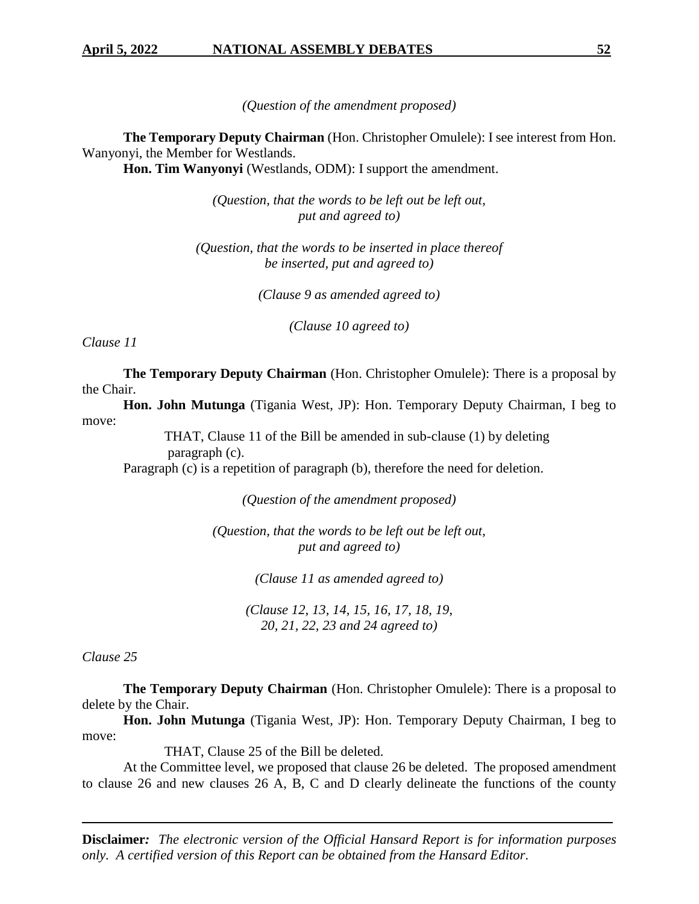*(Question of the amendment proposed)*

**The Temporary Deputy Chairman** (Hon. Christopher Omulele): I see interest from Hon. Wanyonyi, the Member for Westlands.

**Hon. Tim Wanyonyi** (Westlands, ODM): I support the amendment.

*(Question, that the words to be left out be left out, put and agreed to)*

*(Question, that the words to be inserted in place thereof be inserted, put and agreed to)*

*(Clause 9 as amended agreed to)*

*(Clause 10 agreed to)*

*Clause 11*

**The Temporary Deputy Chairman** (Hon. Christopher Omulele): There is a proposal by the Chair.

**Hon. John Mutunga** (Tigania West, JP): Hon. Temporary Deputy Chairman, I beg to move:

THAT, Clause 11 of the Bill be amended in sub-clause (1) by deleting

paragraph (c).

Paragraph (c) is a repetition of paragraph (b), therefore the need for deletion.

*(Question of the amendment proposed)*

*(Question, that the words to be left out be left out, put and agreed to)*

*(Clause 11 as amended agreed to)*

*(Clause 12, 13, 14, 15, 16, 17, 18, 19, 20, 21, 22, 23 and 24 agreed to)*

*Clause 25*

**The Temporary Deputy Chairman** (Hon. Christopher Omulele): There is a proposal to delete by the Chair.

**Hon. John Mutunga** (Tigania West, JP): Hon. Temporary Deputy Chairman, I beg to move:

THAT, Clause 25 of the Bill be deleted.

At the Committee level, we proposed that clause 26 be deleted. The proposed amendment to clause 26 and new clauses 26 A, B, C and D clearly delineate the functions of the county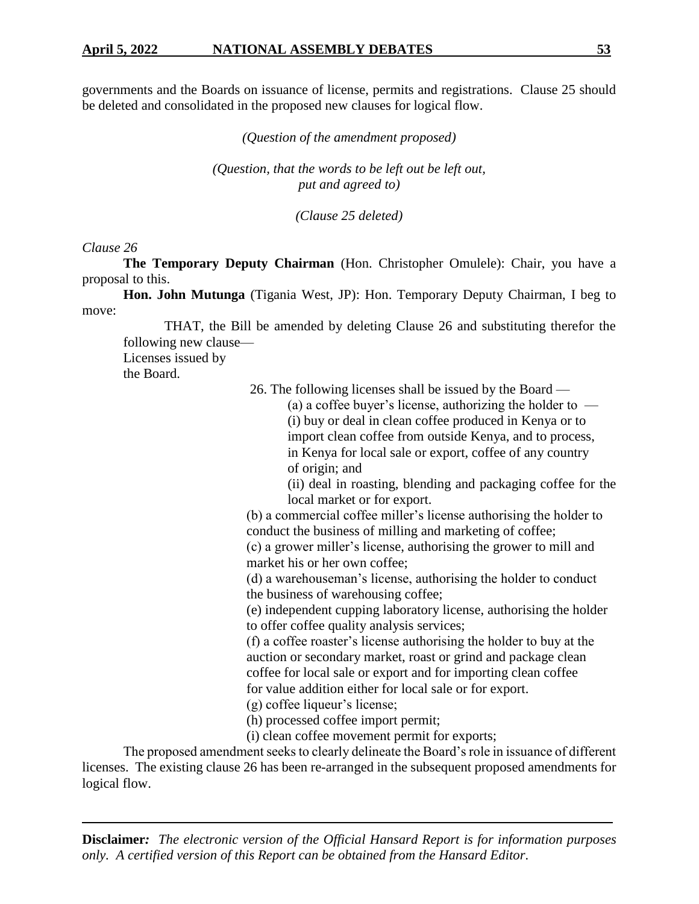governments and the Boards on issuance of license, permits and registrations. Clause 25 should be deleted and consolidated in the proposed new clauses for logical flow.

*(Question of the amendment proposed)*

*(Question, that the words to be left out be left out, put and agreed to)*

*(Clause 25 deleted)*

#### *Clause 26*

**The Temporary Deputy Chairman** (Hon. Christopher Omulele): Chair, you have a proposal to this.

**Hon. John Mutunga** (Tigania West, JP): Hon. Temporary Deputy Chairman, I beg to move:

THAT, the Bill be amended by deleting Clause 26 and substituting therefor the following new clause—

Licenses issued by

the Board.

26. The following licenses shall be issued by the Board —

(a) a coffee buyer's license, authorizing the holder to  $-$ (i) buy or deal in clean coffee produced in Kenya or to import clean coffee from outside Kenya, and to process, in Kenya for local sale or export, coffee of any country of origin; and

(ii) deal in roasting, blending and packaging coffee for the local market or for export.

(b) a commercial coffee miller's license authorising the holder to conduct the business of milling and marketing of coffee;

(c) a grower miller's license, authorising the grower to mill and market his or her own coffee;

(d) a warehouseman's license, authorising the holder to conduct the business of warehousing coffee;

(e) independent cupping laboratory license, authorising the holder to offer coffee quality analysis services;

(f) a coffee roaster's license authorising the holder to buy at the auction or secondary market, roast or grind and package clean coffee for local sale or export and for importing clean coffee for value addition either for local sale or for export.

(g) coffee liqueur's license;

(h) processed coffee import permit;

(i) clean coffee movement permit for exports;

The proposed amendment seeks to clearly delineate the Board's role in issuance of different licenses. The existing clause 26 has been re-arranged in the subsequent proposed amendments for logical flow.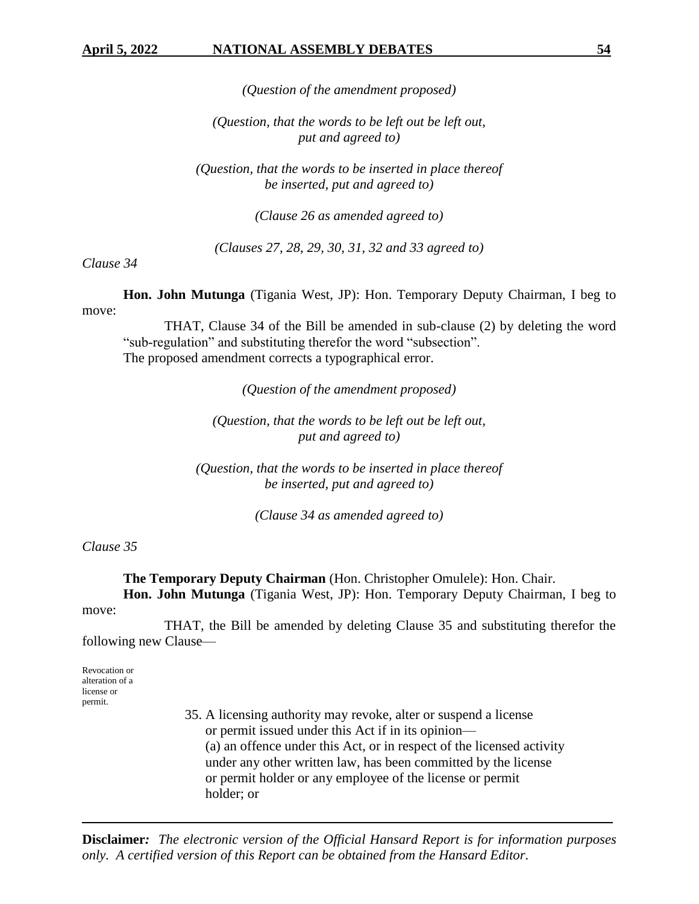*(Question of the amendment proposed)*

*(Question, that the words to be left out be left out, put and agreed to)*

*(Question, that the words to be inserted in place thereof be inserted, put and agreed to)*

*(Clause 26 as amended agreed to)*

*(Clauses 27, 28, 29, 30, 31, 32 and 33 agreed to)*

*Clause 34*

**Hon. John Mutunga** (Tigania West, JP): Hon. Temporary Deputy Chairman, I beg to move:

THAT, Clause 34 of the Bill be amended in sub-clause (2) by deleting the word "sub-regulation" and substituting therefor the word "subsection". The proposed amendment corrects a typographical error.

*(Question of the amendment proposed)*

*(Question, that the words to be left out be left out, put and agreed to)*

*(Question, that the words to be inserted in place thereof be inserted, put and agreed to)*

*(Clause 34 as amended agreed to)*

*Clause 35*

**The Temporary Deputy Chairman** (Hon. Christopher Omulele): Hon. Chair. **Hon. John Mutunga** (Tigania West, JP): Hon. Temporary Deputy Chairman, I beg to

move:

THAT, the Bill be amended by deleting Clause 35 and substituting therefor the following new Clause—

Revocation or alteration of a license or permit.

> 35. A licensing authority may revoke, alter or suspend a license or permit issued under this Act if in its opinion— (a) an offence under this Act, or in respect of the licensed activity under any other written law, has been committed by the license or permit holder or any employee of the license or permit holder; or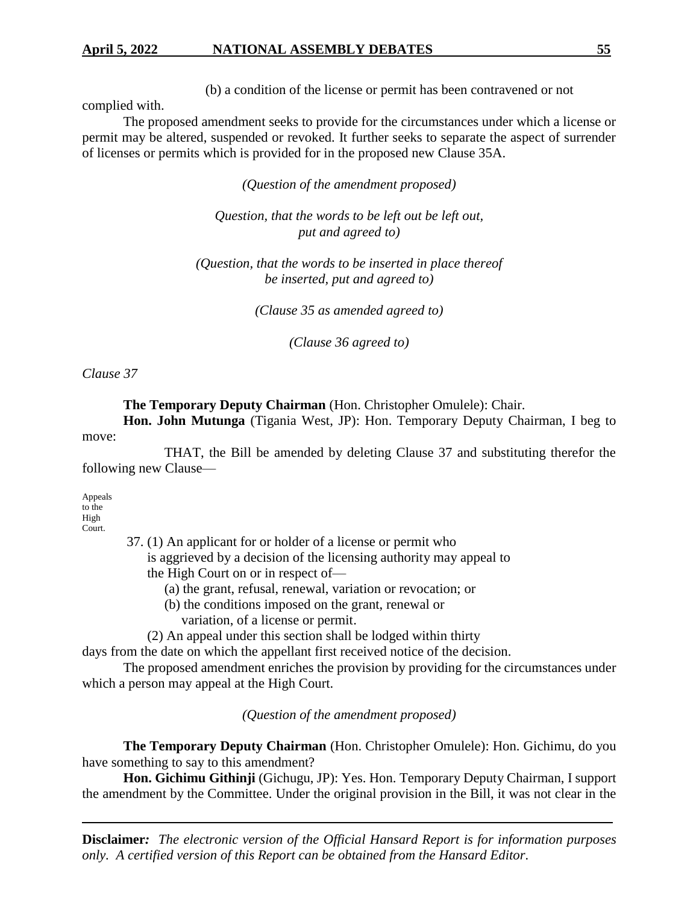## **April 5, 2022 NATIONAL ASSEMBLY DEBATES 55**

(b) a condition of the license or permit has been contravened or not

complied with.

The proposed amendment seeks to provide for the circumstances under which a license or permit may be altered, suspended or revoked. It further seeks to separate the aspect of surrender of licenses or permits which is provided for in the proposed new Clause 35A.

*(Question of the amendment proposed)*

*Question, that the words to be left out be left out, put and agreed to)*

*(Question, that the words to be inserted in place thereof be inserted, put and agreed to)*

*(Clause 35 as amended agreed to)*

*(Clause 36 agreed to)*

*Clause 37*

**The Temporary Deputy Chairman** (Hon. Christopher Omulele): Chair.

**Hon. John Mutunga** (Tigania West, JP): Hon. Temporary Deputy Chairman, I beg to move:

THAT, the Bill be amended by deleting Clause 37 and substituting therefor the following new Clause—

Appeals to the High Court.

37. (1) An applicant for or holder of a license or permit who

 is aggrieved by a decision of the licensing authority may appeal to the High Court on or in respect of—

- (a) the grant, refusal, renewal, variation or revocation; or
- (b) the conditions imposed on the grant, renewal or
	- variation, of a license or permit.
- (2) An appeal under this section shall be lodged within thirty

days from the date on which the appellant first received notice of the decision.

The proposed amendment enriches the provision by providing for the circumstances under which a person may appeal at the High Court.

*(Question of the amendment proposed)*

**The Temporary Deputy Chairman** (Hon. Christopher Omulele): Hon. Gichimu, do you have something to say to this amendment?

**Hon. Gichimu Githinji** (Gichugu, JP): Yes. Hon. Temporary Deputy Chairman, I support the amendment by the Committee. Under the original provision in the Bill, it was not clear in the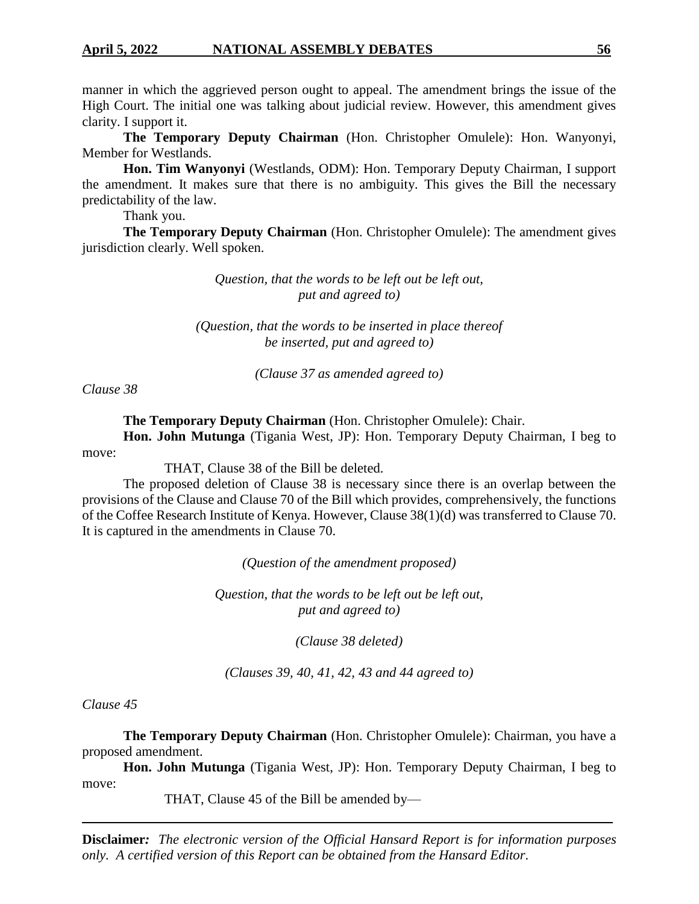manner in which the aggrieved person ought to appeal. The amendment brings the issue of the High Court. The initial one was talking about judicial review. However, this amendment gives clarity. I support it.

**The Temporary Deputy Chairman** (Hon. Christopher Omulele): Hon. Wanyonyi, Member for Westlands.

**Hon. Tim Wanyonyi** (Westlands, ODM): Hon. Temporary Deputy Chairman, I support the amendment. It makes sure that there is no ambiguity. This gives the Bill the necessary predictability of the law.

Thank you.

**The Temporary Deputy Chairman** (Hon. Christopher Omulele): The amendment gives jurisdiction clearly. Well spoken.

> *Question, that the words to be left out be left out, put and agreed to)*

*(Question, that the words to be inserted in place thereof be inserted, put and agreed to)*

*(Clause 37 as amended agreed to)*

*Clause 38*

**The Temporary Deputy Chairman** (Hon. Christopher Omulele): Chair. **Hon. John Mutunga** (Tigania West, JP): Hon. Temporary Deputy Chairman, I beg to

move:

THAT, Clause 38 of the Bill be deleted.

The proposed deletion of Clause 38 is necessary since there is an overlap between the provisions of the Clause and Clause 70 of the Bill which provides, comprehensively, the functions of the Coffee Research Institute of Kenya. However, Clause 38(1)(d) was transferred to Clause 70. It is captured in the amendments in Clause 70.

*(Question of the amendment proposed)*

*Question, that the words to be left out be left out, put and agreed to)*

*(Clause 38 deleted)*

*(Clauses 39, 40, 41, 42, 43 and 44 agreed to)*

*Clause 45*

**The Temporary Deputy Chairman** (Hon. Christopher Omulele): Chairman, you have a proposed amendment.

**Hon. John Mutunga** (Tigania West, JP): Hon. Temporary Deputy Chairman, I beg to move:

THAT, Clause 45 of the Bill be amended by—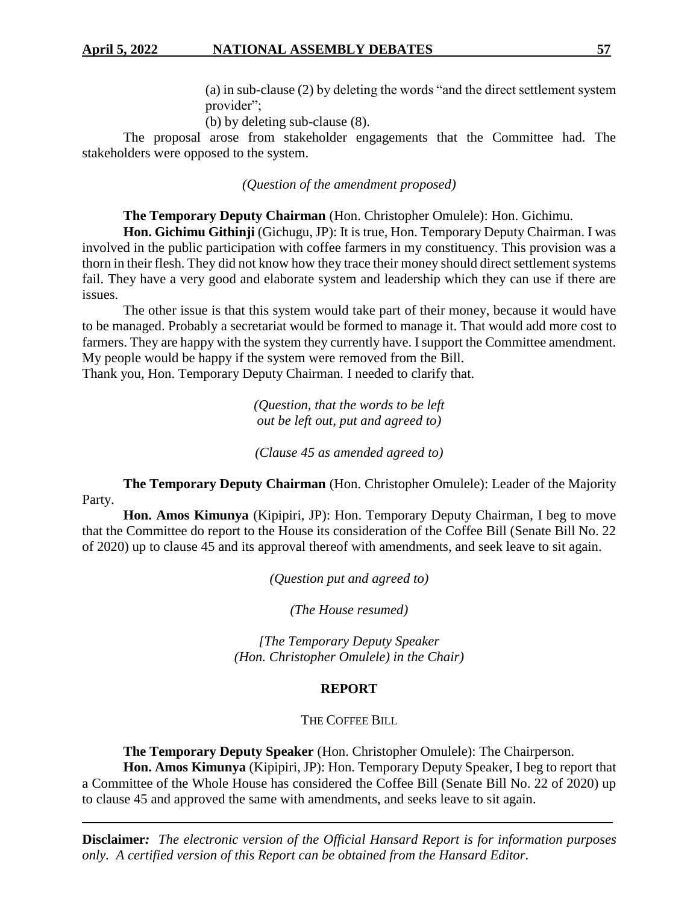(a) in sub-clause (2) by deleting the words "and the direct settlement system provider";

(b) by deleting sub-clause (8).

The proposal arose from stakeholder engagements that the Committee had. The stakeholders were opposed to the system.

*(Question of the amendment proposed)*

**The Temporary Deputy Chairman** (Hon. Christopher Omulele): Hon. Gichimu.

**Hon. Gichimu Githinji** (Gichugu, JP): It is true, Hon. Temporary Deputy Chairman. I was involved in the public participation with coffee farmers in my constituency. This provision was a thorn in their flesh. They did not know how they trace their money should direct settlement systems fail. They have a very good and elaborate system and leadership which they can use if there are issues.

The other issue is that this system would take part of their money, because it would have to be managed. Probably a secretariat would be formed to manage it. That would add more cost to farmers. They are happy with the system they currently have. I support the Committee amendment. My people would be happy if the system were removed from the Bill.

Thank you, Hon. Temporary Deputy Chairman. I needed to clarify that.

*(Question, that the words to be left out be left out, put and agreed to)*

*(Clause 45 as amended agreed to)*

**The Temporary Deputy Chairman** (Hon. Christopher Omulele): Leader of the Majority Party.

**Hon. Amos Kimunya** (Kipipiri, JP): Hon. Temporary Deputy Chairman, I beg to move that the Committee do report to the House its consideration of the Coffee Bill (Senate Bill No. 22 of 2020) up to clause 45 and its approval thereof with amendments, and seek leave to sit again.

*(Question put and agreed to)*

*(The House resumed)*

*[The Temporary Deputy Speaker (Hon. Christopher Omulele) in the Chair)*

#### **REPORT**

THE COFFEE BILL

**The Temporary Deputy Speaker** (Hon. Christopher Omulele): The Chairperson.

**Hon. Amos Kimunya** (Kipipiri, JP): Hon. Temporary Deputy Speaker, I beg to report that a Committee of the Whole House has considered the Coffee Bill (Senate Bill No. 22 of 2020) up to clause 45 and approved the same with amendments, and seeks leave to sit again.